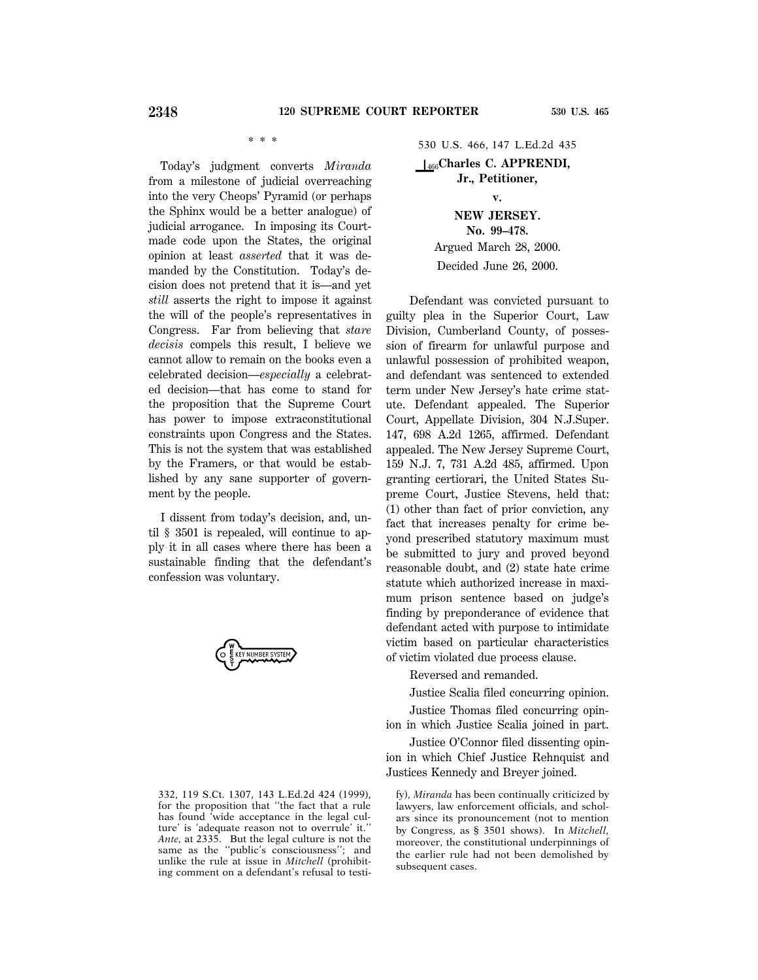\* \* \*

Today's judgment converts *Miranda* from a milestone of judicial overreaching into the very Cheops' Pyramid (or perhaps the Sphinx would be a better analogue) of judicial arrogance. In imposing its Courtmade code upon the States, the original opinion at least *asserted* that it was demanded by the Constitution. Today's decision does not pretend that it is—and yet *still* asserts the right to impose it against the will of the people's representatives in Congress. Far from believing that *stare decisis* compels this result, I believe we cannot allow to remain on the books even a celebrated decision—*especially* a celebrated decision—that has come to stand for the proposition that the Supreme Court has power to impose extraconstitutional constraints upon Congress and the States. This is not the system that was established by the Framers, or that would be established by any sane supporter of government by the people.

I dissent from today's decision, and, until § 3501 is repealed, will continue to apply it in all cases where there has been a sustainable finding that the defendant's confession was voluntary.

Y NUMBER SYSTEM

332, 119 S.Ct. 1307, 143 L.Ed.2d 424 (1999), for the proposition that ''the fact that a rule has found 'wide acceptance in the legal culture' is 'adequate reason not to overrule' it.'' *Ante,* at 2335. But the legal culture is not the same as the ''public's consciousness''; and unlike the rule at issue in *Mitchell* (prohibiting comment on a defendant's refusal to testi-

530 U.S. 466, 147 L.Ed.2d 435 S466**Charles C. APPRENDI, Jr., Petitioner, v. NEW JERSEY. No. 99–478.** Argued March 28, 2000. Decided June 26, 2000.

Defendant was convicted pursuant to guilty plea in the Superior Court, Law Division, Cumberland County, of possession of firearm for unlawful purpose and unlawful possession of prohibited weapon, and defendant was sentenced to extended term under New Jersey's hate crime statute. Defendant appealed. The Superior Court, Appellate Division, 304 N.J.Super. 147, 698 A.2d 1265, affirmed. Defendant appealed. The New Jersey Supreme Court, 159 N.J. 7, 731 A.2d 485, affirmed. Upon granting certiorari, the United States Supreme Court, Justice Stevens, held that: (1) other than fact of prior conviction, any fact that increases penalty for crime beyond prescribed statutory maximum must be submitted to jury and proved beyond reasonable doubt, and (2) state hate crime statute which authorized increase in maximum prison sentence based on judge's finding by preponderance of evidence that defendant acted with purpose to intimidate victim based on particular characteristics of victim violated due process clause.

Reversed and remanded.

Justice Scalia filed concurring opinion. Justice Thomas filed concurring opinion in which Justice Scalia joined in part.

Justice O'Connor filed dissenting opinion in which Chief Justice Rehnquist and Justices Kennedy and Breyer joined.

fy), *Miranda* has been continually criticized by lawyers, law enforcement officials, and scholars since its pronouncement (not to mention by Congress, as § 3501 shows). In *Mitchell,* moreover, the constitutional underpinnings of the earlier rule had not been demolished by subsequent cases.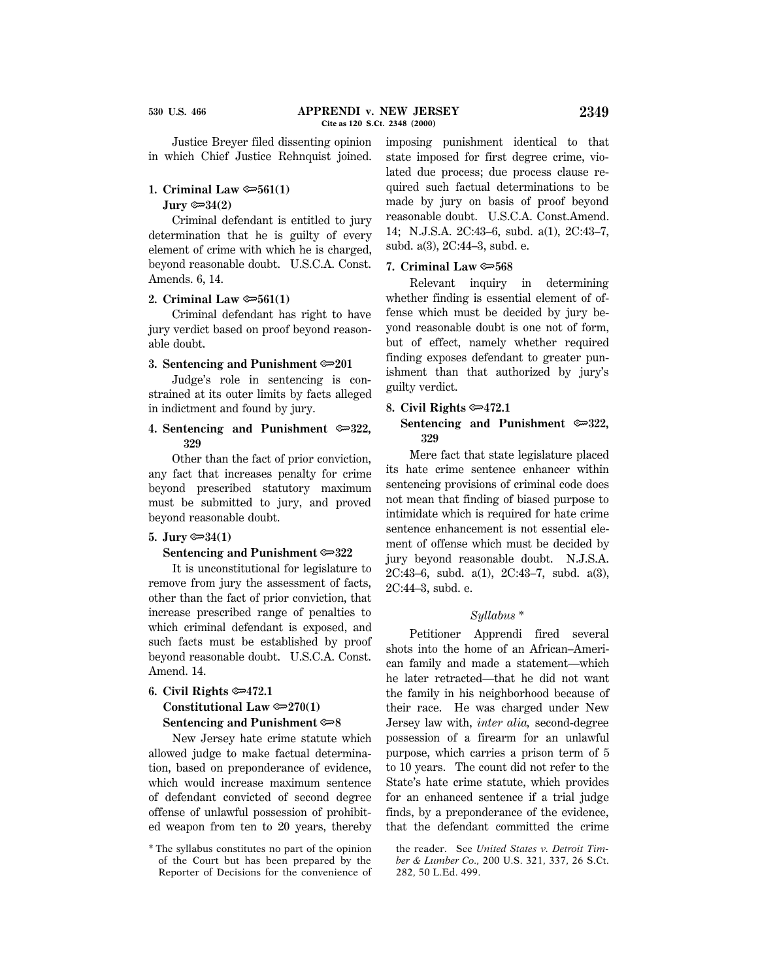Justice Breyer filed dissenting opinion in which Chief Justice Rehnquist joined.

# **1. Criminal Law**  $\approx 561(1)$  $Jury \approx 34(2)$

Criminal defendant is entitled to jury determination that he is guilty of every element of crime with which he is charged, beyond reasonable doubt. U.S.C.A. Const. Amends. 6, 14.

## **2. Criminal Law**  $\infty$ **561(1)**

Criminal defendant has right to have jury verdict based on proof beyond reasonable doubt.

#### **3. Sentencing and Punishment**  $\approx 201$

Judge's role in sentencing is constrained at its outer limits by facts alleged in indictment and found by jury.

## **4. Sentencing and Punishment**  $\infty$ **322, 329**

Other than the fact of prior conviction, any fact that increases penalty for crime beyond prescribed statutory maximum must be submitted to jury, and proved beyond reasonable doubt.

## **5. Jury**  $\infty 34(1)$

### **Sentencing and Punishment**  $\approx 322$

It is unconstitutional for legislature to remove from jury the assessment of facts, other than the fact of prior conviction, that increase prescribed range of penalties to which criminal defendant is exposed, and such facts must be established by proof beyond reasonable doubt. U.S.C.A. Const. Amend. 14.

# **6. Civil Rights** O**472.1 Constitutional Law**  $\infty$ **270(1) Sentencing and Punishment**  $\approx 8$

New Jersey hate crime statute which allowed judge to make factual determination, based on preponderance of evidence, which would increase maximum sentence of defendant convicted of second degree offense of unlawful possession of prohibited weapon from ten to 20 years, thereby imposing punishment identical to that state imposed for first degree crime, violated due process; due process clause required such factual determinations to be made by jury on basis of proof beyond reasonable doubt. U.S.C.A. Const.Amend. 14; N.J.S.A. 2C:43–6, subd. a(1), 2C:43–7, subd. a(3), 2C:44–3, subd. e.

## **7. Criminal Law**  $\approx 568$

Relevant inquiry in determining whether finding is essential element of offense which must be decided by jury beyond reasonable doubt is one not of form, but of effect, namely whether required finding exposes defendant to greater punishment than that authorized by jury's guilty verdict.

## **8. Civil Rights** O**472.1**

## **Sentencing and Punishment**  $\approx 322$ **, 329**

Mere fact that state legislature placed its hate crime sentence enhancer within sentencing provisions of criminal code does not mean that finding of biased purpose to intimidate which is required for hate crime sentence enhancement is not essential element of offense which must be decided by jury beyond reasonable doubt. N.J.S.A. 2C:43–6, subd. a(1), 2C:43–7, subd. a(3), 2C:44–3, subd. e.

# *Syllabus \**

Petitioner Apprendi fired several shots into the home of an African–American family and made a statement—which he later retracted—that he did not want the family in his neighborhood because of their race. He was charged under New Jersey law with, *inter alia,* second-degree possession of a firearm for an unlawful purpose, which carries a prison term of 5 to 10 years. The count did not refer to the State's hate crime statute, which provides for an enhanced sentence if a trial judge finds, by a preponderance of the evidence, that the defendant committed the crime

<sup>\*</sup> The syllabus constitutes no part of the opinion of the Court but has been prepared by the Reporter of Decisions for the convenience of

the reader. See *United States v. Detroit Timber & Lumber Co.,* 200 U.S. 321, 337, 26 S.Ct. 282, 50 L.Ed. 499.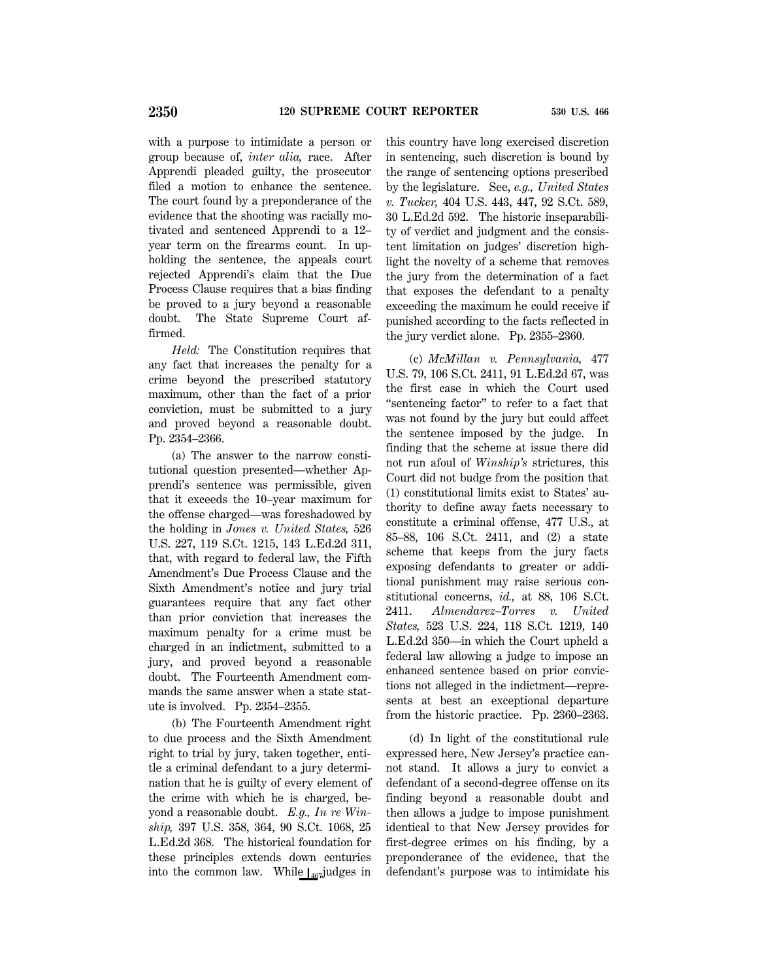with a purpose to intimidate a person or group because of, *inter alia,* race. After Apprendi pleaded guilty, the prosecutor filed a motion to enhance the sentence. The court found by a preponderance of the evidence that the shooting was racially motivated and sentenced Apprendi to a 12– year term on the firearms count. In upholding the sentence, the appeals court rejected Apprendi's claim that the Due Process Clause requires that a bias finding be proved to a jury beyond a reasonable doubt. The State Supreme Court affirmed.

*Held:* The Constitution requires that any fact that increases the penalty for a crime beyond the prescribed statutory maximum, other than the fact of a prior conviction, must be submitted to a jury and proved beyond a reasonable doubt. Pp. 2354–2366.

(a) The answer to the narrow constitutional question presented—whether Apprendi's sentence was permissible, given that it exceeds the 10–year maximum for the offense charged—was foreshadowed by the holding in *Jones v. United States,* 526 U.S. 227, 119 S.Ct. 1215, 143 L.Ed.2d 311, that, with regard to federal law, the Fifth Amendment's Due Process Clause and the Sixth Amendment's notice and jury trial guarantees require that any fact other than prior conviction that increases the maximum penalty for a crime must be charged in an indictment, submitted to a jury, and proved beyond a reasonable doubt. The Fourteenth Amendment commands the same answer when a state statute is involved. Pp. 2354–2355.

(b) The Fourteenth Amendment right to due process and the Sixth Amendment right to trial by jury, taken together, entitle a criminal defendant to a jury determination that he is guilty of every element of the crime with which he is charged, beyond a reasonable doubt. *E.g., In re Winship,* 397 U.S. 358, 364, 90 S.Ct. 1068, 25 L.Ed.2d 368. The historical foundation for these principles extends down centuries into the common law. While  $\iota_{467}$ judges in

this country have long exercised discretion in sentencing, such discretion is bound by the range of sentencing options prescribed by the legislature. See, *e.g., United States v. Tucker,* 404 U.S. 443, 447, 92 S.Ct. 589, 30 L.Ed.2d 592. The historic inseparability of verdict and judgment and the consistent limitation on judges' discretion highlight the novelty of a scheme that removes the jury from the determination of a fact that exposes the defendant to a penalty exceeding the maximum he could receive if punished according to the facts reflected in the jury verdict alone. Pp. 2355–2360.

(c) *McMillan v. Pennsylvania,* 477 U.S. 79, 106 S.Ct. 2411, 91 L.Ed.2d 67, was the first case in which the Court used ''sentencing factor'' to refer to a fact that was not found by the jury but could affect the sentence imposed by the judge. In finding that the scheme at issue there did not run afoul of *Winship's* strictures, this Court did not budge from the position that (1) constitutional limits exist to States' authority to define away facts necessary to constitute a criminal offense, 477 U.S., at 85–88, 106 S.Ct. 2411, and (2) a state scheme that keeps from the jury facts exposing defendants to greater or additional punishment may raise serious constitutional concerns, *id.,* at 88, 106 S.Ct. 2411. *Almendarez–Torres v. United States,* 523 U.S. 224, 118 S.Ct. 1219, 140 L.Ed.2d 350—in which the Court upheld a federal law allowing a judge to impose an enhanced sentence based on prior convictions not alleged in the indictment—represents at best an exceptional departure from the historic practice. Pp. 2360–2363.

(d) In light of the constitutional rule expressed here, New Jersey's practice cannot stand. It allows a jury to convict a defendant of a second-degree offense on its finding beyond a reasonable doubt and then allows a judge to impose punishment identical to that New Jersey provides for first-degree crimes on his finding, by a preponderance of the evidence, that the defendant's purpose was to intimidate his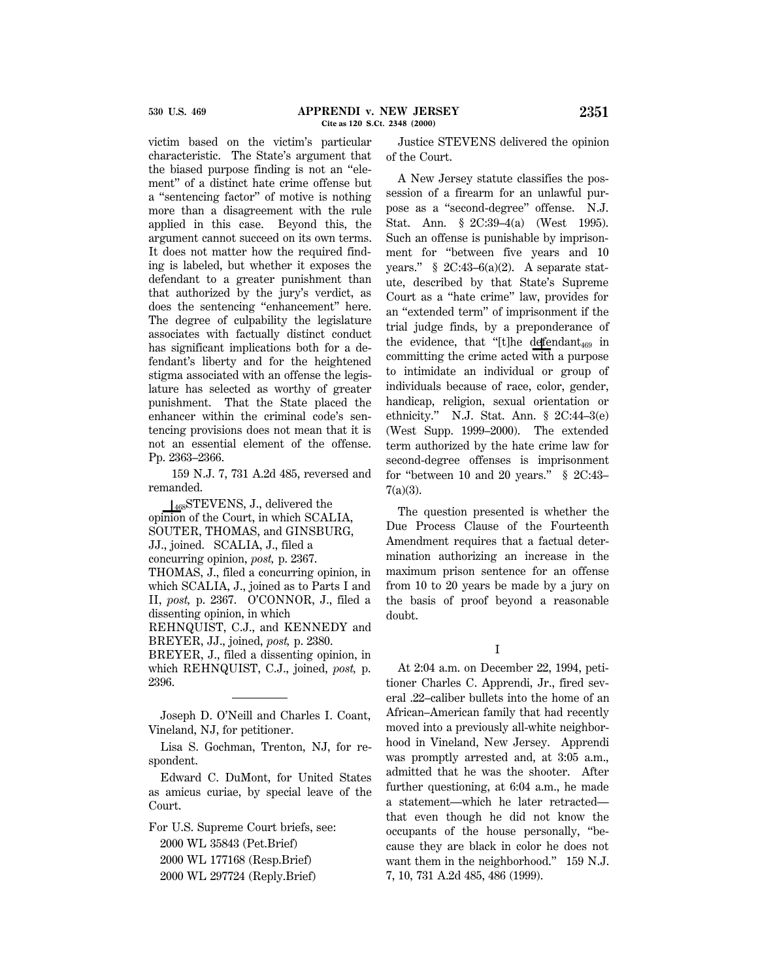victim based on the victim's particular characteristic. The State's argument that the biased purpose finding is not an ''element'' of a distinct hate crime offense but a ''sentencing factor'' of motive is nothing more than a disagreement with the rule applied in this case. Beyond this, the argument cannot succeed on its own terms. It does not matter how the required finding is labeled, but whether it exposes the defendant to a greater punishment than that authorized by the jury's verdict, as does the sentencing ''enhancement'' here. The degree of culpability the legislature associates with factually distinct conduct has significant implications both for a defendant's liberty and for the heightened stigma associated with an offense the legislature has selected as worthy of greater punishment. That the State placed the enhancer within the criminal code's sentencing provisions does not mean that it is not an essential element of the offense. Pp. 2363–2366.

159 N.J. 7, 731 A.2d 485, reversed and remanded.

 $1468$ STEVENS, J., delivered the opinion of the Court, in which SCALIA, SOUTER, THOMAS, and GINSBURG, JJ., joined. SCALIA, J., filed a concurring opinion, *post,* p. 2367. THOMAS, J., filed a concurring opinion, in which SCALIA, J., joined as to Parts I and II, *post,* p. 2367. O'CONNOR, J., filed a dissenting opinion, in which REHNQUIST, C.J., and KENNEDY and BREYER, JJ., joined, *post,* p. 2380. BREYER, J., filed a dissenting opinion, in which REHNQUIST, C.J., joined, *post,* p. 2396.

Joseph D. O'Neill and Charles I. Coant, Vineland, NJ, for petitioner.

Lisa S. Gochman, Trenton, NJ, for respondent.

Edward C. DuMont, for United States as amicus curiae, by special leave of the Court.

For U.S. Supreme Court briefs, see: 2000 WL 35843 (Pet.Brief) 2000 WL 177168 (Resp.Brief) 2000 WL 297724 (Reply.Brief)

Justice STEVENS delivered the opinion of the Court.

A New Jersey statute classifies the possession of a firearm for an unlawful purpose as a ''second-degree'' offense. N.J. Stat. Ann. § 2C:39–4(a) (West 1995). Such an offense is punishable by imprisonment for ''between five years and 10 years."  $§$  2C:43–6(a)(2). A separate statute, described by that State's Supreme Court as a ''hate crime'' law, provides for an ''extended term'' of imprisonment if the trial judge finds, by a preponderance of the evidence, that "[t]he deffendant<sub>469</sub> in committing the crime acted with a purpose to intimidate an individual or group of individuals because of race, color, gender, handicap, religion, sexual orientation or ethnicity.'' N.J. Stat. Ann. § 2C:44–3(e) (West Supp. 1999–2000). The extended term authorized by the hate crime law for second-degree offenses is imprisonment for "between 10 and 20 years."  $$2C:43-$ 7(a)(3).

The question presented is whether the Due Process Clause of the Fourteenth Amendment requires that a factual determination authorizing an increase in the maximum prison sentence for an offense from 10 to 20 years be made by a jury on the basis of proof beyond a reasonable doubt.

## I

At 2:04 a.m. on December 22, 1994, petitioner Charles C. Apprendi, Jr., fired several .22–caliber bullets into the home of an African–American family that had recently moved into a previously all-white neighborhood in Vineland, New Jersey. Apprendi was promptly arrested and, at 3:05 a.m., admitted that he was the shooter. After further questioning, at 6:04 a.m., he made a statement—which he later retracted that even though he did not know the occupants of the house personally, ''because they are black in color he does not want them in the neighborhood." 159 N.J. 7, 10, 731 A.2d 485, 486 (1999).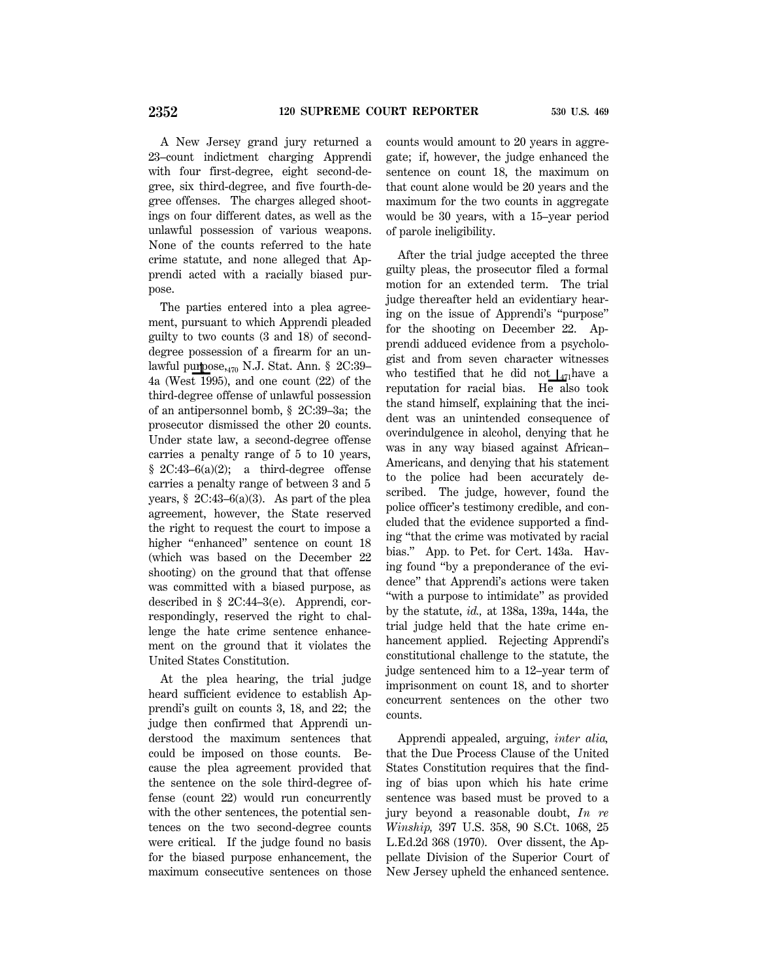A New Jersey grand jury returned a 23–count indictment charging Apprendi with four first-degree, eight second-degree, six third-degree, and five fourth-degree offenses. The charges alleged shootings on four different dates, as well as the unlawful possession of various weapons. None of the counts referred to the hate crime statute, and none alleged that Apprendi acted with a racially biased purpose.

The parties entered into a plea agreement, pursuant to which Apprendi pleaded guilty to two counts (3 and 18) of seconddegree possession of a firearm for an unlawful purpose, $_{470}$  N.J. Stat. Ann. § 2C:39-4a (West  $\overline{1995}$ ), and one count (22) of the third-degree offense of unlawful possession of an antipersonnel bomb, § 2C:39–3a; the prosecutor dismissed the other 20 counts. Under state law, a second-degree offense carries a penalty range of 5 to 10 years,  $$2C:43-6(a)(2);$  a third-degree offense carries a penalty range of between 3 and 5 years,  $\S 2C:43-6(a)(3)$ . As part of the plea agreement, however, the State reserved the right to request the court to impose a higher "enhanced" sentence on count 18 (which was based on the December 22 shooting) on the ground that that offense was committed with a biased purpose, as described in § 2C:44–3(e). Apprendi, correspondingly, reserved the right to challenge the hate crime sentence enhancement on the ground that it violates the United States Constitution.

At the plea hearing, the trial judge heard sufficient evidence to establish Apprendi's guilt on counts 3, 18, and 22; the judge then confirmed that Apprendi understood the maximum sentences that could be imposed on those counts. Because the plea agreement provided that the sentence on the sole third-degree offense (count 22) would run concurrently with the other sentences, the potential sentences on the two second-degree counts were critical. If the judge found no basis for the biased purpose enhancement, the maximum consecutive sentences on those counts would amount to 20 years in aggregate; if, however, the judge enhanced the sentence on count 18, the maximum on that count alone would be 20 years and the maximum for the two counts in aggregate would be 30 years, with a 15–year period of parole ineligibility.

After the trial judge accepted the three guilty pleas, the prosecutor filed a formal motion for an extended term. The trial judge thereafter held an evidentiary hearing on the issue of Apprendi's ''purpose'' for the shooting on December 22. Apprendi adduced evidence from a psychologist and from seven character witnesses who testified that he did not  $\frac{1}{471}$ have a reputation for racial bias. He also took the stand himself, explaining that the incident was an unintended consequence of overindulgence in alcohol, denying that he was in any way biased against African– Americans, and denying that his statement to the police had been accurately described. The judge, however, found the police officer's testimony credible, and concluded that the evidence supported a finding ''that the crime was motivated by racial bias.'' App. to Pet. for Cert. 143a. Having found ''by a preponderance of the evidence'' that Apprendi's actions were taken ''with a purpose to intimidate'' as provided by the statute, *id.,* at 138a, 139a, 144a, the trial judge held that the hate crime enhancement applied. Rejecting Apprendi's constitutional challenge to the statute, the judge sentenced him to a 12–year term of imprisonment on count 18, and to shorter concurrent sentences on the other two counts.

Apprendi appealed, arguing, *inter alia,* that the Due Process Clause of the United States Constitution requires that the finding of bias upon which his hate crime sentence was based must be proved to a jury beyond a reasonable doubt, *In re Winship,* 397 U.S. 358, 90 S.Ct. 1068, 25 L.Ed.2d 368 (1970). Over dissent, the Appellate Division of the Superior Court of New Jersey upheld the enhanced sentence.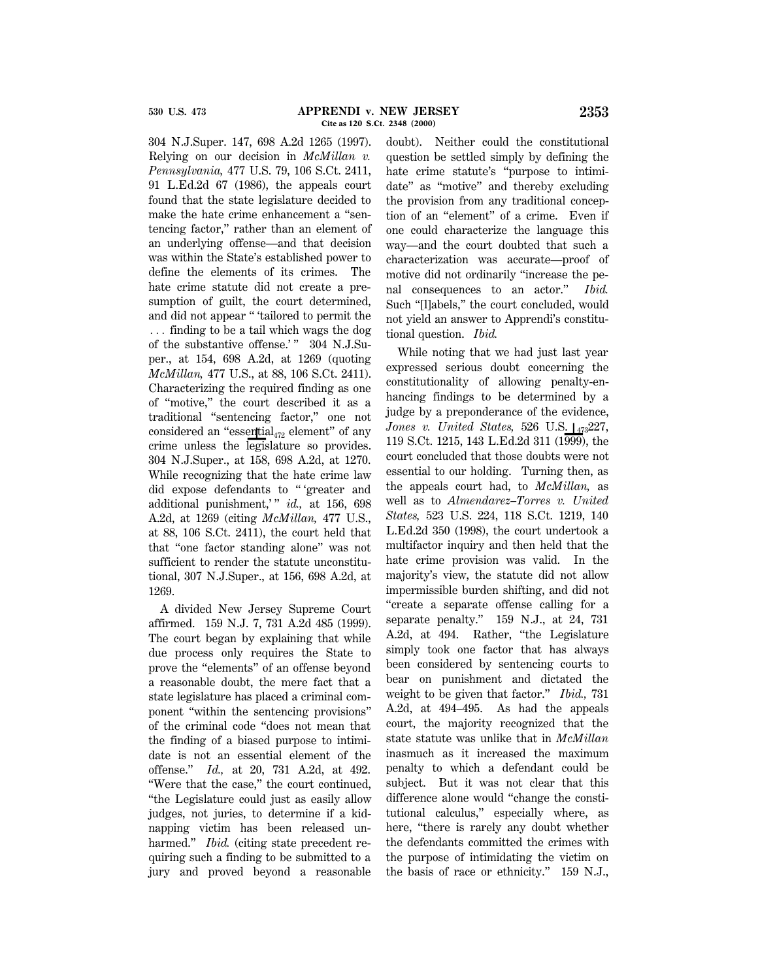304 N.J.Super. 147, 698 A.2d 1265 (1997). Relying on our decision in *McMillan v. Pennsylvania,* 477 U.S. 79, 106 S.Ct. 2411, 91 L.Ed.2d 67 (1986), the appeals court found that the state legislature decided to make the hate crime enhancement a ''sentencing factor,'' rather than an element of an underlying offense—and that decision was within the State's established power to define the elements of its crimes. The hate crime statute did not create a presumption of guilt, the court determined, and did not appear '' 'tailored to permit the  $\ldots$  finding to be a tail which wags the dog of the substantive offense.'" 304 N.J.Super., at 154, 698 A.2d, at 1269 (quoting *McMillan,* 477 U.S., at 88, 106 S.Ct. 2411). Characterizing the required finding as one of ''motive,'' the court described it as a traditional ''sentencing factor,'' one not considered an "essential $_{472}$  element" of any crime unless the legislature so provides. 304 N.J.Super., at 158, 698 A.2d, at 1270. While recognizing that the hate crime law did expose defendants to "'greater and additional punishment," id., at 156, 698 A.2d, at 1269 (citing *McMillan,* 477 U.S., at 88, 106 S.Ct. 2411), the court held that that ''one factor standing alone'' was not sufficient to render the statute unconstitutional, 307 N.J.Super., at 156, 698 A.2d, at 1269.

A divided New Jersey Supreme Court affirmed. 159 N.J. 7, 731 A.2d 485 (1999). The court began by explaining that while due process only requires the State to prove the "elements" of an offense beyond a reasonable doubt, the mere fact that a state legislature has placed a criminal component ''within the sentencing provisions'' of the criminal code ''does not mean that the finding of a biased purpose to intimidate is not an essential element of the offense.'' *Id.,* at 20, 731 A.2d, at 492. ''Were that the case,'' the court continued, ''the Legislature could just as easily allow judges, not juries, to determine if a kidnapping victim has been released unharmed.'' *Ibid.* (citing state precedent requiring such a finding to be submitted to a jury and proved beyond a reasonable doubt). Neither could the constitutional question be settled simply by defining the hate crime statute's ''purpose to intimidate'' as ''motive'' and thereby excluding the provision from any traditional conception of an ''element'' of a crime. Even if one could characterize the language this way—and the court doubted that such a characterization was accurate—proof of motive did not ordinarily ''increase the penal consequences to an actor.'' *Ibid.* Such "[l]abels," the court concluded, would not yield an answer to Apprendi's constitutional question. *Ibid.*

While noting that we had just last year expressed serious doubt concerning the constitutionality of allowing penalty-enhancing findings to be determined by a judge by a preponderance of the evidence, *Jones v. United States,* 526 U.S.  $\frac{1}{473}$ 227, 119 S.Ct. 1215, 143 L.Ed.2d 311 (1999), the court concluded that those doubts were not essential to our holding. Turning then, as the appeals court had, to *McMillan,* as well as to *Almendarez–Torres v. United States,* 523 U.S. 224, 118 S.Ct. 1219, 140 L.Ed.2d 350 (1998), the court undertook a multifactor inquiry and then held that the hate crime provision was valid. In the majority's view, the statute did not allow impermissible burden shifting, and did not ''create a separate offense calling for a separate penalty.'' 159 N.J., at 24, 731 A.2d, at 494. Rather, "the Legislature simply took one factor that has always been considered by sentencing courts to bear on punishment and dictated the weight to be given that factor.'' *Ibid.,* 731 A.2d, at 494–495. As had the appeals court, the majority recognized that the state statute was unlike that in *McMillan* inasmuch as it increased the maximum penalty to which a defendant could be subject. But it was not clear that this difference alone would ''change the constitutional calculus,'' especially where, as here, ''there is rarely any doubt whether the defendants committed the crimes with the purpose of intimidating the victim on the basis of race or ethnicity.'' 159 N.J.,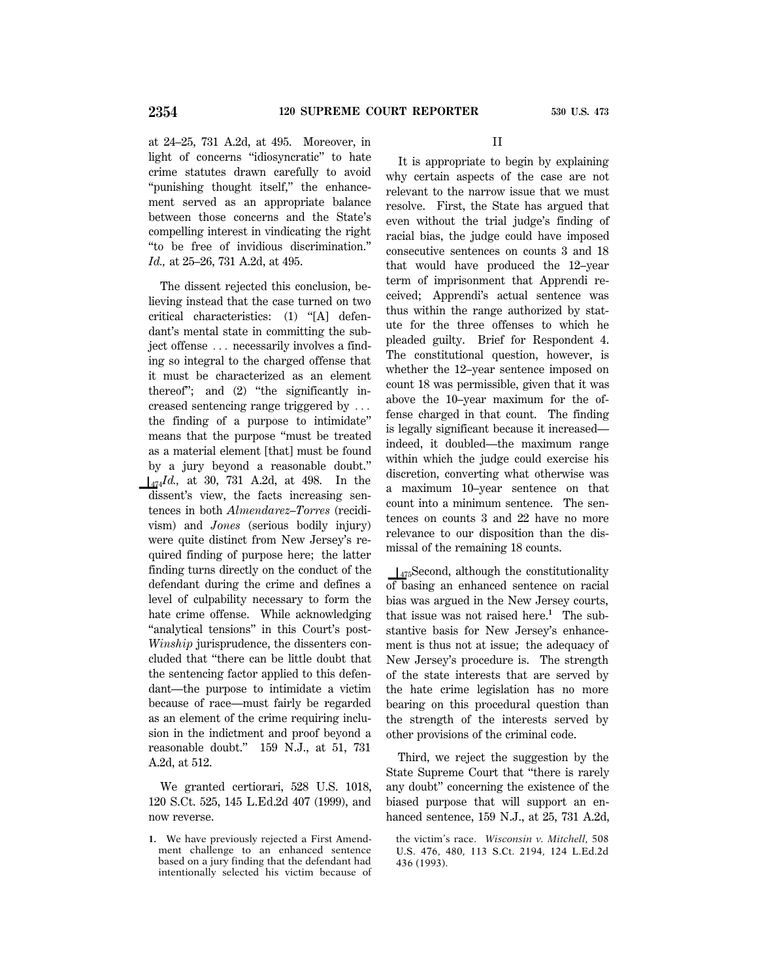at 24–25, 731 A.2d, at 495. Moreover, in light of concerns ''idiosyncratic'' to hate crime statutes drawn carefully to avoid "punishing thought itself," the enhancement served as an appropriate balance between those concerns and the State's compelling interest in vindicating the right ''to be free of invidious discrimination.'' *Id.,* at 25–26, 731 A.2d, at 495.

The dissent rejected this conclusion, believing instead that the case turned on two critical characteristics: (1) ''[A] defendant's mental state in committing the subject offense ... necessarily involves a finding so integral to the charged offense that it must be characterized as an element thereof"; and (2) "the significantly increased sentencing range triggered by  $\ldots$ the finding of a purpose to intimidate'' means that the purpose ''must be treated as a material element [that] must be found by a jury beyond a reasonable doubt.''  $\frac{1}{474}$ *Id.*, at 30, 731 A.2d, at 498. In the dissent's view, the facts increasing sentences in both *Almendarez–Torres* (recidivism) and *Jones* (serious bodily injury) were quite distinct from New Jersey's required finding of purpose here; the latter finding turns directly on the conduct of the defendant during the crime and defines a level of culpability necessary to form the hate crime offense. While acknowledging "analytical tensions" in this Court's post-*Winship* jurisprudence, the dissenters concluded that ''there can be little doubt that the sentencing factor applied to this defendant—the purpose to intimidate a victim because of race—must fairly be regarded as an element of the crime requiring inclusion in the indictment and proof beyond a reasonable doubt.'' 159 N.J., at 51, 731 A.2d, at 512.

We granted certiorari, 528 U.S. 1018, 120 S.Ct. 525, 145 L.Ed.2d 407 (1999), and now reverse.

II

It is appropriate to begin by explaining why certain aspects of the case are not relevant to the narrow issue that we must resolve. First, the State has argued that even without the trial judge's finding of racial bias, the judge could have imposed consecutive sentences on counts 3 and 18 that would have produced the 12–year term of imprisonment that Apprendi received; Apprendi's actual sentence was thus within the range authorized by statute for the three offenses to which he pleaded guilty. Brief for Respondent 4. The constitutional question, however, is whether the 12–year sentence imposed on count 18 was permissible, given that it was above the 10–year maximum for the offense charged in that count. The finding is legally significant because it increased indeed, it doubled—the maximum range within which the judge could exercise his discretion, converting what otherwise was a maximum 10–year sentence on that count into a minimum sentence. The sentences on counts 3 and 22 have no more relevance to our disposition than the dismissal of the remaining 18 counts.

 $\frac{1}{475}$ Second, although the constitutionality of basing an enhanced sentence on racial bias was argued in the New Jersey courts, that issue was not raised here.**<sup>1</sup>** The substantive basis for New Jersey's enhancement is thus not at issue; the adequacy of New Jersey's procedure is. The strength of the state interests that are served by the hate crime legislation has no more bearing on this procedural question than the strength of the interests served by other provisions of the criminal code.

Third, we reject the suggestion by the State Supreme Court that ''there is rarely any doubt'' concerning the existence of the biased purpose that will support an enhanced sentence, 159 N.J., at 25, 731 A.2d,

**<sup>1.</sup>** We have previously rejected a First Amendment challenge to an enhanced sentence based on a jury finding that the defendant had intentionally selected his victim because of

the victim's race. *Wisconsin v. Mitchell,* 508 U.S. 476, 480, 113 S.Ct. 2194, 124 L.Ed.2d 436 (1993).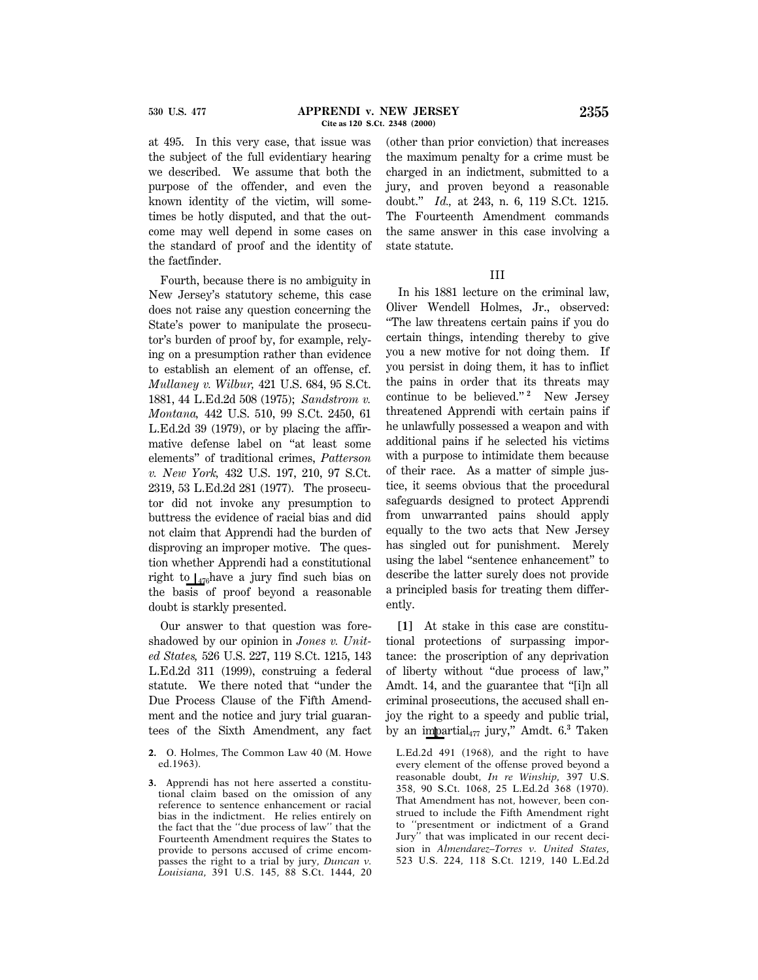at 495. In this very case, that issue was the subject of the full evidentiary hearing we described. We assume that both the purpose of the offender, and even the known identity of the victim, will sometimes be hotly disputed, and that the outcome may well depend in some cases on the standard of proof and the identity of the factfinder.

Fourth, because there is no ambiguity in New Jersey's statutory scheme, this case does not raise any question concerning the State's power to manipulate the prosecutor's burden of proof by, for example, relying on a presumption rather than evidence to establish an element of an offense, cf. *Mullaney v. Wilbur,* 421 U.S. 684, 95 S.Ct. 1881, 44 L.Ed.2d 508 (1975); *Sandstrom v. Montana,* 442 U.S. 510, 99 S.Ct. 2450, 61 L.Ed.2d 39 (1979), or by placing the affirmative defense label on ''at least some elements'' of traditional crimes, *Patterson v. New York,* 432 U.S. 197, 210, 97 S.Ct. 2319, 53 L.Ed.2d 281 (1977). The prosecutor did not invoke any presumption to buttress the evidence of racial bias and did not claim that Apprendi had the burden of disproving an improper motive. The question whether Apprendi had a constitutional right to  $\begin{bmatrix} 476 \\ 476 \end{bmatrix}$  a jury find such bias on the basis of proof beyond a reasonable doubt is starkly presented.

Our answer to that question was foreshadowed by our opinion in *Jones v. United States,* 526 U.S. 227, 119 S.Ct. 1215, 143 L.Ed.2d 311 (1999), construing a federal statute. We there noted that ''under the Due Process Clause of the Fifth Amendment and the notice and jury trial guarantees of the Sixth Amendment, any fact

- **2.** O. Holmes, The Common Law 40 (M. Howe ed.1963).
- **3.** Apprendi has not here asserted a constitutional claim based on the omission of any reference to sentence enhancement or racial bias in the indictment. He relies entirely on the fact that the ''due process of law'' that the Fourteenth Amendment requires the States to provide to persons accused of crime encompasses the right to a trial by jury, *Duncan v. Louisiana,* 391 U.S. 145, 88 S.Ct. 1444, 20

(other than prior conviction) that increases the maximum penalty for a crime must be charged in an indictment, submitted to a jury, and proven beyond a reasonable doubt.'' *Id.,* at 243, n. 6, 119 S.Ct. 1215. The Fourteenth Amendment commands the same answer in this case involving a state statute.

### III

In his 1881 lecture on the criminal law, Oliver Wendell Holmes, Jr., observed: ''The law threatens certain pains if you do certain things, intending thereby to give you a new motive for not doing them. If you persist in doing them, it has to inflict the pains in order that its threats may continue to be believed."<sup>2</sup> New Jersey threatened Apprendi with certain pains if he unlawfully possessed a weapon and with additional pains if he selected his victims with a purpose to intimidate them because of their race. As a matter of simple justice, it seems obvious that the procedural safeguards designed to protect Apprendi from unwarranted pains should apply equally to the two acts that New Jersey has singled out for punishment. Merely using the label ''sentence enhancement'' to describe the latter surely does not provide a principled basis for treating them differently.

**[1]** At stake in this case are constitutional protections of surpassing importance: the proscription of any deprivation of liberty without ''due process of law,'' Amdt. 14, and the guarantee that ''[i]n all criminal prosecutions, the accused shall enjoy the right to a speedy and public trial, by an impartial<sub>477</sub> jury," Amdt.  $6.^3$  Taken

L.Ed.2d 491 (1968), and the right to have every element of the offense proved beyond a reasonable doubt, *In re Winship,* 397 U.S. 358, 90 S.Ct. 1068, 25 L.Ed.2d 368 (1970). That Amendment has not, however, been construed to include the Fifth Amendment right to ''presentment or indictment of a Grand Jury'' that was implicated in our recent decision in *Almendarez–Torres v. United States,* 523 U.S. 224, 118 S.Ct. 1219, 140 L.Ed.2d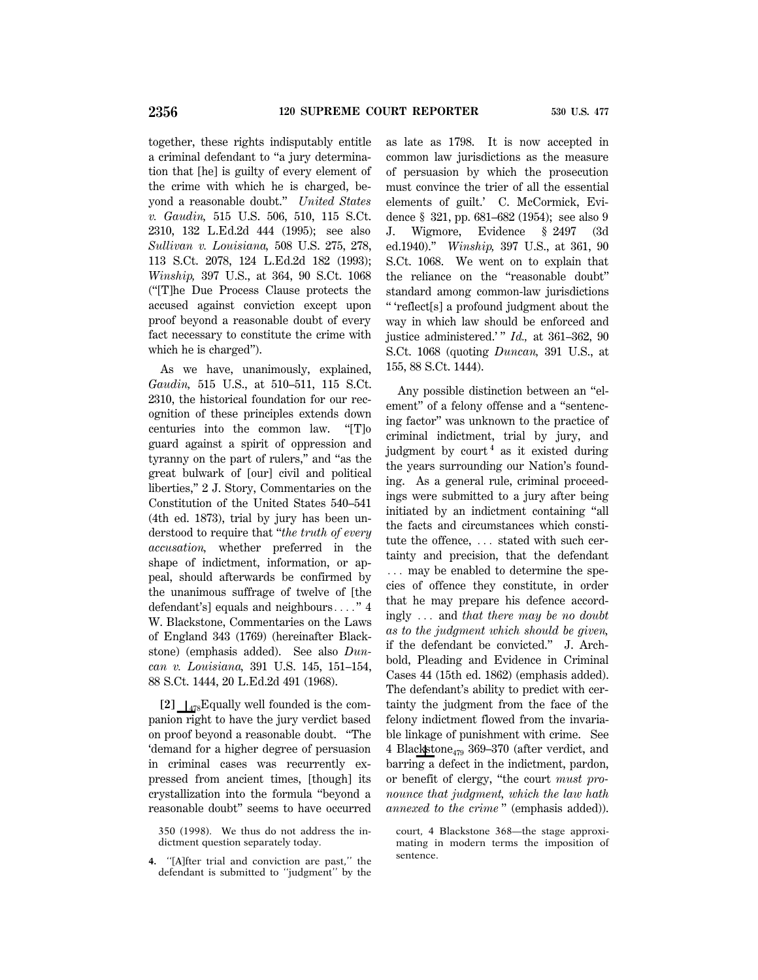together, these rights indisputably entitle a criminal defendant to ''a jury determination that [he] is guilty of every element of the crime with which he is charged, beyond a reasonable doubt.'' *United States v. Gaudin,* 515 U.S. 506, 510, 115 S.Ct. 2310, 132 L.Ed.2d 444 (1995); see also *Sullivan v. Louisiana,* 508 U.S. 275, 278, 113 S.Ct. 2078, 124 L.Ed.2d 182 (1993); *Winship,* 397 U.S., at 364, 90 S.Ct. 1068 (''[T]he Due Process Clause protects the accused against conviction except upon proof beyond a reasonable doubt of every fact necessary to constitute the crime with which he is charged").

As we have, unanimously, explained, *Gaudin,* 515 U.S., at 510–511, 115 S.Ct. 2310, the historical foundation for our recognition of these principles extends down centuries into the common law. ''[T]o guard against a spirit of oppression and tyranny on the part of rulers,'' and ''as the great bulwark of [our] civil and political liberties,'' 2 J. Story, Commentaries on the Constitution of the United States 540–541 (4th ed. 1873), trial by jury has been understood to require that ''*the truth of every accusation,* whether preferred in the shape of indictment, information, or appeal, should afterwards be confirmed by the unanimous suffrage of twelve of [the defendant's] equals and neighbours $\ldots$ ." 4 W. Blackstone, Commentaries on the Laws of England 343 (1769) (hereinafter Blackstone) (emphasis added). See also *Duncan v. Louisiana,* 391 U.S. 145, 151–154, 88 S.Ct. 1444, 20 L.Ed.2d 491 (1968).

[2]  $\vert_{478}$ Equally well founded is the companion right to have the jury verdict based on proof beyond a reasonable doubt. ''The 'demand for a higher degree of persuasion in criminal cases was recurrently expressed from ancient times, [though] its crystallization into the formula ''beyond a reasonable doubt'' seems to have occurred

350 (1998). We thus do not address the indictment question separately today.

as late as 1798. It is now accepted in common law jurisdictions as the measure of persuasion by which the prosecution must convince the trier of all the essential elements of guilt.' C. McCormick, Evidence § 321, pp. 681–682 (1954); see also 9 J. Wigmore, Evidence § 2497 (3d ed.1940).'' *Winship,* 397 U.S., at 361, 90 S.Ct. 1068. We went on to explain that the reliance on the ''reasonable doubt'' standard among common-law jurisdictions '' 'reflect[s] a profound judgment about the way in which law should be enforced and justice administered.' '' *Id.,* at 361–362, 90 S.Ct. 1068 (quoting *Duncan,* 391 U.S., at 155, 88 S.Ct. 1444).

Any possible distinction between an ''element'' of a felony offense and a ''sentencing factor'' was unknown to the practice of criminal indictment, trial by jury, and judgment by court **<sup>4</sup>** as it existed during the years surrounding our Nation's founding. As a general rule, criminal proceedings were submitted to a jury after being initiated by an indictment containing ''all the facts and circumstances which constitute the offence,  $\dots$  stated with such certainty and precision, that the defendant  $\ldots$  may be enabled to determine the species of offence they constitute, in order that he may prepare his defence accordingly ... and *that there may be no doubt as to the judgment which should be given,* if the defendant be convicted.'' J. Archbold, Pleading and Evidence in Criminal Cases 44 (15th ed. 1862) (emphasis added). The defendant's ability to predict with certainty the judgment from the face of the felony indictment flowed from the invariable linkage of punishment with crime. See 4 Blackstone<sub>479</sub> 369–370 (after verdict, and barring a defect in the indictment, pardon, or benefit of clergy, ''the court *must pronounce that judgment, which the law hath annexed to the crime* " (emphasis added)).

court, 4 Blackstone 368—the stage approximating in modern terms the imposition of sentence.

**<sup>4.</sup>** ''[A]fter trial and conviction are past,'' the defendant is submitted to ''judgment'' by the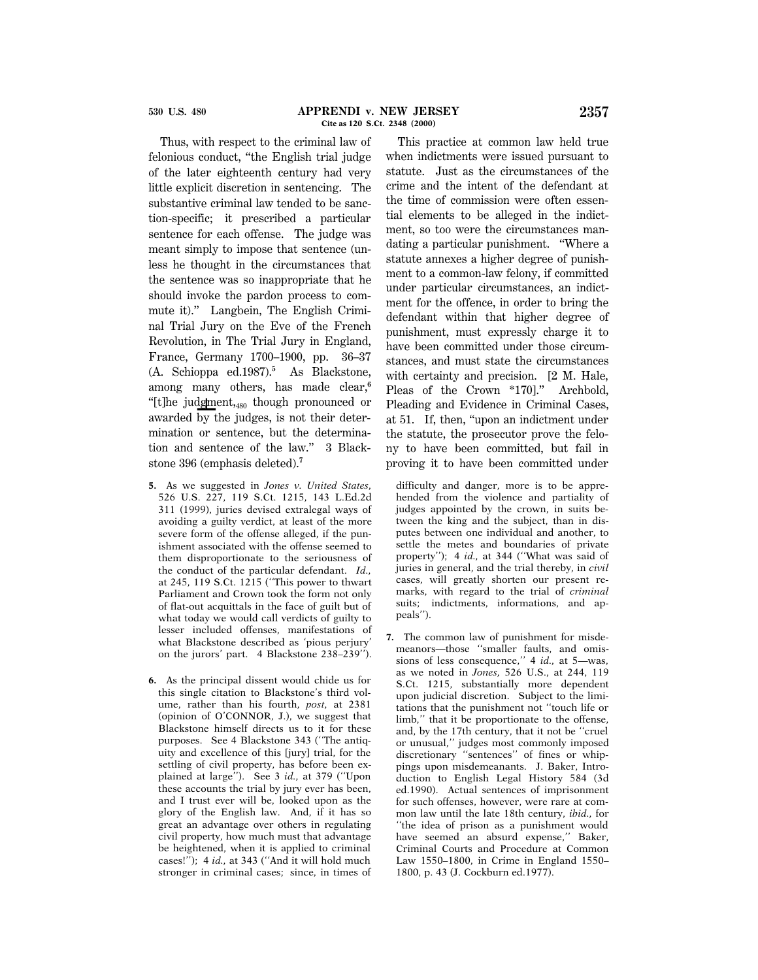**530 U.S. 480**

Thus, with respect to the criminal law of felonious conduct, ''the English trial judge of the later eighteenth century had very little explicit discretion in sentencing. The substantive criminal law tended to be sanction-specific; it prescribed a particular sentence for each offense. The judge was meant simply to impose that sentence (unless he thought in the circumstances that the sentence was so inappropriate that he should invoke the pardon process to commute it).'' Langbein, The English Criminal Trial Jury on the Eve of the French Revolution, in The Trial Jury in England, France, Germany 1700–1900, pp. 36–37 (A. Schioppa ed.1987).**<sup>5</sup>** As Blackstone, among many others, has made clear,**<sup>6</sup>** "[t]he judgment,<sub>480</sub> though pronounced or awarded by the judges, is not their determination or sentence, but the determination and sentence of the law.'' 3 Blackstone 396 (emphasis deleted).**<sup>7</sup>**

- **5.** As we suggested in *Jones v. United States,* 526 U.S. 227, 119 S.Ct. 1215, 143 L.Ed.2d 311 (1999), juries devised extralegal ways of avoiding a guilty verdict, at least of the more severe form of the offense alleged, if the punishment associated with the offense seemed to them disproportionate to the seriousness of the conduct of the particular defendant. *Id.,* at 245, 119 S.Ct. 1215 (''This power to thwart Parliament and Crown took the form not only of flat-out acquittals in the face of guilt but of what today we would call verdicts of guilty to lesser included offenses, manifestations of what Blackstone described as 'pious perjury' on the jurors' part. 4 Blackstone 238–239'').
- **6.** As the principal dissent would chide us for this single citation to Blackstone's third volume, rather than his fourth, *post,* at 2381 (opinion of O'CONNOR, J.), we suggest that Blackstone himself directs us to it for these purposes. See 4 Blackstone 343 (''The antiquity and excellence of this [jury] trial, for the settling of civil property, has before been explained at large''). See 3 *id.,* at 379 (''Upon these accounts the trial by jury ever has been, and I trust ever will be, looked upon as the glory of the English law. And, if it has so great an advantage over others in regulating civil property, how much must that advantage be heightened, when it is applied to criminal cases!''); 4 *id.,* at 343 (''And it will hold much stronger in criminal cases; since, in times of

This practice at common law held true when indictments were issued pursuant to statute. Just as the circumstances of the crime and the intent of the defendant at the time of commission were often essential elements to be alleged in the indictment, so too were the circumstances mandating a particular punishment. ''Where a statute annexes a higher degree of punishment to a common-law felony, if committed under particular circumstances, an indictment for the offence, in order to bring the defendant within that higher degree of punishment, must expressly charge it to have been committed under those circumstances, and must state the circumstances with certainty and precision. [2 M. Hale, Pleas of the Crown \*170]." Archbold, Pleading and Evidence in Criminal Cases, at 51. If, then, ''upon an indictment under the statute, the prosecutor prove the felony to have been committed, but fail in proving it to have been committed under

difficulty and danger, more is to be apprehended from the violence and partiality of judges appointed by the crown, in suits between the king and the subject, than in disputes between one individual and another, to settle the metes and boundaries of private property''); 4 *id.,* at 344 (''What was said of juries in general, and the trial thereby, in *civil* cases, will greatly shorten our present remarks, with regard to the trial of *criminal* suits; indictments, informations, and appeals'').

**7.** The common law of punishment for misdemeanors—those ''smaller faults, and omissions of less consequence,'' 4 *id.,* at 5—was, as we noted in *Jones,* 526 U.S., at 244, 119 S.Ct. 1215, substantially more dependent upon judicial discretion. Subject to the limitations that the punishment not ''touch life or limb,'' that it be proportionate to the offense, and, by the 17th century, that it not be ''cruel or unusual,'' judges most commonly imposed discretionary ''sentences'' of fines or whippings upon misdemeanants. J. Baker, Introduction to English Legal History 584 (3d ed.1990). Actual sentences of imprisonment for such offenses, however, were rare at common law until the late 18th century, *ibid.,* for ''the idea of prison as a punishment would have seemed an absurd expense," Baker, Criminal Courts and Procedure at Common Law 1550–1800, in Crime in England 1550– 1800, p. 43 (J. Cockburn ed.1977).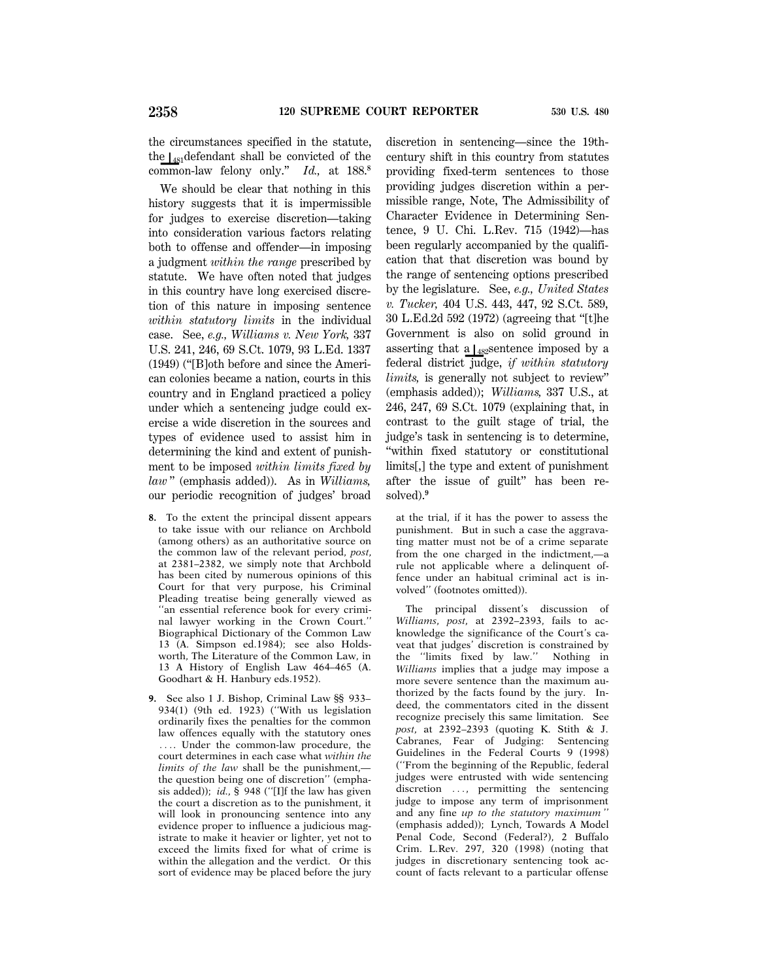the circumstances specified in the statute, the  $\left| \right|_{481}$ defendant shall be convicted of the common-law felony only.'' *Id.,* at 188.**<sup>8</sup>**

We should be clear that nothing in this history suggests that it is impermissible for judges to exercise discretion—taking into consideration various factors relating both to offense and offender—in imposing a judgment *within the range* prescribed by statute. We have often noted that judges in this country have long exercised discretion of this nature in imposing sentence *within statutory limits* in the individual case. See, *e.g., Williams v. New York,* 337 U.S. 241, 246, 69 S.Ct. 1079, 93 L.Ed. 1337 (1949) (''[B]oth before and since the American colonies became a nation, courts in this country and in England practiced a policy under which a sentencing judge could exercise a wide discretion in the sources and types of evidence used to assist him in determining the kind and extent of punishment to be imposed *within limits fixed by law* '' (emphasis added)). As in *Williams,* our periodic recognition of judges' broad

- **8.** To the extent the principal dissent appears to take issue with our reliance on Archbold (among others) as an authoritative source on the common law of the relevant period, *post,* at 2381–2382, we simply note that Archbold has been cited by numerous opinions of this Court for that very purpose, his Criminal Pleading treatise being generally viewed as ''an essential reference book for every criminal lawyer working in the Crown Court.'' Biographical Dictionary of the Common Law 13 (A. Simpson ed.1984); see also Holdsworth, The Literature of the Common Law, in 13 A History of English Law 464–465 (A. Goodhart & H. Hanbury eds.1952).
- **9.** See also 1 J. Bishop, Criminal Law §§ 933– 934(1) (9th ed. 1923) (''With us legislation ordinarily fixes the penalties for the common law offences equally with the statutory ones .... Under the common-law procedure, the court determines in each case what *within the limits of the law* shall be the punishment, the question being one of discretion'' (emphasis added)); *id.,* § 948 (''[I]f the law has given the court a discretion as to the punishment, it will look in pronouncing sentence into any evidence proper to influence a judicious magistrate to make it heavier or lighter, yet not to exceed the limits fixed for what of crime is within the allegation and the verdict. Or this sort of evidence may be placed before the jury

discretion in sentencing—since the 19thcentury shift in this country from statutes providing fixed-term sentences to those providing judges discretion within a permissible range, Note, The Admissibility of Character Evidence in Determining Sentence, 9 U. Chi. L.Rev. 715 (1942)—has been regularly accompanied by the qualification that that discretion was bound by the range of sentencing options prescribed by the legislature. See, *e.g., United States v. Tucker,* 404 U.S. 443, 447, 92 S.Ct. 589, 30 L.Ed.2d 592 (1972) (agreeing that ''[t]he Government is also on solid ground in asserting that a  $\vert_{482}$ sentence imposed by a federal district judge, *if within statutory limits,* is generally not subject to review'' (emphasis added)); *Williams,* 337 U.S., at 246, 247, 69 S.Ct. 1079 (explaining that, in contrast to the guilt stage of trial, the judge's task in sentencing is to determine, ''within fixed statutory or constitutional limits[,] the type and extent of punishment after the issue of guilt'' has been resolved).**<sup>9</sup>**

at the trial, if it has the power to assess the punishment. But in such a case the aggravating matter must not be of a crime separate from the one charged in the indictment,—a rule not applicable where a delinquent offence under an habitual criminal act is involved'' (footnotes omitted)).

The principal dissent's discussion of *Williams, post,* at 2392–2393, fails to acknowledge the significance of the Court's caveat that judges' discretion is constrained by the ''limits fixed by law.'' Nothing in *Williams* implies that a judge may impose a more severe sentence than the maximum authorized by the facts found by the jury. Indeed, the commentators cited in the dissent recognize precisely this same limitation. See *post,* at 2392–2393 (quoting K. Stith & J. Cabranes, Fear of Judging: Sentencing Guidelines in the Federal Courts 9 (1998) (''From the beginning of the Republic, federal judges were entrusted with wide sentencing discretion ..., permitting the sentencing judge to impose any term of imprisonment and any fine *up to the statutory maximum* '' (emphasis added)); Lynch, Towards A Model Penal Code, Second (Federal?), 2 Buffalo Crim. L.Rev. 297, 320 (1998) (noting that judges in discretionary sentencing took account of facts relevant to a particular offense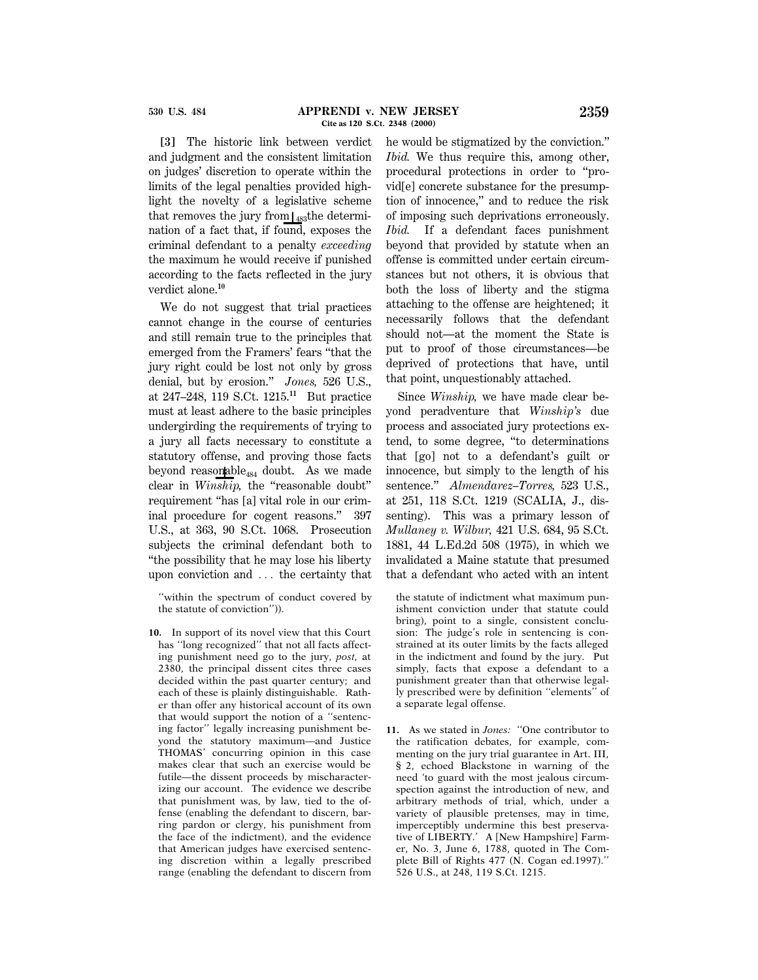**[3]** The historic link between verdict and judgment and the consistent limitation on judges' discretion to operate within the limits of the legal penalties provided highlight the novelty of a legislative scheme that removes the jury from  $\frac{1}{483}$ the determination of a fact that, if found, exposes the criminal defendant to a penalty *exceeding* the maximum he would receive if punished according to the facts reflected in the jury verdict alone.**<sup>10</sup>**

We do not suggest that trial practices cannot change in the course of centuries and still remain true to the principles that emerged from the Framers' fears ''that the jury right could be lost not only by gross denial, but by erosion.'' *Jones,* 526 U.S., at 247–248, 119 S.Ct. 1215.**<sup>11</sup>** But practice must at least adhere to the basic principles undergirding the requirements of trying to a jury all facts necessary to constitute a statutory offense, and proving those facts beyond reasonable<sub>484</sub> doubt. As we made clear in *Winship,* the ''reasonable doubt'' requirement ''has [a] vital role in our criminal procedure for cogent reasons.'' 397 U.S., at 363, 90 S.Ct. 1068. Prosecution subjects the criminal defendant both to ''the possibility that he may lose his liberty upon conviction and  $\ldots$  the certainty that

''within the spectrum of conduct covered by the statute of conviction'')).

**10.** In support of its novel view that this Court has ''long recognized'' that not all facts affecting punishment need go to the jury, *post,* at 2380, the principal dissent cites three cases decided within the past quarter century; and each of these is plainly distinguishable. Rather than offer any historical account of its own that would support the notion of a ''sentencing factor'' legally increasing punishment beyond the statutory maximum—and Justice THOMAS' concurring opinion in this case makes clear that such an exercise would be futile—the dissent proceeds by mischaracterizing our account. The evidence we describe that punishment was, by law, tied to the offense (enabling the defendant to discern, barring pardon or clergy, his punishment from the face of the indictment), and the evidence that American judges have exercised sentencing discretion within a legally prescribed range (enabling the defendant to discern from he would be stigmatized by the conviction.'' *Ibid.* We thus require this, among other, procedural protections in order to ''provid[e] concrete substance for the presumption of innocence,'' and to reduce the risk of imposing such deprivations erroneously. *Ibid.* If a defendant faces punishment beyond that provided by statute when an offense is committed under certain circumstances but not others, it is obvious that both the loss of liberty and the stigma attaching to the offense are heightened; it necessarily follows that the defendant should not—at the moment the State is put to proof of those circumstances—be deprived of protections that have, until that point, unquestionably attached.

Since *Winship,* we have made clear beyond peradventure that *Winship's* due process and associated jury protections extend, to some degree, ''to determinations that [go] not to a defendant's guilt or innocence, but simply to the length of his sentence.'' *Almendarez–Torres,* 523 U.S., at 251, 118 S.Ct. 1219 (SCALIA, J., dissenting). This was a primary lesson of *Mullaney v. Wilbur,* 421 U.S. 684, 95 S.Ct. 1881, 44 L.Ed.2d 508 (1975), in which we invalidated a Maine statute that presumed that a defendant who acted with an intent

- the statute of indictment what maximum punishment conviction under that statute could bring), point to a single, consistent conclusion: The judge's role in sentencing is constrained at its outer limits by the facts alleged in the indictment and found by the jury. Put simply, facts that expose a defendant to a punishment greater than that otherwise legally prescribed were by definition ''elements'' of a separate legal offense.
- **11.** As we stated in *Jones:* ''One contributor to the ratification debates, for example, commenting on the jury trial guarantee in Art. III, § 2, echoed Blackstone in warning of the need 'to guard with the most jealous circumspection against the introduction of new, and arbitrary methods of trial, which, under a variety of plausible pretenses, may in time, imperceptibly undermine this best preservative of LIBERTY.' A [New Hampshire] Farmer, No. 3, June 6, 1788, quoted in The Complete Bill of Rights 477 (N. Cogan ed.1997).'' 526 U.S., at 248, 119 S.Ct. 1215.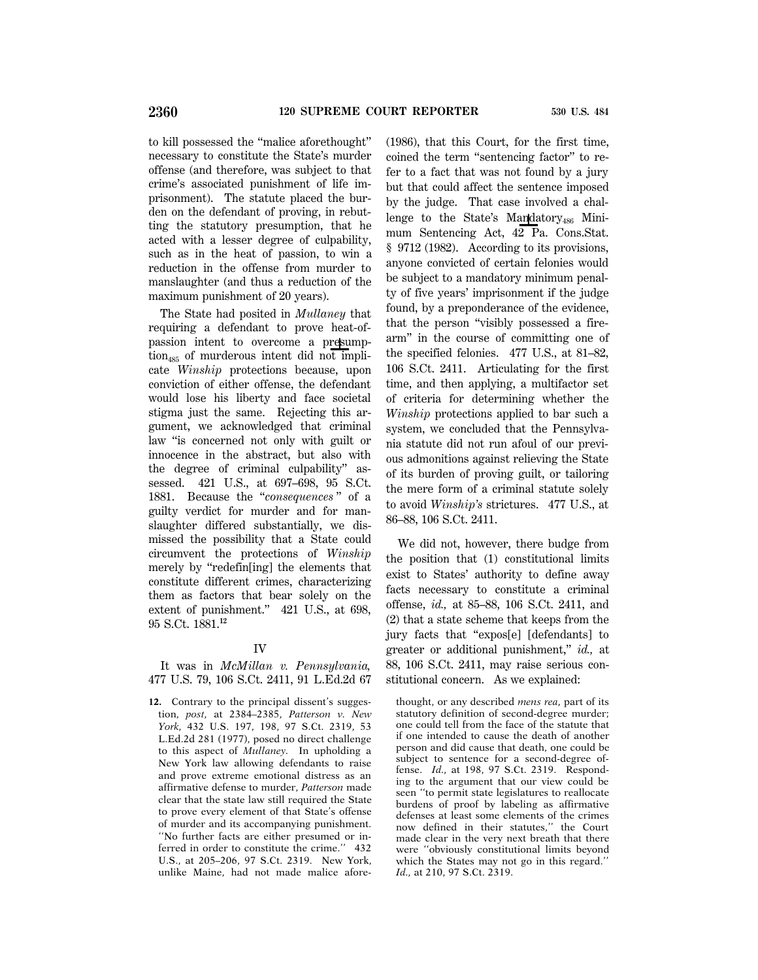to kill possessed the ''malice aforethought'' necessary to constitute the State's murder offense (and therefore, was subject to that crime's associated punishment of life imprisonment). The statute placed the burden on the defendant of proving, in rebutting the statutory presumption, that he acted with a lesser degree of culpability, such as in the heat of passion, to win a reduction in the offense from murder to manslaughter (and thus a reduction of the maximum punishment of 20 years).

The State had posited in *Mullaney* that requiring a defendant to prove heat-ofpassion intent to overcome a preSsumption<sub>485</sub> of murderous intent did not implicate *Winship* protections because, upon conviction of either offense, the defendant would lose his liberty and face societal stigma just the same. Rejecting this argument, we acknowledged that criminal law "is concerned not only with guilt or innocence in the abstract, but also with the degree of criminal culpability'' assessed. 421 U.S., at 697–698, 95 S.Ct. 1881. Because the "consequences" of a guilty verdict for murder and for manslaughter differed substantially, we dismissed the possibility that a State could circumvent the protections of *Winship* merely by ''redefin[ing] the elements that constitute different crimes, characterizing them as factors that bear solely on the extent of punishment.'' 421 U.S., at 698, 95 S.Ct. 1881.**<sup>12</sup>**

## IV

It was in *McMillan v. Pennsylvania,* 477 U.S. 79, 106 S.Ct. 2411, 91 L.Ed.2d 67

**12.** Contrary to the principal dissent's suggestion, *post,* at 2384–2385, *Patterson v. New York,* 432 U.S. 197, 198, 97 S.Ct. 2319, 53 L.Ed.2d 281 (1977), posed no direct challenge to this aspect of *Mullaney.* In upholding a New York law allowing defendants to raise and prove extreme emotional distress as an affirmative defense to murder, *Patterson* made clear that the state law still required the State to prove every element of that State's offense of murder and its accompanying punishment. ''No further facts are either presumed or inferred in order to constitute the crime.'' 432 U.S., at 205–206, 97 S.Ct. 2319. New York, unlike Maine, had not made malice afore(1986), that this Court, for the first time, coined the term ''sentencing factor'' to refer to a fact that was not found by a jury but that could affect the sentence imposed by the judge. That case involved a challenge to the State's Mandatory<sub>486</sub> Minimum Sentencing Act, 42 Pa. Cons.Stat. § 9712 (1982). According to its provisions, anyone convicted of certain felonies would be subject to a mandatory minimum penalty of five years' imprisonment if the judge found, by a preponderance of the evidence, that the person ''visibly possessed a firearm'' in the course of committing one of the specified felonies. 477 U.S., at 81–82, 106 S.Ct. 2411. Articulating for the first time, and then applying, a multifactor set of criteria for determining whether the *Winship* protections applied to bar such a system, we concluded that the Pennsylvania statute did not run afoul of our previous admonitions against relieving the State of its burden of proving guilt, or tailoring the mere form of a criminal statute solely to avoid *Winship's* strictures. 477 U.S., at 86–88, 106 S.Ct. 2411.

We did not, however, there budge from the position that (1) constitutional limits exist to States' authority to define away facts necessary to constitute a criminal offense, *id.,* at 85–88, 106 S.Ct. 2411, and (2) that a state scheme that keeps from the jury facts that ''expos[e] [defendants] to greater or additional punishment,'' *id.,* at 88, 106 S.Ct. 2411, may raise serious constitutional concern. As we explained:

thought, or any described *mens rea,* part of its statutory definition of second-degree murder; one could tell from the face of the statute that if one intended to cause the death of another person and did cause that death, one could be subject to sentence for a second-degree offense. *Id.,* at 198, 97 S.Ct. 2319. Responding to the argument that our view could be seen ''to permit state legislatures to reallocate burdens of proof by labeling as affirmative defenses at least some elements of the crimes now defined in their statutes,'' the Court made clear in the very next breath that there were ''obviously constitutional limits beyond which the States may not go in this regard.'' *Id.,* at 210, 97 S.Ct. 2319.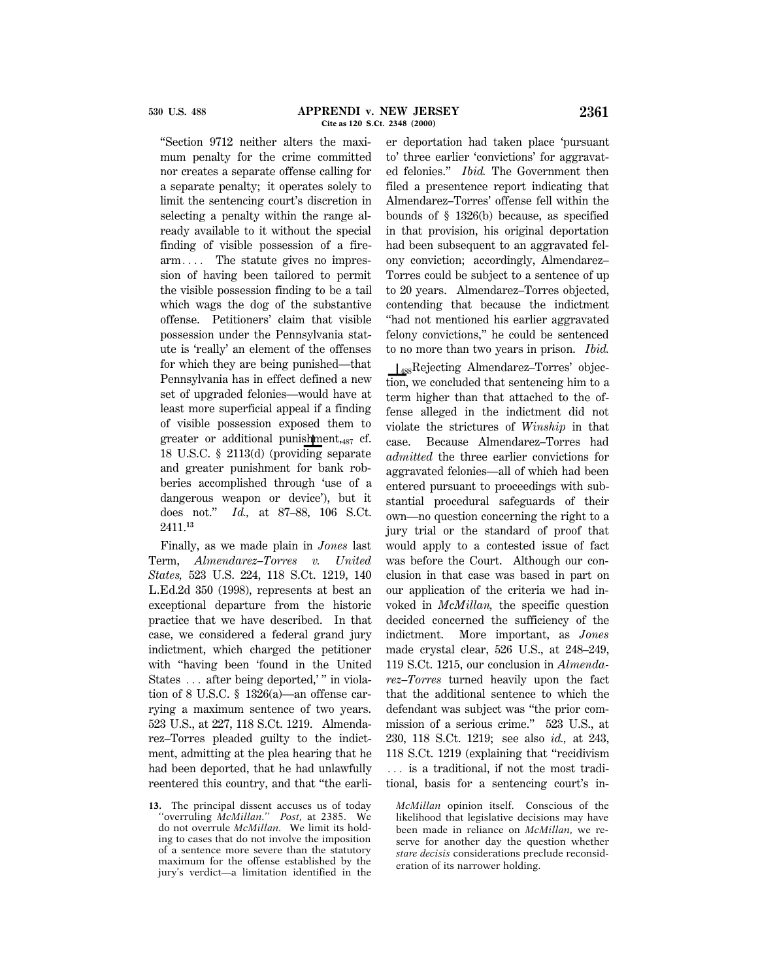''Section 9712 neither alters the maximum penalty for the crime committed nor creates a separate offense calling for a separate penalty; it operates solely to limit the sentencing court's discretion in selecting a penalty within the range already available to it without the special finding of visible possession of a fire $arm...$  The statute gives no impression of having been tailored to permit the visible possession finding to be a tail which wags the dog of the substantive offense. Petitioners' claim that visible possession under the Pennsylvania statute is 'really' an element of the offenses for which they are being punished—that Pennsylvania has in effect defined a new set of upgraded felonies—would have at least more superficial appeal if a finding of visible possession exposed them to greater or additional punishment, $_{487}$  cf. 18 U.S.C. § 2113(d) (providing separate and greater punishment for bank robberies accomplished through 'use of a dangerous weapon or device'), but it does not.'' *Id.,* at 87–88, 106 S.Ct. 2411.**<sup>13</sup>**

Finally, as we made plain in *Jones* last Term, *Almendarez–Torres v. United States,* 523 U.S. 224, 118 S.Ct. 1219, 140 L.Ed.2d 350 (1998), represents at best an exceptional departure from the historic practice that we have described. In that case, we considered a federal grand jury indictment, which charged the petitioner with ''having been 'found in the United States  $\ldots$  after being deported,'" in violation of 8 U.S.C. § 1326(a)—an offense carrying a maximum sentence of two years. 523 U.S., at 227, 118 S.Ct. 1219. Almendarez–Torres pleaded guilty to the indictment, admitting at the plea hearing that he had been deported, that he had unlawfully reentered this country, and that ''the earlier deportation had taken place 'pursuant to' three earlier 'convictions' for aggravated felonies.'' *Ibid.* The Government then filed a presentence report indicating that Almendarez–Torres' offense fell within the bounds of § 1326(b) because, as specified in that provision, his original deportation had been subsequent to an aggravated felony conviction; accordingly, Almendarez– Torres could be subject to a sentence of up to 20 years. Almendarez–Torres objected, contending that because the indictment ''had not mentioned his earlier aggravated felony convictions,'' he could be sentenced to no more than two years in prison. *Ibid.*

S488Rejecting Almendarez–Torres' objection, we concluded that sentencing him to a term higher than that attached to the offense alleged in the indictment did not violate the strictures of *Winship* in that case. Because Almendarez–Torres had *admitted* the three earlier convictions for aggravated felonies—all of which had been entered pursuant to proceedings with substantial procedural safeguards of their own—no question concerning the right to a jury trial or the standard of proof that would apply to a contested issue of fact was before the Court. Although our conclusion in that case was based in part on our application of the criteria we had invoked in *McMillan,* the specific question decided concerned the sufficiency of the indictment. More important, as *Jones* made crystal clear, 526 U.S., at 248–249, 119 S.Ct. 1215, our conclusion in *Almendarez–Torres* turned heavily upon the fact that the additional sentence to which the defendant was subject was ''the prior commission of a serious crime.'' 523 U.S., at 230, 118 S.Ct. 1219; see also *id.,* at 243, 118 S.Ct. 1219 (explaining that ''recidivism  $\ldots$  is a traditional, if not the most traditional, basis for a sentencing court's in-

*McMillan* opinion itself. Conscious of the likelihood that legislative decisions may have been made in reliance on *McMillan,* we reserve for another day the question whether *stare decisis* considerations preclude reconsideration of its narrower holding.

**<sup>13.</sup>** The principal dissent accuses us of today 'overruling *McMillan.*" *Post*, at 2385. We do not overrule *McMillan.* We limit its holding to cases that do not involve the imposition of a sentence more severe than the statutory maximum for the offense established by the jury's verdict—a limitation identified in the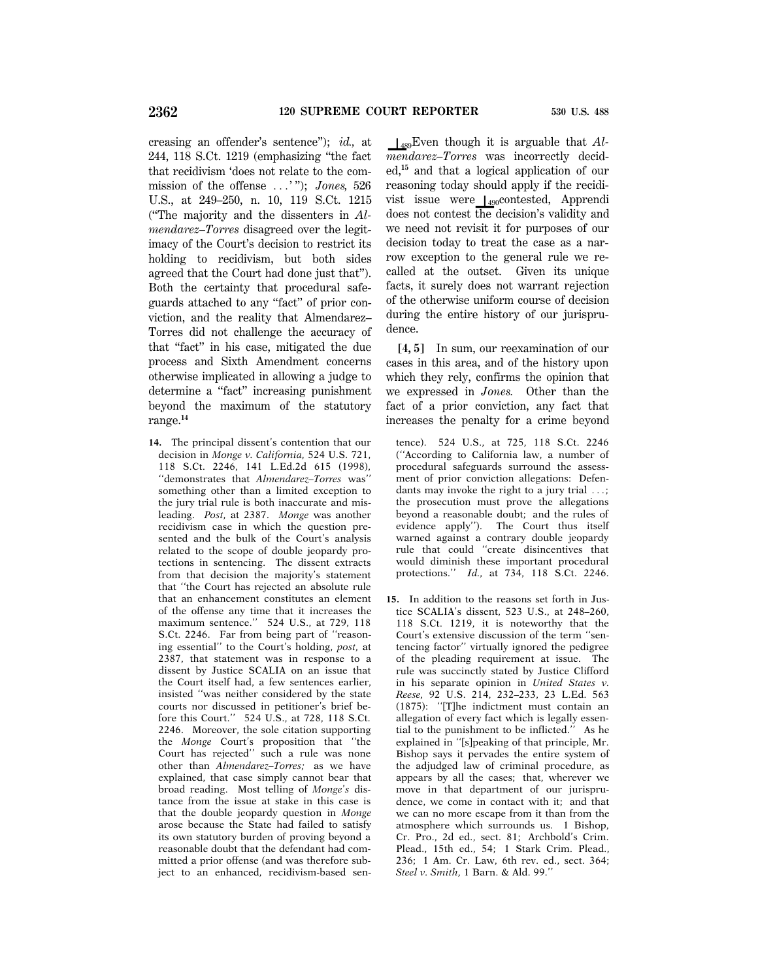creasing an offender's sentence''); *id.,* at 244, 118 S.Ct. 1219 (emphasizing ''the fact that recidivism 'does not relate to the commission of the offense ...'"); *Jones*, 526 U.S., at 249–250, n. 10, 119 S.Ct. 1215 (''The majority and the dissenters in *Almendarez–Torres* disagreed over the legitimacy of the Court's decision to restrict its holding to recidivism, but both sides agreed that the Court had done just that''). Both the certainty that procedural safeguards attached to any ''fact'' of prior conviction, and the reality that Almendarez– Torres did not challenge the accuracy of that ''fact'' in his case, mitigated the due process and Sixth Amendment concerns otherwise implicated in allowing a judge to determine a ''fact'' increasing punishment beyond the maximum of the statutory range.**<sup>14</sup>**

**14.** The principal dissent's contention that our decision in *Monge v. California,* 524 U.S. 721, 118 S.Ct. 2246, 141 L.Ed.2d 615 (1998), ''demonstrates that *Almendarez–Torres* was'' something other than a limited exception to the jury trial rule is both inaccurate and misleading. *Post,* at 2387. *Monge* was another recidivism case in which the question presented and the bulk of the Court's analysis related to the scope of double jeopardy protections in sentencing. The dissent extracts from that decision the majority's statement that ''the Court has rejected an absolute rule that an enhancement constitutes an element of the offense any time that it increases the maximum sentence.'' 524 U.S., at 729, 118 S.Ct. 2246. Far from being part of ''reasoning essential'' to the Court's holding, *post,* at 2387, that statement was in response to a dissent by Justice SCALIA on an issue that the Court itself had, a few sentences earlier, insisted ''was neither considered by the state courts nor discussed in petitioner's brief before this Court.'' 524 U.S., at 728, 118 S.Ct. 2246. Moreover, the sole citation supporting the *Monge* Court's proposition that ''the Court has rejected'' such a rule was none other than *Almendarez–Torres;* as we have explained, that case simply cannot bear that broad reading. Most telling of *Monge*'*s* distance from the issue at stake in this case is that the double jeopardy question in *Monge* arose because the State had failed to satisfy its own statutory burden of proving beyond a reasonable doubt that the defendant had committed a prior offense (and was therefore subject to an enhanced, recidivism-based sen-

 $\log$ Even though it is arguable that *Almendarez–Torres* was incorrectly decided,**<sup>15</sup>** and that a logical application of our reasoning today should apply if the recidivist issue were  $\perp_{490}$ contested, Apprendi does not contest the decision's validity and we need not revisit it for purposes of our decision today to treat the case as a narrow exception to the general rule we recalled at the outset. Given its unique facts, it surely does not warrant rejection of the otherwise uniform course of decision during the entire history of our jurisprudence.

**[4, 5]** In sum, our reexamination of our cases in this area, and of the history upon which they rely, confirms the opinion that we expressed in *Jones.* Other than the fact of a prior conviction, any fact that increases the penalty for a crime beyond

- tence). 524 U.S., at 725, 118 S.Ct. 2246 (''According to California law, a number of procedural safeguards surround the assessment of prior conviction allegations: Defendants may invoke the right to a jury trial  $\ldots$ ; the prosecution must prove the allegations beyond a reasonable doubt; and the rules of evidence apply''). The Court thus itself warned against a contrary double jeopardy rule that could ''create disincentives that would diminish these important procedural protections.'' *Id.,* at 734, 118 S.Ct. 2246.
- **15.** In addition to the reasons set forth in Justice SCALIA's dissent, 523 U.S., at 248–260, 118 S.Ct. 1219, it is noteworthy that the Court's extensive discussion of the term ''sentencing factor'' virtually ignored the pedigree of the pleading requirement at issue. The rule was succinctly stated by Justice Clifford in his separate opinion in *United States v. Reese,* 92 U.S. 214, 232–233, 23 L.Ed. 563 (1875): ''[T]he indictment must contain an allegation of every fact which is legally essential to the punishment to be inflicted.'' As he explained in ''[s]peaking of that principle, Mr. Bishop says it pervades the entire system of the adjudged law of criminal procedure, as appears by all the cases; that, wherever we move in that department of our jurisprudence, we come in contact with it; and that we can no more escape from it than from the atmosphere which surrounds us. 1 Bishop, Cr. Pro., 2d ed., sect. 81; Archbold's Crim. Plead., 15th ed., 54; 1 Stark Crim. Plead., 236; 1 Am. Cr. Law, 6th rev. ed., sect. 364; *Steel v. Smith,* 1 Barn. & Ald. 99.''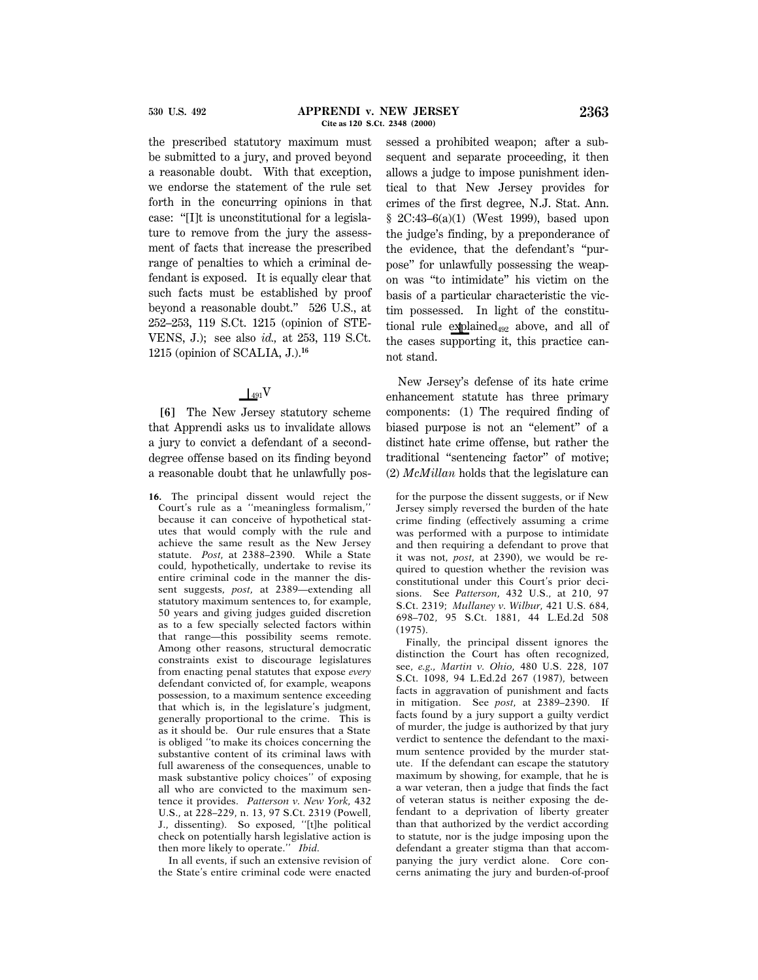the prescribed statutory maximum must be submitted to a jury, and proved beyond a reasonable doubt. With that exception, we endorse the statement of the rule set forth in the concurring opinions in that case: ''[I]t is unconstitutional for a legislature to remove from the jury the assessment of facts that increase the prescribed range of penalties to which a criminal defendant is exposed. It is equally clear that such facts must be established by proof beyond a reasonable doubt.'' 526 U.S., at 252–253, 119 S.Ct. 1215 (opinion of STE-VENS, J.); see also *id.,* at 253, 119 S.Ct. 1215 (opinion of SCALIA, J.).**<sup>16</sup>**

# $\perp$ <sub>491</sub>V

**[6]** The New Jersey statutory scheme that Apprendi asks us to invalidate allows a jury to convict a defendant of a seconddegree offense based on its finding beyond a reasonable doubt that he unlawfully pos-

**16.** The principal dissent would reject the Court's rule as a ''meaningless formalism,'' because it can conceive of hypothetical statutes that would comply with the rule and achieve the same result as the New Jersey statute. *Post,* at 2388–2390. While a State could, hypothetically, undertake to revise its entire criminal code in the manner the dissent suggests, *post,* at 2389—extending all statutory maximum sentences to, for example, 50 years and giving judges guided discretion as to a few specially selected factors within that range—this possibility seems remote. Among other reasons, structural democratic constraints exist to discourage legislatures from enacting penal statutes that expose *every* defendant convicted of, for example, weapons possession, to a maximum sentence exceeding that which is, in the legislature's judgment, generally proportional to the crime. This is as it should be. Our rule ensures that a State is obliged ''to make its choices concerning the substantive content of its criminal laws with full awareness of the consequences, unable to mask substantive policy choices'' of exposing all who are convicted to the maximum sentence it provides. *Patterson v. New York,* 432 U.S., at 228–229, n. 13, 97 S.Ct. 2319 (Powell, J., dissenting). So exposed, ''[t]he political check on potentially harsh legislative action is then more likely to operate.'' *Ibid.*

In all events, if such an extensive revision of the State's entire criminal code were enacted

sessed a prohibited weapon; after a subsequent and separate proceeding, it then allows a judge to impose punishment identical to that New Jersey provides for crimes of the first degree, N.J. Stat. Ann. § 2C:43–6(a)(1) (West 1999), based upon the judge's finding, by a preponderance of the evidence, that the defendant's ''purpose'' for unlawfully possessing the weapon was ''to intimidate'' his victim on the basis of a particular characteristic the victim possessed. In light of the constitutional rule explained<sub>492</sub> above, and all of the cases supporting it, this practice cannot stand.

New Jersey's defense of its hate crime enhancement statute has three primary components: (1) The required finding of biased purpose is not an ''element'' of a distinct hate crime offense, but rather the traditional ''sentencing factor'' of motive; (2) *McMillan* holds that the legislature can

for the purpose the dissent suggests, or if New Jersey simply reversed the burden of the hate crime finding (effectively assuming a crime was performed with a purpose to intimidate and then requiring a defendant to prove that it was not, *post,* at 2390), we would be required to question whether the revision was constitutional under this Court's prior decisions. See *Patterson,* 432 U.S., at 210, 97 S.Ct. 2319; *Mullaney v. Wilbur,* 421 U.S. 684, 698–702, 95 S.Ct. 1881, 44 L.Ed.2d 508 (1975).

Finally, the principal dissent ignores the distinction the Court has often recognized, see, *e.g., Martin v. Ohio,* 480 U.S. 228, 107 S.Ct. 1098, 94 L.Ed.2d 267 (1987), between facts in aggravation of punishment and facts in mitigation. See *post,* at 2389–2390. If facts found by a jury support a guilty verdict of murder, the judge is authorized by that jury verdict to sentence the defendant to the maximum sentence provided by the murder statute. If the defendant can escape the statutory maximum by showing, for example, that he is a war veteran, then a judge that finds the fact of veteran status is neither exposing the defendant to a deprivation of liberty greater than that authorized by the verdict according to statute, nor is the judge imposing upon the defendant a greater stigma than that accompanying the jury verdict alone. Core concerns animating the jury and burden-of-proof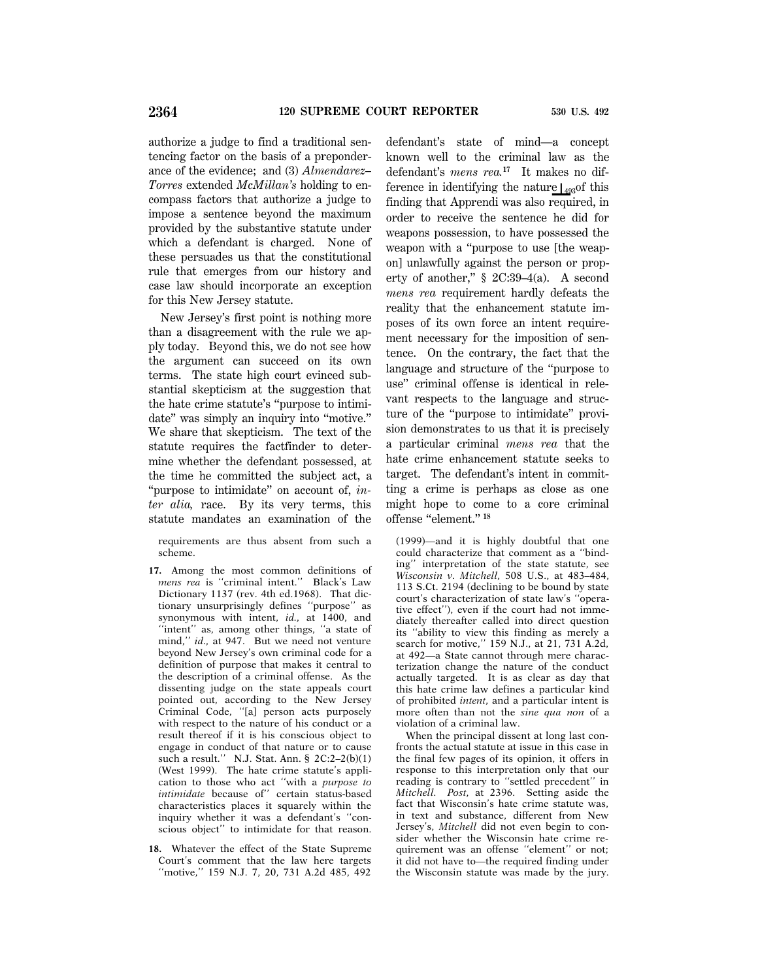authorize a judge to find a traditional sentencing factor on the basis of a preponderance of the evidence; and (3) *Almendarez– Torres* extended *McMillan's* holding to encompass factors that authorize a judge to impose a sentence beyond the maximum provided by the substantive statute under which a defendant is charged. None of these persuades us that the constitutional rule that emerges from our history and case law should incorporate an exception for this New Jersey statute.

New Jersey's first point is nothing more than a disagreement with the rule we apply today. Beyond this, we do not see how the argument can succeed on its own terms. The state high court evinced substantial skepticism at the suggestion that the hate crime statute's ''purpose to intimidate'' was simply an inquiry into ''motive.'' We share that skepticism. The text of the statute requires the factfinder to determine whether the defendant possessed, at the time he committed the subject act, a "purpose to intimidate" on account of, *inter alia,* race. By its very terms, this statute mandates an examination of the

requirements are thus absent from such a scheme.

- **17.** Among the most common definitions of *mens rea* is ''criminal intent.'' Black's Law Dictionary 1137 (rev. 4th ed.1968). That dictionary unsurprisingly defines ''purpose'' as synonymous with intent, *id.,* at 1400, and ''intent'' as, among other things, ''a state of mind,'' *id.,* at 947. But we need not venture beyond New Jersey's own criminal code for a definition of purpose that makes it central to the description of a criminal offense. As the dissenting judge on the state appeals court pointed out, according to the New Jersey Criminal Code, ''[a] person acts purposely with respect to the nature of his conduct or a result thereof if it is his conscious object to engage in conduct of that nature or to cause such a result.'' N.J. Stat. Ann. § 2C:2–2(b)(1) (West 1999). The hate crime statute's application to those who act ''with a *purpose to intimidate* because of'' certain status-based characteristics places it squarely within the inquiry whether it was a defendant's ''conscious object'' to intimidate for that reason.
- **18.** Whatever the effect of the State Supreme Court's comment that the law here targets ''motive,'' 159 N.J. 7, 20, 731 A.2d 485, 492

defendant's state of mind—a concept known well to the criminal law as the defendant's *mens rea.***<sup>17</sup>** It makes no difference in identifying the nature  $\begin{bmatrix} 4930 \end{bmatrix}$  this finding that Apprendi was also required, in order to receive the sentence he did for weapons possession, to have possessed the weapon with a ''purpose to use [the weapon] unlawfully against the person or property of another,'' § 2C:39–4(a). A second *mens rea* requirement hardly defeats the reality that the enhancement statute imposes of its own force an intent requirement necessary for the imposition of sentence. On the contrary, the fact that the language and structure of the ''purpose to use'' criminal offense is identical in relevant respects to the language and structure of the ''purpose to intimidate'' provision demonstrates to us that it is precisely a particular criminal *mens rea* that the hate crime enhancement statute seeks to target. The defendant's intent in committing a crime is perhaps as close as one might hope to come to a core criminal offense ''element.'' **<sup>18</sup>**

(1999)—and it is highly doubtful that one could characterize that comment as a ''binding'' interpretation of the state statute, see *Wisconsin v. Mitchell,* 508 U.S., at 483–484, 113 S.Ct. 2194 (declining to be bound by state court's characterization of state law's ''operative effect''), even if the court had not immediately thereafter called into direct question its ''ability to view this finding as merely a search for motive,'' 159 N.J., at 21, 731 A.2d, at 492—a State cannot through mere characterization change the nature of the conduct actually targeted. It is as clear as day that this hate crime law defines a particular kind of prohibited *intent,* and a particular intent is more often than not the *sine qua non* of a violation of a criminal law.

When the principal dissent at long last confronts the actual statute at issue in this case in the final few pages of its opinion, it offers in response to this interpretation only that our reading is contrary to ''settled precedent'' in *Mitchell. Post,* at 2396. Setting aside the fact that Wisconsin's hate crime statute was, in text and substance, different from New Jersey's, *Mitchell* did not even begin to consider whether the Wisconsin hate crime requirement was an offense ''element'' or not; it did not have to—the required finding under the Wisconsin statute was made by the jury.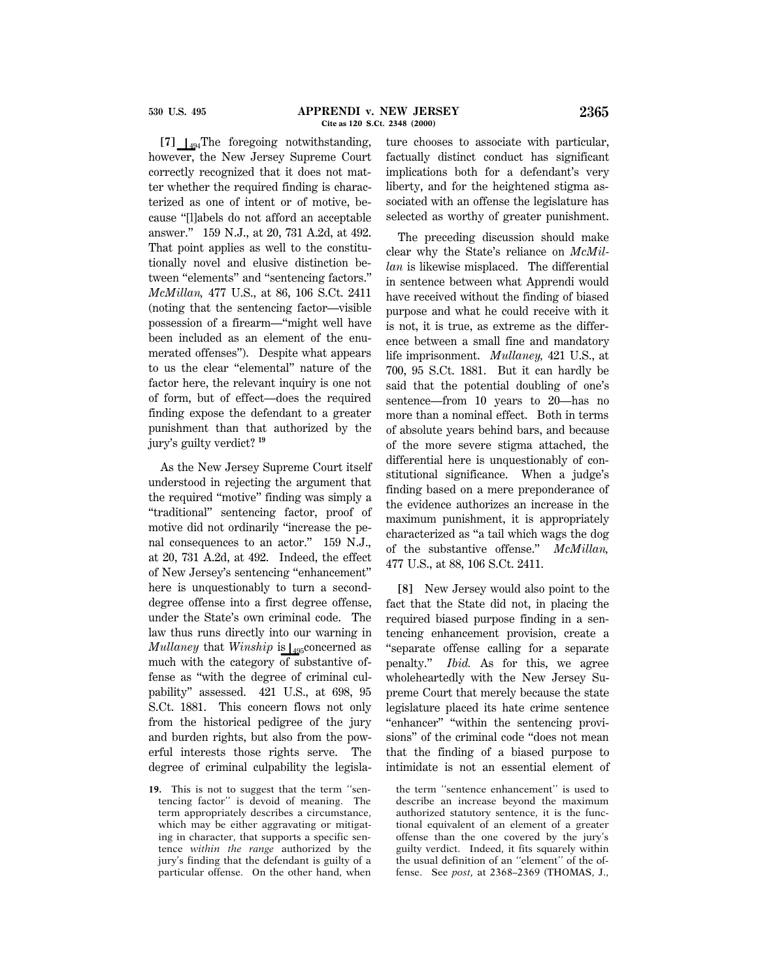$\begin{bmatrix} 7 \end{bmatrix}$   $\begin{bmatrix} 494 \end{bmatrix}$ The foregoing notwithstanding, however, the New Jersey Supreme Court correctly recognized that it does not matter whether the required finding is characterized as one of intent or of motive, because ''[l]abels do not afford an acceptable answer.'' 159 N.J., at 20, 731 A.2d, at 492. That point applies as well to the constitutionally novel and elusive distinction between ''elements'' and ''sentencing factors.'' *McMillan,* 477 U.S., at 86, 106 S.Ct. 2411 (noting that the sentencing factor—visible possession of a firearm—''might well have been included as an element of the enumerated offenses''). Despite what appears to us the clear ''elemental'' nature of the factor here, the relevant inquiry is one not of form, but of effect—does the required finding expose the defendant to a greater punishment than that authorized by the jury's guilty verdict? **<sup>19</sup>**

As the New Jersey Supreme Court itself understood in rejecting the argument that the required ''motive'' finding was simply a ''traditional'' sentencing factor, proof of motive did not ordinarily ''increase the penal consequences to an actor.'' 159 N.J., at 20, 731 A.2d, at 492. Indeed, the effect of New Jersey's sentencing ''enhancement'' here is unquestionably to turn a seconddegree offense into a first degree offense, under the State's own criminal code. The law thus runs directly into our warning in *Mullaney* that *Winship* is  $\frac{1}{495}$ concerned as much with the category of substantive offense as ''with the degree of criminal culpability'' assessed. 421 U.S., at 698, 95 S.Ct. 1881. This concern flows not only from the historical pedigree of the jury and burden rights, but also from the powerful interests those rights serve. The degree of criminal culpability the legisla-

**19.** This is not to suggest that the term ''sentencing factor'' is devoid of meaning. The term appropriately describes a circumstance, which may be either aggravating or mitigating in character, that supports a specific sentence *within the range* authorized by the jury's finding that the defendant is guilty of a particular offense. On the other hand, when ture chooses to associate with particular, factually distinct conduct has significant implications both for a defendant's very liberty, and for the heightened stigma associated with an offense the legislature has selected as worthy of greater punishment.

The preceding discussion should make clear why the State's reliance on *McMillan* is likewise misplaced. The differential in sentence between what Apprendi would have received without the finding of biased purpose and what he could receive with it is not, it is true, as extreme as the difference between a small fine and mandatory life imprisonment. *Mullaney,* 421 U.S., at 700, 95 S.Ct. 1881. But it can hardly be said that the potential doubling of one's sentence—from 10 years to 20—has no more than a nominal effect. Both in terms of absolute years behind bars, and because of the more severe stigma attached, the differential here is unquestionably of constitutional significance. When a judge's finding based on a mere preponderance of the evidence authorizes an increase in the maximum punishment, it is appropriately characterized as ''a tail which wags the dog of the substantive offense.'' *McMillan,* 477 U.S., at 88, 106 S.Ct. 2411.

**[8]** New Jersey would also point to the fact that the State did not, in placing the required biased purpose finding in a sentencing enhancement provision, create a ''separate offense calling for a separate penalty.'' *Ibid.* As for this, we agree wholeheartedly with the New Jersey Supreme Court that merely because the state legislature placed its hate crime sentence "enhancer" "within the sentencing provisions'' of the criminal code ''does not mean that the finding of a biased purpose to intimidate is not an essential element of

the term ''sentence enhancement'' is used to describe an increase beyond the maximum authorized statutory sentence, it is the functional equivalent of an element of a greater offense than the one covered by the jury's guilty verdict. Indeed, it fits squarely within the usual definition of an ''element'' of the offense. See *post,* at 2368–2369 (THOMAS, J.,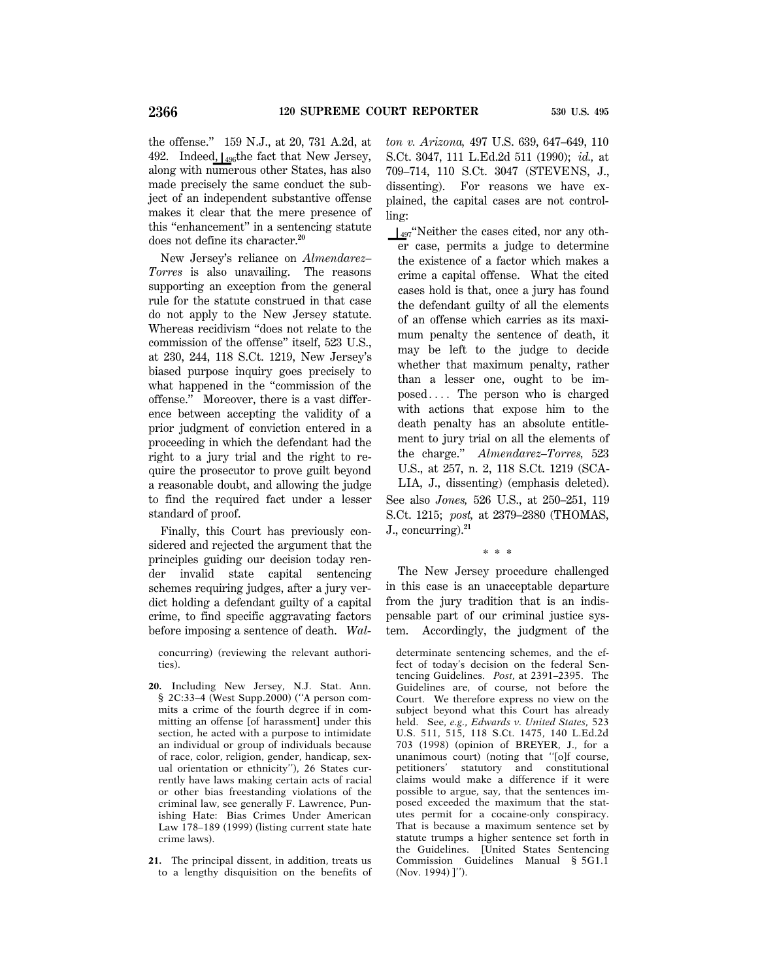the offense.'' 159 N.J., at 20, 731 A.2d, at 492. Indeed,  $I_{496}$ the fact that New Jersey, along with numerous other States, has also made precisely the same conduct the subject of an independent substantive offense makes it clear that the mere presence of this ''enhancement'' in a sentencing statute does not define its character.**<sup>20</sup>**

New Jersey's reliance on *Almendarez– Torres* is also unavailing. The reasons supporting an exception from the general rule for the statute construed in that case do not apply to the New Jersey statute. Whereas recidivism ''does not relate to the commission of the offense'' itself, 523 U.S., at 230, 244, 118 S.Ct. 1219, New Jersey's biased purpose inquiry goes precisely to what happened in the ''commission of the offense.'' Moreover, there is a vast difference between accepting the validity of a prior judgment of conviction entered in a proceeding in which the defendant had the right to a jury trial and the right to require the prosecutor to prove guilt beyond a reasonable doubt, and allowing the judge to find the required fact under a lesser standard of proof.

Finally, this Court has previously considered and rejected the argument that the principles guiding our decision today render invalid state capital sentencing schemes requiring judges, after a jury verdict holding a defendant guilty of a capital crime, to find specific aggravating factors before imposing a sentence of death. *Wal*-

concurring) (reviewing the relevant authorities).

- **20.** Including New Jersey, N.J. Stat. Ann. § 2C:33–4 (West Supp.2000) (''A person commits a crime of the fourth degree if in committing an offense [of harassment] under this section, he acted with a purpose to intimidate an individual or group of individuals because of race, color, religion, gender, handicap, sexual orientation or ethnicity''), 26 States currently have laws making certain acts of racial or other bias freestanding violations of the criminal law, see generally F. Lawrence, Punishing Hate: Bias Crimes Under American Law 178–189 (1999) (listing current state hate crime laws).
- **21.** The principal dissent, in addition, treats us to a lengthy disquisition on the benefits of

*ton v. Arizona,* 497 U.S. 639, 647–649, 110 S.Ct. 3047, 111 L.Ed.2d 511 (1990); *id.,* at 709–714, 110 S.Ct. 3047 (STEVENS, J., dissenting). For reasons we have explained, the capital cases are not controlling:

 $\frac{1}{497}$ "Neither the cases cited, nor any other case, permits a judge to determine the existence of a factor which makes a crime a capital offense. What the cited cases hold is that, once a jury has found the defendant guilty of all the elements of an offense which carries as its maximum penalty the sentence of death, it may be left to the judge to decide whether that maximum penalty, rather than a lesser one, ought to be im $posed...$  The person who is charged with actions that expose him to the death penalty has an absolute entitlement to jury trial on all the elements of the charge.'' *Almendarez–Torres,* 523 U.S., at 257, n. 2, 118 S.Ct. 1219 (SCA-LIA, J., dissenting) (emphasis deleted). See also *Jones,* 526 U.S., at 250–251, 119 S.Ct. 1215; *post,* at 2379–2380 (THOMAS, J., concurring).**<sup>21</sup>**

\* \* \*

The New Jersey procedure challenged in this case is an unacceptable departure from the jury tradition that is an indispensable part of our criminal justice system. Accordingly, the judgment of the

determinate sentencing schemes, and the effect of today's decision on the federal Sentencing Guidelines. *Post,* at 2391–2395. The Guidelines are, of course, not before the Court. We therefore express no view on the subject beyond what this Court has already held. See, *e.g., Edwards v. United States,* 523 U.S. 511, 515, 118 S.Ct. 1475, 140 L.Ed.2d 703 (1998) (opinion of BREYER, J., for a unanimous court) (noting that ''[o]f course, petitioners' statutory and constitutional claims would make a difference if it were possible to argue, say, that the sentences imposed exceeded the maximum that the statutes permit for a cocaine-only conspiracy. That is because a maximum sentence set by statute trumps a higher sentence set forth in the Guidelines. [United States Sentencing Commission Guidelines Manual § 5G1.1 (Nov. 1994) ]'').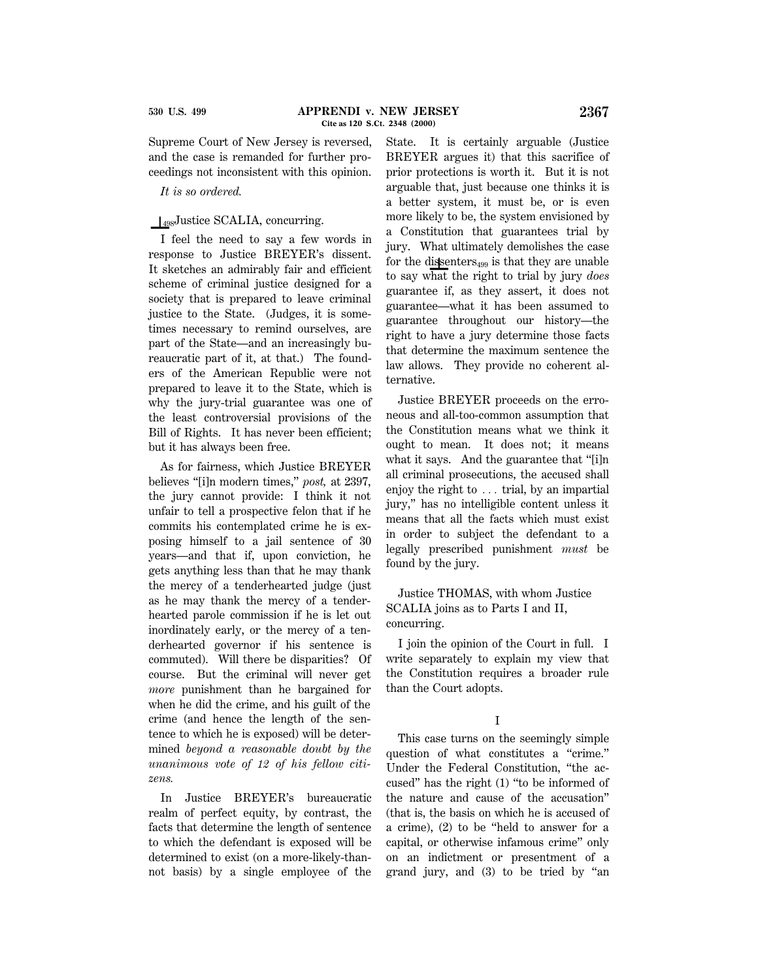Supreme Court of New Jersey is reversed, and the case is remanded for further proceedings not inconsistent with this opinion.

*It is so ordered.*

### $\frac{1}{498}$ Justice SCALIA, concurring.

I feel the need to say a few words in response to Justice BREYER's dissent. It sketches an admirably fair and efficient scheme of criminal justice designed for a society that is prepared to leave criminal justice to the State. (Judges, it is sometimes necessary to remind ourselves, are part of the State—and an increasingly bureaucratic part of it, at that.) The founders of the American Republic were not prepared to leave it to the State, which is why the jury-trial guarantee was one of the least controversial provisions of the Bill of Rights. It has never been efficient; but it has always been free.

As for fairness, which Justice BREYER believes ''[i]n modern times,'' *post,* at 2397, the jury cannot provide: I think it not unfair to tell a prospective felon that if he commits his contemplated crime he is exposing himself to a jail sentence of 30 years—and that if, upon conviction, he gets anything less than that he may thank the mercy of a tenderhearted judge (just as he may thank the mercy of a tenderhearted parole commission if he is let out inordinately early, or the mercy of a tenderhearted governor if his sentence is commuted). Will there be disparities? Of course. But the criminal will never get *more* punishment than he bargained for when he did the crime, and his guilt of the crime (and hence the length of the sentence to which he is exposed) will be determined *beyond a reasonable doubt by the unanimous vote of 12 of his fellow citizens.*

In Justice BREYER's bureaucratic realm of perfect equity, by contrast, the facts that determine the length of sentence to which the defendant is exposed will be determined to exist (on a more-likely-thannot basis) by a single employee of the State. It is certainly arguable (Justice BREYER argues it) that this sacrifice of prior protections is worth it. But it is not arguable that, just because one thinks it is a better system, it must be, or is even more likely to be, the system envisioned by a Constitution that guarantees trial by jury. What ultimately demolishes the case for the dissenters<sub>499</sub> is that they are unable to say what the right to trial by jury *does* guarantee if, as they assert, it does not guarantee—what it has been assumed to guarantee throughout our history—the right to have a jury determine those facts that determine the maximum sentence the law allows. They provide no coherent alternative.

Justice BREYER proceeds on the erroneous and all-too-common assumption that the Constitution means what we think it ought to mean. It does not; it means what it says. And the guarantee that "[i]n all criminal prosecutions, the accused shall enjoy the right to  $\ldots$  trial, by an impartial jury,'' has no intelligible content unless it means that all the facts which must exist in order to subject the defendant to a legally prescribed punishment *must* be found by the jury.

Justice THOMAS, with whom Justice SCALIA joins as to Parts I and II, concurring.

I join the opinion of the Court in full. I write separately to explain my view that the Constitution requires a broader rule than the Court adopts.

## I

This case turns on the seemingly simple question of what constitutes a ''crime.'' Under the Federal Constitution, ''the accused'' has the right (1) ''to be informed of the nature and cause of the accusation'' (that is, the basis on which he is accused of a crime), (2) to be ''held to answer for a capital, or otherwise infamous crime'' only on an indictment or presentment of a grand jury, and (3) to be tried by ''an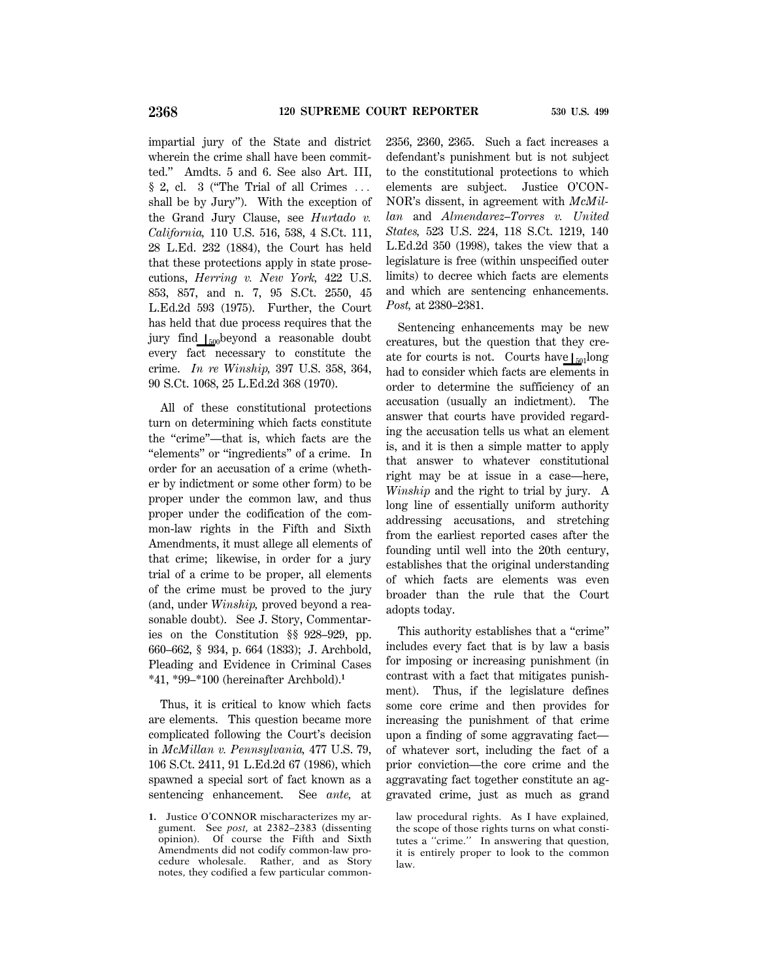impartial jury of the State and district wherein the crime shall have been committed.'' Amdts. 5 and 6. See also Art. III,  $§$  2, cl. 3 ("The Trial of all Crimes ... shall be by Jury''). With the exception of the Grand Jury Clause, see *Hurtado v. California,* 110 U.S. 516, 538, 4 S.Ct. 111, 28 L.Ed. 232 (1884), the Court has held that these protections apply in state prosecutions, *Herring v. New York,* 422 U.S. 853, 857, and n. 7, 95 S.Ct. 2550, 45 L.Ed.2d 593 (1975). Further, the Court has held that due process requires that the jury find  $I_{500}$ beyond a reasonable doubt every fact necessary to constitute the crime. *In re Winship,* 397 U.S. 358, 364, 90 S.Ct. 1068, 25 L.Ed.2d 368 (1970).

All of these constitutional protections turn on determining which facts constitute the ''crime''—that is, which facts are the ''elements'' or ''ingredients'' of a crime. In order for an accusation of a crime (whether by indictment or some other form) to be proper under the common law, and thus proper under the codification of the common-law rights in the Fifth and Sixth Amendments, it must allege all elements of that crime; likewise, in order for a jury trial of a crime to be proper, all elements of the crime must be proved to the jury (and, under *Winship,* proved beyond a reasonable doubt). See J. Story, Commentaries on the Constitution §§ 928–929, pp. 660–662, § 934, p. 664 (1833); J. Archbold, Pleading and Evidence in Criminal Cases \*41, \*99–\*100 (hereinafter Archbold).**<sup>1</sup>**

Thus, it is critical to know which facts are elements. This question became more complicated following the Court's decision in *McMillan v. Pennsylvania,* 477 U.S. 79, 106 S.Ct. 2411, 91 L.Ed.2d 67 (1986), which spawned a special sort of fact known as a sentencing enhancement. See *ante,* at 2356, 2360, 2365. Such a fact increases a defendant's punishment but is not subject to the constitutional protections to which elements are subject. Justice O'CON-NOR's dissent, in agreement with *McMillan* and *Almendarez–Torres v. United States,* 523 U.S. 224, 118 S.Ct. 1219, 140 L.Ed.2d 350 (1998), takes the view that a legislature is free (within unspecified outer limits) to decree which facts are elements and which are sentencing enhancements. *Post,* at 2380–2381.

Sentencing enhancements may be new creatures, but the question that they create for courts is not. Courts have  $\begin{bmatrix} 501 \\ 001 \end{bmatrix}$ had to consider which facts are elements in order to determine the sufficiency of an accusation (usually an indictment). The answer that courts have provided regarding the accusation tells us what an element is, and it is then a simple matter to apply that answer to whatever constitutional right may be at issue in a case—here, *Winship* and the right to trial by jury. A long line of essentially uniform authority addressing accusations, and stretching from the earliest reported cases after the founding until well into the 20th century, establishes that the original understanding of which facts are elements was even broader than the rule that the Court adopts today.

This authority establishes that a ''crime'' includes every fact that is by law a basis for imposing or increasing punishment (in contrast with a fact that mitigates punishment). Thus, if the legislature defines some core crime and then provides for increasing the punishment of that crime upon a finding of some aggravating fact of whatever sort, including the fact of a prior conviction—the core crime and the aggravating fact together constitute an aggravated crime, just as much as grand

**<sup>1.</sup>** Justice O'CONNOR mischaracterizes my argument. See *post,* at 2382–2383 (dissenting opinion). Of course the Fifth and Sixth Amendments did not codify common-law procedure wholesale. Rather, and as Story notes, they codified a few particular common-

law procedural rights. As I have explained, the scope of those rights turns on what constitutes a ''crime.'' In answering that question, it is entirely proper to look to the common law.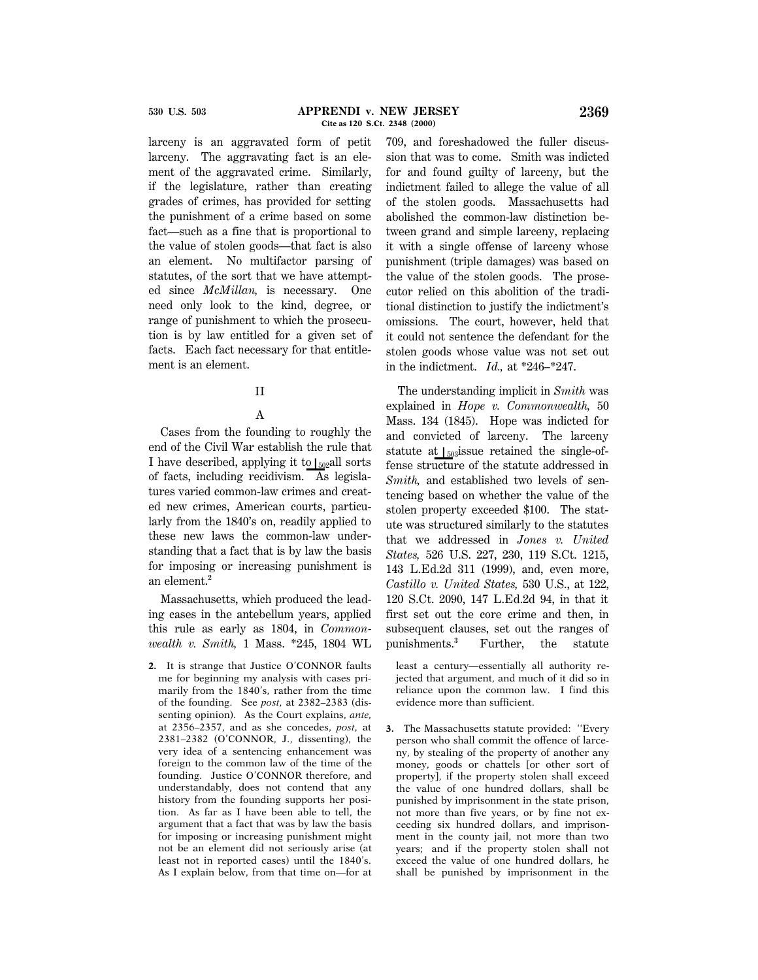larceny is an aggravated form of petit larceny. The aggravating fact is an element of the aggravated crime. Similarly, if the legislature, rather than creating grades of crimes, has provided for setting the punishment of a crime based on some fact—such as a fine that is proportional to the value of stolen goods—that fact is also an element. No multifactor parsing of statutes, of the sort that we have attempted since *McMillan,* is necessary. One need only look to the kind, degree, or range of punishment to which the prosecution is by law entitled for a given set of facts. Each fact necessary for that entitlement is an element.

#### II

## A

Cases from the founding to roughly the end of the Civil War establish the rule that I have described, applying it to  $\mathcal{L}_{502}$ all sorts of facts, including recidivism.  $\overline{As}$  legislatures varied common-law crimes and created new crimes, American courts, particularly from the 1840's on, readily applied to these new laws the common-law understanding that a fact that is by law the basis for imposing or increasing punishment is an element.**<sup>2</sup>**

Massachusetts, which produced the leading cases in the antebellum years, applied this rule as early as 1804, in *Commonwealth v. Smith,* 1 Mass. \*245, 1804 WL

**2.** It is strange that Justice O'CONNOR faults me for beginning my analysis with cases primarily from the 1840's, rather from the time of the founding. See *post,* at 2382–2383 (dissenting opinion). As the Court explains, *ante,* at 2356–2357, and as she concedes, *post,* at 2381–2382 (O'CONNOR, J., dissenting), the very idea of a sentencing enhancement was foreign to the common law of the time of the founding. Justice O'CONNOR therefore, and understandably, does not contend that any history from the founding supports her position. As far as I have been able to tell, the argument that a fact that was by law the basis for imposing or increasing punishment might not be an element did not seriously arise (at least not in reported cases) until the 1840's. As I explain below, from that time on—for at

709, and foreshadowed the fuller discussion that was to come. Smith was indicted for and found guilty of larceny, but the indictment failed to allege the value of all of the stolen goods. Massachusetts had abolished the common-law distinction between grand and simple larceny, replacing it with a single offense of larceny whose punishment (triple damages) was based on the value of the stolen goods. The prosecutor relied on this abolition of the traditional distinction to justify the indictment's omissions. The court, however, held that it could not sentence the defendant for the stolen goods whose value was not set out in the indictment. *Id.,* at \*246–\*247.

The understanding implicit in *Smith* was explained in *Hope v. Commonwealth,* 50 Mass. 134 (1845). Hope was indicted for and convicted of larceny. The larceny statute at  $\left| \right|_{503}$  issue retained the single-offense structure of the statute addressed in *Smith,* and established two levels of sentencing based on whether the value of the stolen property exceeded \$100. The statute was structured similarly to the statutes that we addressed in *Jones v. United States,* 526 U.S. 227, 230, 119 S.Ct. 1215, 143 L.Ed.2d 311 (1999), and, even more, *Castillo v. United States,* 530 U.S., at 122, 120 S.Ct. 2090, 147 L.Ed.2d 94, in that it first set out the core crime and then, in subsequent clauses, set out the ranges of punishments.**<sup>3</sup>** Further, the statute

least a century—essentially all authority rejected that argument, and much of it did so in reliance upon the common law. I find this evidence more than sufficient.

**3.** The Massachusetts statute provided: ''Every person who shall commit the offence of larceny, by stealing of the property of another any money, goods or chattels [or other sort of property], if the property stolen shall exceed the value of one hundred dollars, shall be punished by imprisonment in the state prison, not more than five years, or by fine not exceeding six hundred dollars, and imprisonment in the county jail, not more than two years; and if the property stolen shall not exceed the value of one hundred dollars, he shall be punished by imprisonment in the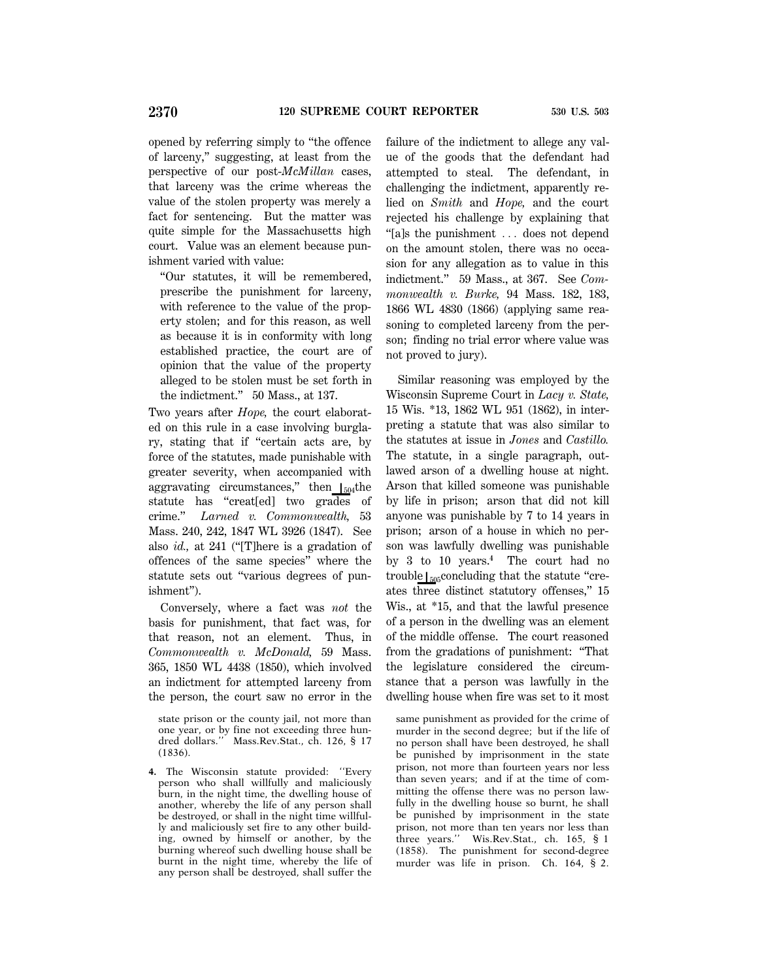opened by referring simply to ''the offence of larceny,'' suggesting, at least from the perspective of our post-*McMillan* cases, that larceny was the crime whereas the value of the stolen property was merely a fact for sentencing. But the matter was quite simple for the Massachusetts high court. Value was an element because punishment varied with value:

''Our statutes, it will be remembered, prescribe the punishment for larceny, with reference to the value of the property stolen; and for this reason, as well as because it is in conformity with long established practice, the court are of opinion that the value of the property alleged to be stolen must be set forth in the indictment.'' 50 Mass., at 137.

Two years after *Hope,* the court elaborated on this rule in a case involving burglary, stating that if ''certain acts are, by force of the statutes, made punishable with greater severity, when accompanied with aggravating circumstances," then  $\vert_{504}$ the statute has ''creat[ed] two grades of crime.'' *Larned v. Commonwealth,* 53 Mass. 240, 242, 1847 WL 3926 (1847). See also *id.,* at 241 (''[T]here is a gradation of offences of the same species'' where the statute sets out ''various degrees of punishment'').

Conversely, where a fact was *not* the basis for punishment, that fact was, for that reason, not an element. Thus, in *Commonwealth v. McDonald,* 59 Mass. 365, 1850 WL 4438 (1850), which involved an indictment for attempted larceny from the person, the court saw no error in the

state prison or the county jail, not more than one year, or by fine not exceeding three hundred dollars.'' Mass.Rev.Stat., ch. 126, § 17 (1836).

**4.** The Wisconsin statute provided: ''Every person who shall willfully and maliciously burn, in the night time, the dwelling house of another, whereby the life of any person shall be destroyed, or shall in the night time willfully and maliciously set fire to any other building, owned by himself or another, by the burning whereof such dwelling house shall be burnt in the night time, whereby the life of any person shall be destroyed, shall suffer the

failure of the indictment to allege any value of the goods that the defendant had attempted to steal. The defendant, in challenging the indictment, apparently relied on *Smith* and *Hope,* and the court rejected his challenge by explaining that "[a]s the punishment  $\ldots$  does not depend on the amount stolen, there was no occasion for any allegation as to value in this indictment.'' 59 Mass., at 367. See *Commonwealth v. Burke,* 94 Mass. 182, 183, 1866 WL 4830 (1866) (applying same reasoning to completed larceny from the person; finding no trial error where value was not proved to jury).

Similar reasoning was employed by the Wisconsin Supreme Court in *Lacy v. State,* 15 Wis. \*13, 1862 WL 951 (1862), in interpreting a statute that was also similar to the statutes at issue in *Jones* and *Castillo.* The statute, in a single paragraph, outlawed arson of a dwelling house at night. Arson that killed someone was punishable by life in prison; arson that did not kill anyone was punishable by 7 to 14 years in prison; arson of a house in which no person was lawfully dwelling was punishable by 3 to 10 years.**<sup>4</sup>** The court had no trouble  $\int_{505}$ concluding that the statute "creates three distinct statutory offenses,'' 15 Wis., at \*15, and that the lawful presence of a person in the dwelling was an element of the middle offense. The court reasoned from the gradations of punishment: ''That the legislature considered the circumstance that a person was lawfully in the dwelling house when fire was set to it most

same punishment as provided for the crime of murder in the second degree; but if the life of no person shall have been destroyed, he shall be punished by imprisonment in the state prison, not more than fourteen years nor less than seven years; and if at the time of committing the offense there was no person lawfully in the dwelling house so burnt, he shall be punished by imprisonment in the state prison, not more than ten years nor less than three years.'' Wis.Rev.Stat., ch. 165, § 1 (1858). The punishment for second-degree murder was life in prison. Ch. 164, § 2.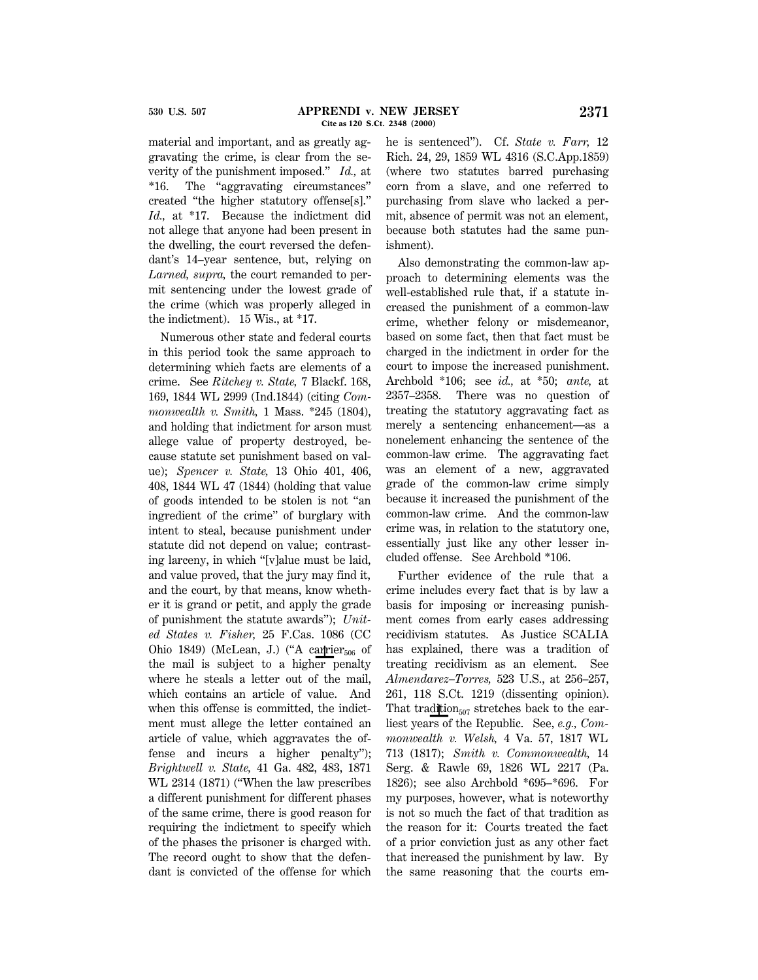material and important, and as greatly aggravating the crime, is clear from the severity of the punishment imposed.'' *Id.,* at \*16. The ''aggravating circumstances'' created ''the higher statutory offense[s].'' *Id.,* at \*17. Because the indictment did not allege that anyone had been present in the dwelling, the court reversed the defendant's 14–year sentence, but, relying on *Larned, supra,* the court remanded to permit sentencing under the lowest grade of the crime (which was properly alleged in the indictment). 15 Wis., at \*17.

Numerous other state and federal courts in this period took the same approach to determining which facts are elements of a crime. See *Ritchey v. State,* 7 Blackf. 168, 169, 1844 WL 2999 (Ind.1844) (citing *Commonwealth v. Smith,* 1 Mass. \*245 (1804), and holding that indictment for arson must allege value of property destroyed, because statute set punishment based on value); *Spencer v. State,* 13 Ohio 401, 406, 408, 1844 WL 47 (1844) (holding that value of goods intended to be stolen is not ''an ingredient of the crime'' of burglary with intent to steal, because punishment under statute did not depend on value; contrasting larceny, in which ''[v]alue must be laid, and value proved, that the jury may find it, and the court, by that means, know whether it is grand or petit, and apply the grade of punishment the statute awards''); *United States v. Fisher,* 25 F.Cas. 1086 (CC Ohio 1849) (McLean, J.) ("A carrier<sub>506</sub> of the mail is subject to a higher penalty where he steals a letter out of the mail, which contains an article of value. And when this offense is committed, the indictment must allege the letter contained an article of value, which aggravates the offense and incurs a higher penalty''); *Brightwell v. State,* 41 Ga. 482, 483, 1871 WL 2314 (1871) (''When the law prescribes a different punishment for different phases of the same crime, there is good reason for requiring the indictment to specify which of the phases the prisoner is charged with. The record ought to show that the defendant is convicted of the offense for which he is sentenced''). Cf. *State v. Farr,* 12 Rich. 24, 29, 1859 WL 4316 (S.C.App.1859) (where two statutes barred purchasing corn from a slave, and one referred to purchasing from slave who lacked a permit, absence of permit was not an element, because both statutes had the same punishment).

Also demonstrating the common-law approach to determining elements was the well-established rule that, if a statute increased the punishment of a common-law crime, whether felony or misdemeanor, based on some fact, then that fact must be charged in the indictment in order for the court to impose the increased punishment. Archbold \*106; see *id.,* at \*50; *ante,* at 2357–2358. There was no question of treating the statutory aggravating fact as merely a sentencing enhancement—as a nonelement enhancing the sentence of the common-law crime. The aggravating fact was an element of a new, aggravated grade of the common-law crime simply because it increased the punishment of the common-law crime. And the common-law crime was, in relation to the statutory one, essentially just like any other lesser included offense. See Archbold \*106.

Further evidence of the rule that a crime includes every fact that is by law a basis for imposing or increasing punishment comes from early cases addressing recidivism statutes. As Justice SCALIA has explained, there was a tradition of treating recidivism as an element. See *Almendarez–Torres,* 523 U.S., at 256–257, 261, 118 S.Ct. 1219 (dissenting opinion). That tradition $_{507}$  stretches back to the earliest years of the Republic. See, *e.g., Commonwealth v. Welsh,* 4 Va. 57, 1817 WL 713 (1817); *Smith v. Commonwealth,* 14 Serg. & Rawle 69, 1826 WL 2217 (Pa. 1826); see also Archbold \*695–\*696. For my purposes, however, what is noteworthy is not so much the fact of that tradition as the reason for it: Courts treated the fact of a prior conviction just as any other fact that increased the punishment by law. By the same reasoning that the courts em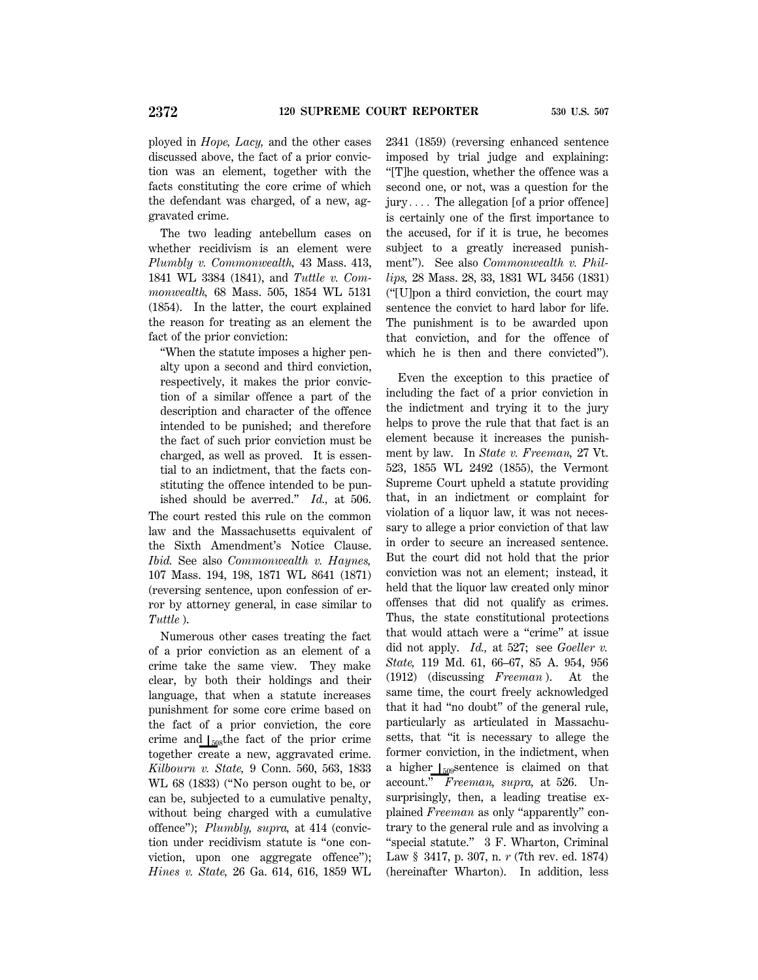ployed in *Hope, Lacy,* and the other cases discussed above, the fact of a prior conviction was an element, together with the facts constituting the core crime of which the defendant was charged, of a new, aggravated crime.

The two leading antebellum cases on whether recidivism is an element were *Plumbly v. Commonwealth,* 43 Mass. 413, 1841 WL 3384 (1841), and *Tuttle v. Commonwealth,* 68 Mass. 505, 1854 WL 5131 (1854). In the latter, the court explained the reason for treating as an element the fact of the prior conviction:

''When the statute imposes a higher penalty upon a second and third conviction, respectively, it makes the prior conviction of a similar offence a part of the description and character of the offence intended to be punished; and therefore the fact of such prior conviction must be charged, as well as proved. It is essential to an indictment, that the facts constituting the offence intended to be punished should be averred.'' *Id.,* at 506.

The court rested this rule on the common law and the Massachusetts equivalent of the Sixth Amendment's Notice Clause. *Ibid.* See also *Commonwealth v. Haynes,* 107 Mass. 194, 198, 1871 WL 8641 (1871) (reversing sentence, upon confession of error by attorney general, in case similar to *Tuttle* ).

Numerous other cases treating the fact of a prior conviction as an element of a crime take the same view. They make clear, by both their holdings and their language, that when a statute increases punishment for some core crime based on the fact of a prior conviction, the core crime and  $\int_{508}$ the fact of the prior crime together create a new, aggravated crime. *Kilbourn v. State,* 9 Conn. 560, 563, 1833 WL 68 (1833) (''No person ought to be, or can be, subjected to a cumulative penalty, without being charged with a cumulative offence''); *Plumbly, supra,* at 414 (conviction under recidivism statute is ''one conviction, upon one aggregate offence''); *Hines v. State,* 26 Ga. 614, 616, 1859 WL 2341 (1859) (reversing enhanced sentence imposed by trial judge and explaining: ''[T]he question, whether the offence was a second one, or not, was a question for the  $jurv...$  The allegation [of a prior offence] is certainly one of the first importance to the accused, for if it is true, he becomes subject to a greatly increased punishment''). See also *Commonwealth v. Phillips,* 28 Mass. 28, 33, 1831 WL 3456 (1831) (''[U]pon a third conviction, the court may sentence the convict to hard labor for life. The punishment is to be awarded upon that conviction, and for the offence of which he is then and there convicted'').

Even the exception to this practice of including the fact of a prior conviction in the indictment and trying it to the jury helps to prove the rule that that fact is an element because it increases the punishment by law. In *State v. Freeman,* 27 Vt. 523, 1855 WL 2492 (1855), the Vermont Supreme Court upheld a statute providing that, in an indictment or complaint for violation of a liquor law, it was not necessary to allege a prior conviction of that law in order to secure an increased sentence. But the court did not hold that the prior conviction was not an element; instead, it held that the liquor law created only minor offenses that did not qualify as crimes. Thus, the state constitutional protections that would attach were a "crime" at issue did not apply. *Id.,* at 527; see *Goeller v. State,* 119 Md. 61, 66–67, 85 A. 954, 956 (1912) (discussing *Freeman* ). At the same time, the court freely acknowledged that it had ''no doubt'' of the general rule, particularly as articulated in Massachusetts, that ''it is necessary to allege the former conviction, in the indictment, when a higher  $\int_{509}$ sentence is claimed on that account.'' *Freeman, supra,* at 526. Unsurprisingly, then, a leading treatise explained *Freeman* as only ''apparently'' contrary to the general rule and as involving a "special statute." 3 F. Wharton, Criminal Law § 3417, p. 307, n. *r* (7th rev. ed. 1874) (hereinafter Wharton). In addition, less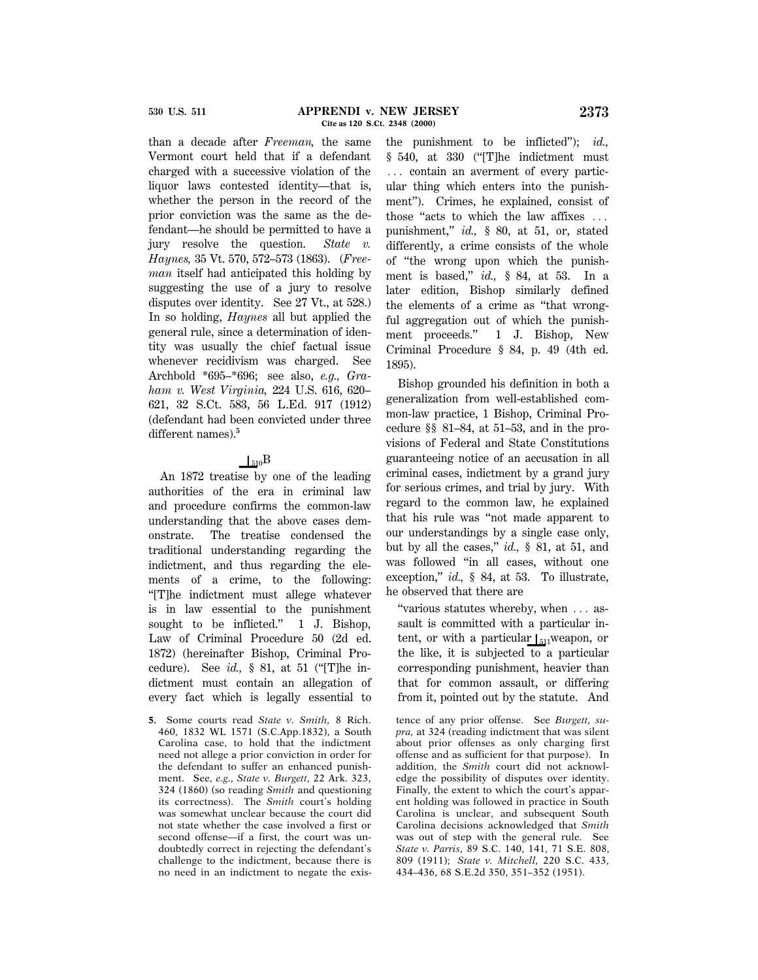than a decade after *Freeman,* the same Vermont court held that if a defendant charged with a successive violation of the liquor laws contested identity—that is, whether the person in the record of the prior conviction was the same as the defendant—he should be permitted to have a jury resolve the question. *State v. Haynes,* 35 Vt. 570, 572–573 (1863). (*Freeman* itself had anticipated this holding by suggesting the use of a jury to resolve disputes over identity. See 27 Vt., at 528.) In so holding, *Haynes* all but applied the general rule, since a determination of identity was usually the chief factual issue whenever recidivism was charged. See Archbold \*695–\*696; see also, *e.g., Graham v. West Virginia,* 224 U.S. 616, 620– 621, 32 S.Ct. 583, 56 L.Ed. 917 (1912) (defendant had been convicted under three different names).**<sup>5</sup>**

## $\perp$ <sub>510</sub>B

An 1872 treatise by one of the leading authorities of the era in criminal law and procedure confirms the common-law understanding that the above cases demonstrate. The treatise condensed the traditional understanding regarding the indictment, and thus regarding the elements of a crime, to the following: ''[T]he indictment must allege whatever is in law essential to the punishment sought to be inflicted." 1 J. Bishop, Law of Criminal Procedure 50 (2d ed. 1872) (hereinafter Bishop, Criminal Procedure). See *id.,* § 81, at 51 (''[T]he indictment must contain an allegation of every fact which is legally essential to

**5.** Some courts read *State v. Smith,* 8 Rich. 460, 1832 WL 1571 (S.C.App.1832), a South Carolina case, to hold that the indictment need not allege a prior conviction in order for the defendant to suffer an enhanced punishment. See, *e.g., State v. Burgett,* 22 Ark. 323, 324 (1860) (so reading *Smith* and questioning its correctness). The *Smith* court's holding was somewhat unclear because the court did not state whether the case involved a first or second offense—if a first, the court was undoubtedly correct in rejecting the defendant's challenge to the indictment, because there is no need in an indictment to negate the exis-

the punishment to be inflicted''); *id.,* § 540, at 330 ("The indictment must ... contain an averment of every particular thing which enters into the punishment''). Crimes, he explained, consist of those "acts to which the law affixes  $\ldots$ punishment,'' *id.,* § 80, at 51, or, stated differently, a crime consists of the whole of ''the wrong upon which the punishment is based,'' *id.,* § 84, at 53. In a later edition, Bishop similarly defined the elements of a crime as ''that wrongful aggregation out of which the punishment proceeds.'' 1 J. Bishop, New Criminal Procedure § 84, p. 49 (4th ed. 1895).

Bishop grounded his definition in both a generalization from well-established common-law practice, 1 Bishop, Criminal Procedure §§ 81–84, at 51–53, and in the provisions of Federal and State Constitutions guaranteeing notice of an accusation in all criminal cases, indictment by a grand jury for serious crimes, and trial by jury. With regard to the common law, he explained that his rule was ''not made apparent to our understandings by a single case only, but by all the cases,'' *id.,* § 81, at 51, and was followed ''in all cases, without one exception,'' *id.,* § 84, at 53. To illustrate, he observed that there are

"various statutes whereby, when  $\ldots$  assault is committed with a particular intent, or with a particular  $\mathcal{L}_{511}$ weapon, or the like, it is subjected to a particular corresponding punishment, heavier than that for common assault, or differing from it, pointed out by the statute. And

tence of any prior offense. See *Burgett, supra,* at 324 (reading indictment that was silent about prior offenses as only charging first offense and as sufficient for that purpose). In addition, the *Smith* court did not acknowledge the possibility of disputes over identity. Finally, the extent to which the court's apparent holding was followed in practice in South Carolina is unclear, and subsequent South Carolina decisions acknowledged that *Smith* was out of step with the general rule. See *State v. Parris,* 89 S.C. 140, 141, 71 S.E. 808, 809 (1911); *State v. Mitchell,* 220 S.C. 433, 434–436, 68 S.E.2d 350, 351–352 (1951).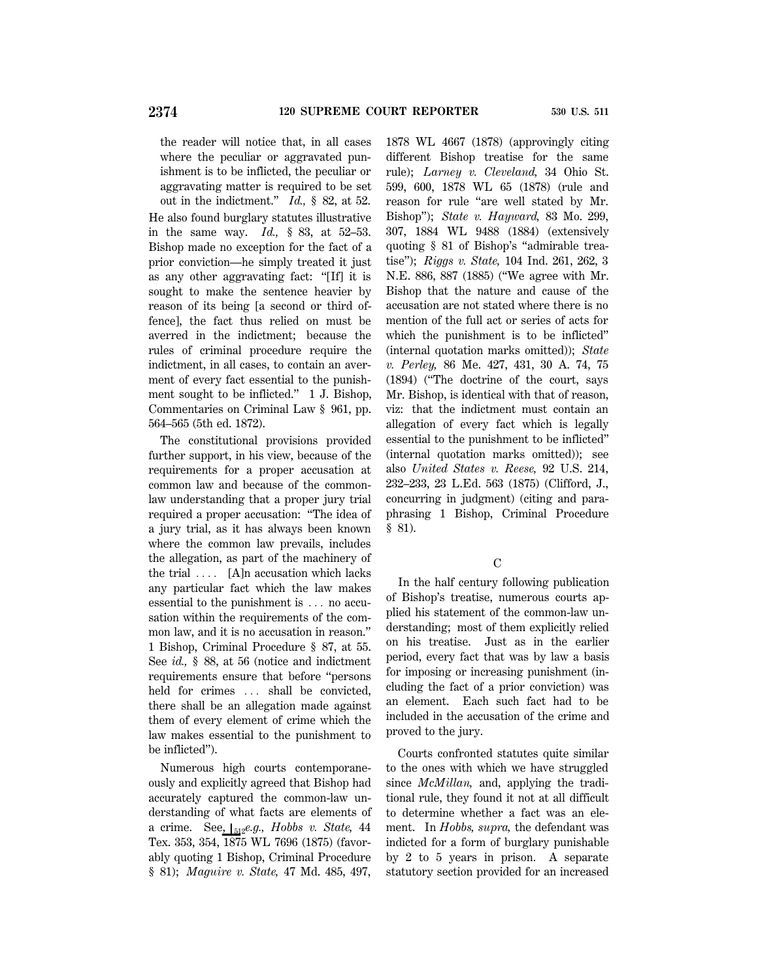the reader will notice that, in all cases where the peculiar or aggravated punishment is to be inflicted, the peculiar or aggravating matter is required to be set out in the indictment.'' *Id.,* § 82, at 52. He also found burglary statutes illustrative in the same way. *Id.,* § 83, at 52–53. Bishop made no exception for the fact of a prior conviction—he simply treated it just as any other aggravating fact: ''[If] it is sought to make the sentence heavier by reason of its being [a second or third offence], the fact thus relied on must be averred in the indictment; because the rules of criminal procedure require the indictment, in all cases, to contain an averment of every fact essential to the punishment sought to be inflicted." 1 J. Bishop, Commentaries on Criminal Law § 961, pp. 564–565 (5th ed. 1872).

The constitutional provisions provided further support, in his view, because of the requirements for a proper accusation at common law and because of the commonlaw understanding that a proper jury trial required a proper accusation: ''The idea of a jury trial, as it has always been known where the common law prevails, includes the allegation, as part of the machinery of the trial  $\ldots$  [A]n accusation which lacks any particular fact which the law makes essential to the punishment is  $\ldots$  no accusation within the requirements of the common law, and it is no accusation in reason.'' 1 Bishop, Criminal Procedure § 87, at 55. See *id.,* § 88, at 56 (notice and indictment requirements ensure that before ''persons held for crimes ... shall be convicted, there shall be an allegation made against them of every element of crime which the law makes essential to the punishment to be inflicted'').

Numerous high courts contemporaneously and explicitly agreed that Bishop had accurately captured the common-law understanding of what facts are elements of a crime. See,  $\left| \begin{array}{c} 1512e.g., Hobs v. State, 44 \end{array} \right|$ Tex. 353, 354, 1875 WL 7696 (1875) (favorably quoting 1 Bishop, Criminal Procedure § 81); *Maguire v. State,* 47 Md. 485, 497,

1878 WL 4667 (1878) (approvingly citing different Bishop treatise for the same rule); *Larney v. Cleveland,* 34 Ohio St. 599, 600, 1878 WL 65 (1878) (rule and reason for rule "are well stated by Mr. Bishop''); *State v. Hayward,* 83 Mo. 299, 307, 1884 WL 9488 (1884) (extensively quoting § 81 of Bishop's ''admirable treatise''); *Riggs v. State,* 104 Ind. 261, 262, 3 N.E. 886, 887 (1885) (''We agree with Mr. Bishop that the nature and cause of the accusation are not stated where there is no mention of the full act or series of acts for which the punishment is to be inflicted'' (internal quotation marks omitted)); *State v. Perley,* 86 Me. 427, 431, 30 A. 74, 75 (1894) (''The doctrine of the court, says Mr. Bishop, is identical with that of reason, viz: that the indictment must contain an allegation of every fact which is legally essential to the punishment to be inflicted'' (internal quotation marks omitted)); see also *United States v. Reese,* 92 U.S. 214, 232–233, 23 L.Ed. 563 (1875) (Clifford, J., concurring in judgment) (citing and paraphrasing 1 Bishop, Criminal Procedure § 81).

## C

In the half century following publication of Bishop's treatise, numerous courts applied his statement of the common-law understanding; most of them explicitly relied on his treatise. Just as in the earlier period, every fact that was by law a basis for imposing or increasing punishment (including the fact of a prior conviction) was an element. Each such fact had to be included in the accusation of the crime and proved to the jury.

Courts confronted statutes quite similar to the ones with which we have struggled since *McMillan,* and, applying the traditional rule, they found it not at all difficult to determine whether a fact was an element. In *Hobbs, supra,* the defendant was indicted for a form of burglary punishable by 2 to 5 years in prison. A separate statutory section provided for an increased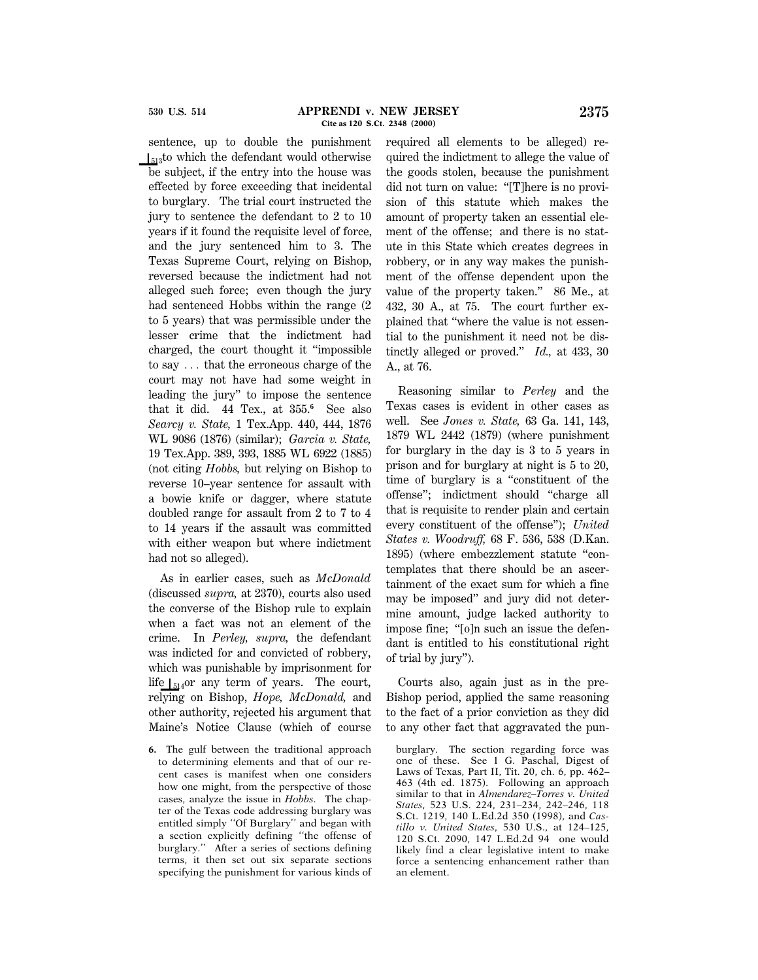sentence, up to double the punishment  $I<sub>513</sub>$ to which the defendant would otherwise be subject, if the entry into the house was effected by force exceeding that incidental to burglary. The trial court instructed the jury to sentence the defendant to 2 to 10 years if it found the requisite level of force, and the jury sentenced him to 3. The Texas Supreme Court, relying on Bishop, reversed because the indictment had not alleged such force; even though the jury had sentenced Hobbs within the range (2 to 5 years) that was permissible under the lesser crime that the indictment had charged, the court thought it ''impossible to say  $\ldots$  that the erroneous charge of the court may not have had some weight in leading the jury'' to impose the sentence that it did. 44 Tex., at 355.<sup>6</sup> See also *Searcy v. State,* 1 Tex.App. 440, 444, 1876 WL 9086 (1876) (similar); *Garcia v. State,* 19 Tex.App. 389, 393, 1885 WL 6922 (1885) (not citing *Hobbs,* but relying on Bishop to reverse 10–year sentence for assault with a bowie knife or dagger, where statute doubled range for assault from 2 to 7 to 4 to 14 years if the assault was committed with either weapon but where indictment had not so alleged).

As in earlier cases, such as *McDonald* (discussed *supra,* at 2370), courts also used the converse of the Bishop rule to explain when a fact was not an element of the crime. In *Perley, supra,* the defendant was indicted for and convicted of robbery, which was punishable by imprisonment for life  $\left| \right|_{514}$ or any term of years. The court, relying on Bishop, *Hope, McDonald,* and other authority, rejected his argument that Maine's Notice Clause (which of course

**6.** The gulf between the traditional approach to determining elements and that of our recent cases is manifest when one considers how one might, from the perspective of those cases, analyze the issue in *Hobbs.* The chapter of the Texas code addressing burglary was entitled simply ''Of Burglary'' and began with a section explicitly defining ''the offense of burglary.'' After a series of sections defining terms, it then set out six separate sections specifying the punishment for various kinds of required all elements to be alleged) required the indictment to allege the value of the goods stolen, because the punishment did not turn on value: ''[T]here is no provision of this statute which makes the amount of property taken an essential element of the offense; and there is no statute in this State which creates degrees in robbery, or in any way makes the punishment of the offense dependent upon the value of the property taken.'' 86 Me., at 432, 30 A., at 75. The court further explained that ''where the value is not essential to the punishment it need not be distinctly alleged or proved.'' *Id.,* at 433, 30 A., at 76.

Reasoning similar to *Perley* and the Texas cases is evident in other cases as well. See *Jones v. State,* 63 Ga. 141, 143, 1879 WL 2442 (1879) (where punishment for burglary in the day is 3 to 5 years in prison and for burglary at night is 5 to 20, time of burglary is a ''constituent of the offense''; indictment should ''charge all that is requisite to render plain and certain every constituent of the offense''); *United States v. Woodruff,* 68 F. 536, 538 (D.Kan. 1895) (where embezzlement statute ''contemplates that there should be an ascertainment of the exact sum for which a fine may be imposed'' and jury did not determine amount, judge lacked authority to impose fine; ''[o]n such an issue the defendant is entitled to his constitutional right of trial by jury'').

Courts also, again just as in the pre-Bishop period, applied the same reasoning to the fact of a prior conviction as they did to any other fact that aggravated the pun-

burglary. The section regarding force was one of these. See 1 G. Paschal, Digest of Laws of Texas, Part II, Tit. 20, ch. 6, pp. 462– 463 (4th ed. 1875). Following an approach similar to that in *Almendarez–Torres v. United States,* 523 U.S. 224, 231–234, 242–246, 118 S.Ct. 1219, 140 L.Ed.2d 350 (1998), and *Castillo v. United States,* 530 U.S., at 124–125, 120 S.Ct. 2090, 147 L.Ed.2d 94 one would likely find a clear legislative intent to make force a sentencing enhancement rather than an element.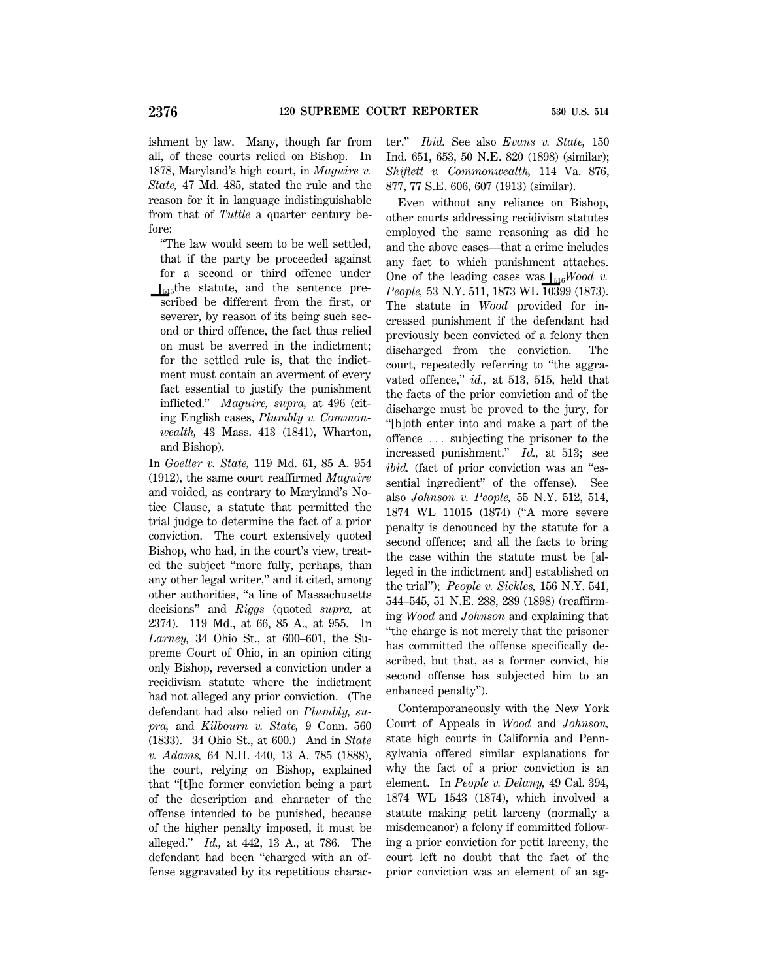ishment by law. Many, though far from all, of these courts relied on Bishop. In 1878, Maryland's high court, in *Maguire v. State,* 47 Md. 485, stated the rule and the reason for it in language indistinguishable from that of *Tuttle* a quarter century before:

''The law would seem to be well settled, that if the party be proceeded against for a second or third offence under  $\mathsf{I}_{515}$ the statute, and the sentence prescribed be different from the first, or severer, by reason of its being such second or third offence, the fact thus relied on must be averred in the indictment; for the settled rule is, that the indictment must contain an averment of every fact essential to justify the punishment inflicted.'' *Maguire, supra,* at 496 (citing English cases, *Plumbly v. Commonwealth,* 43 Mass. 413 (1841), Wharton, and Bishop).

In *Goeller v. State,* 119 Md. 61, 85 A. 954 (1912), the same court reaffirmed *Maguire* and voided, as contrary to Maryland's Notice Clause, a statute that permitted the trial judge to determine the fact of a prior conviction. The court extensively quoted Bishop, who had, in the court's view, treated the subject ''more fully, perhaps, than any other legal writer,'' and it cited, among other authorities, ''a line of Massachusetts decisions'' and *Riggs* (quoted *supra,* at 2374). 119 Md., at 66, 85 A., at 955. In *Larney,* 34 Ohio St., at 600–601, the Supreme Court of Ohio, in an opinion citing only Bishop, reversed a conviction under a recidivism statute where the indictment had not alleged any prior conviction. (The defendant had also relied on *Plumbly, supra,* and *Kilbourn v. State,* 9 Conn. 560 (1833). 34 Ohio St., at 600.) And in *State v. Adams,* 64 N.H. 440, 13 A. 785 (1888), the court, relying on Bishop, explained that ''[t]he former conviction being a part of the description and character of the offense intended to be punished, because of the higher penalty imposed, it must be alleged.'' *Id.,* at 442, 13 A., at 786. The defendant had been ''charged with an offense aggravated by its repetitious character.'' *Ibid.* See also *Evans v. State,* 150 Ind. 651, 653, 50 N.E. 820 (1898) (similar); *Shiflett v. Commonwealth,* 114 Va. 876, 877, 77 S.E. 606, 607 (1913) (similar).

Even without any reliance on Bishop, other courts addressing recidivism statutes employed the same reasoning as did he and the above cases—that a crime includes any fact to which punishment attaches. One of the leading cases was  $\frac{1}{516}$ *Wood v. People,* 53 N.Y. 511, 1873 WL 10399 (1873). The statute in *Wood* provided for increased punishment if the defendant had previously been convicted of a felony then discharged from the conviction. The court, repeatedly referring to ''the aggravated offence,'' *id.,* at 513, 515, held that the facts of the prior conviction and of the discharge must be proved to the jury, for ''[b]oth enter into and make a part of the offence  $\ldots$  subjecting the prisoner to the increased punishment.'' *Id.,* at 513; see ibid. (fact of prior conviction was an "essential ingredient'' of the offense). See also *Johnson v. People,* 55 N.Y. 512, 514, 1874 WL 11015 (1874) (''A more severe penalty is denounced by the statute for a second offence; and all the facts to bring the case within the statute must be [alleged in the indictment and] established on the trial''); *People v. Sickles,* 156 N.Y. 541, 544–545, 51 N.E. 288, 289 (1898) (reaffirming *Wood* and *Johnson* and explaining that ''the charge is not merely that the prisoner has committed the offense specifically described, but that, as a former convict, his second offense has subjected him to an enhanced penalty'').

Contemporaneously with the New York Court of Appeals in *Wood* and *Johnson,* state high courts in California and Pennsylvania offered similar explanations for why the fact of a prior conviction is an element. In *People v. Delany,* 49 Cal. 394, 1874 WL 1543 (1874), which involved a statute making petit larceny (normally a misdemeanor) a felony if committed following a prior conviction for petit larceny, the court left no doubt that the fact of the prior conviction was an element of an ag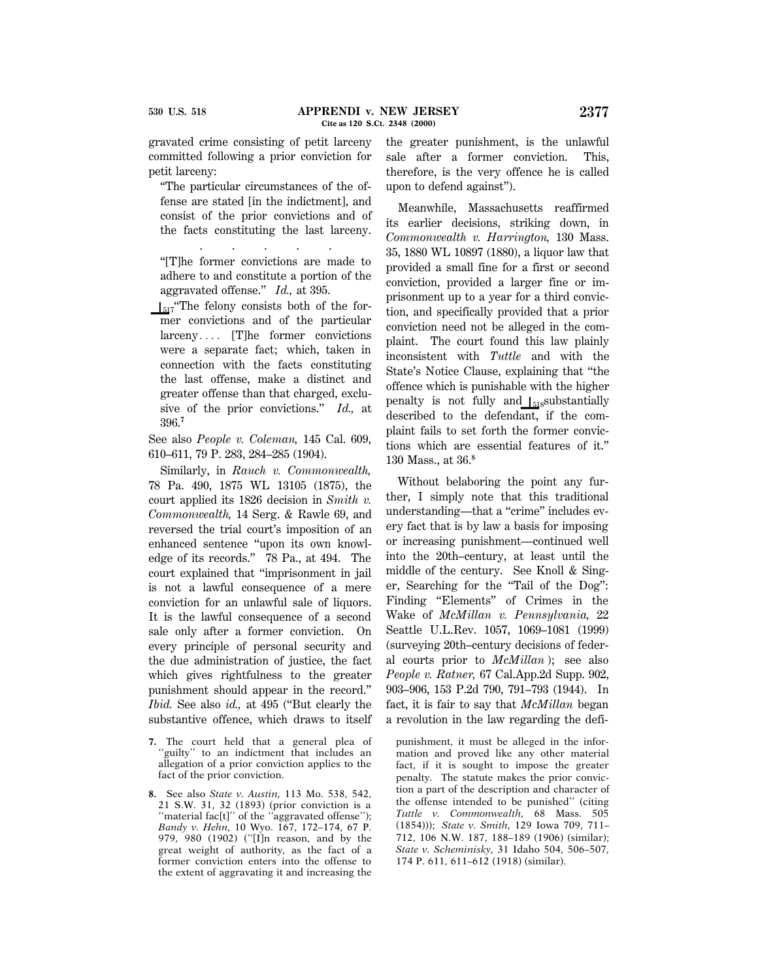gravated crime consisting of petit larceny committed following a prior conviction for petit larceny:

''The particular circumstances of the offense are stated [in the indictment], and consist of the prior convictions and of the facts constituting the last larceny.

''[T]he former convictions are made to adhere to and constitute a portion of the aggravated offense.'' *Id.,* at 395.

. . . . .

 $\frac{1}{517}$ "The felony consists both of the former convictions and of the particular  $lareeny...$  [T]he former convictions were a separate fact; which, taken in connection with the facts constituting the last offense, make a distinct and greater offense than that charged, exclusive of the prior convictions.'' *Id.,* at 396.**<sup>7</sup>**

See also *People v. Coleman,* 145 Cal. 609, 610–611, 79 P. 283, 284–285 (1904).

Similarly, in *Rauch v. Commonwealth,* 78 Pa. 490, 1875 WL 13105 (1875), the court applied its 1826 decision in *Smith v. Commonwealth,* 14 Serg. & Rawle 69, and reversed the trial court's imposition of an enhanced sentence ''upon its own knowledge of its records.'' 78 Pa., at 494. The court explained that ''imprisonment in jail is not a lawful consequence of a mere conviction for an unlawful sale of liquors. It is the lawful consequence of a second sale only after a former conviction. On every principle of personal security and the due administration of justice, the fact which gives rightfulness to the greater punishment should appear in the record.'' *Ibid.* See also *id.,* at 495 (''But clearly the substantive offence, which draws to itself

- **7.** The court held that a general plea of 'guilty'' to an indictment that includes an allegation of a prior conviction applies to the fact of the prior conviction.
- **8.** See also *State v. Austin,* 113 Mo. 538, 542, 21 S.W. 31, 32 (1893) (prior conviction is a "material fac[t]" of the "aggravated offense"); *Bandy v. Hehn,* 10 Wyo. 167, 172–174, 67 P. 979, 980 (1902) (''[I]n reason, and by the great weight of authority, as the fact of a former conviction enters into the offense to the extent of aggravating it and increasing the

the greater punishment, is the unlawful sale after a former conviction. This, therefore, is the very offence he is called upon to defend against'').

Meanwhile, Massachusetts reaffirmed its earlier decisions, striking down, in *Commonwealth v. Harrington,* 130 Mass. 35, 1880 WL 10897 (1880), a liquor law that provided a small fine for a first or second conviction, provided a larger fine or imprisonment up to a year for a third conviction, and specifically provided that a prior conviction need not be alleged in the complaint. The court found this law plainly inconsistent with *Tuttle* and with the State's Notice Clause, explaining that ''the offence which is punishable with the higher penalty is not fully and  $\mathcal{L}_{518}$ substantially described to the defendant, if the complaint fails to set forth the former convictions which are essential features of it.'' 130 Mass., at 36.**<sup>8</sup>**

Without belaboring the point any further, I simply note that this traditional understanding—that a ''crime'' includes every fact that is by law a basis for imposing or increasing punishment—continued well into the 20th–century, at least until the middle of the century. See Knoll & Singer, Searching for the ''Tail of the Dog'': Finding ''Elements'' of Crimes in the Wake of *McMillan v. Pennsylvania,* 22 Seattle U.L.Rev. 1057, 1069–1081 (1999) (surveying 20th–century decisions of federal courts prior to *McMillan* ); see also *People v. Ratner,* 67 Cal.App.2d Supp. 902, 903–906, 153 P.2d 790, 791–793 (1944). In fact, it is fair to say that *McMillan* began a revolution in the law regarding the defi-

punishment, it must be alleged in the information and proved like any other material fact, if it is sought to impose the greater penalty. The statute makes the prior conviction a part of the description and character of the offense intended to be punished'' (citing *Tuttle v. Commonwealth,* 68 Mass. 505 (1854))); *State v. Smith,* 129 Iowa 709, 711– 712, 106 N.W. 187, 188–189 (1906) (similar); *State v. Scheminisky,* 31 Idaho 504, 506–507, 174 P. 611, 611–612 (1918) (similar).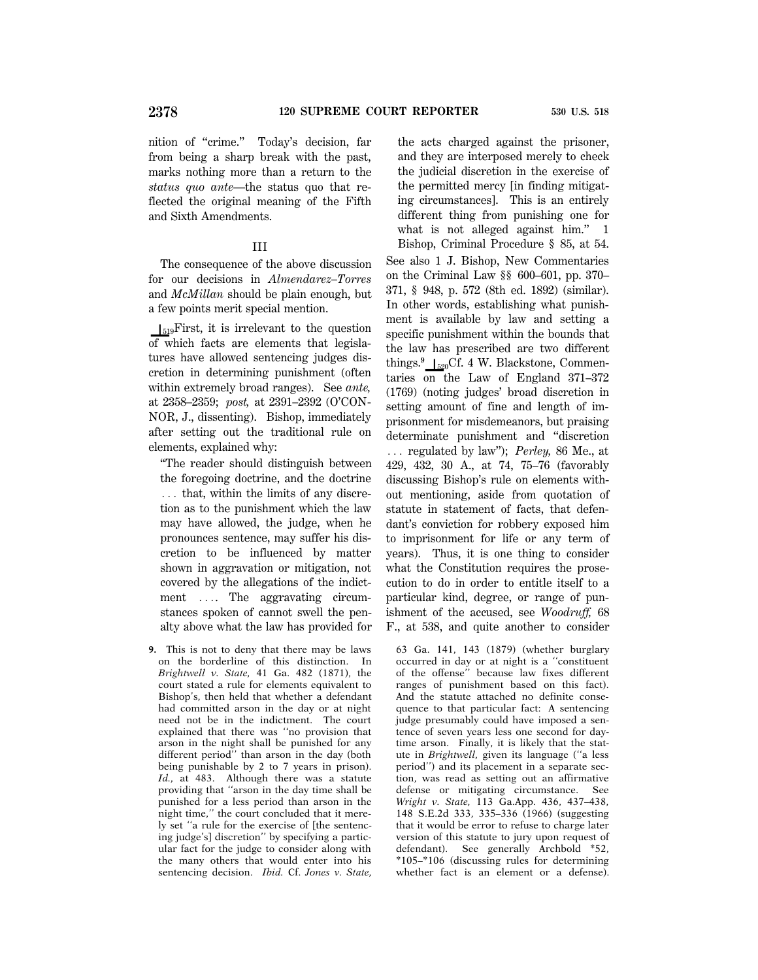nition of ''crime.'' Today's decision, far from being a sharp break with the past, marks nothing more than a return to the *status quo ante*—the status quo that reflected the original meaning of the Fifth and Sixth Amendments.

## III

The consequence of the above discussion for our decisions in *Almendarez–Torres* and *McMillan* should be plain enough, but a few points merit special mention.

 $\left\vert_{519}\right\rangle$ First, it is irrelevant to the question of which facts are elements that legislatures have allowed sentencing judges discretion in determining punishment (often within extremely broad ranges). See *ante,* at 2358–2359; *post,* at 2391–2392 (O'CON-NOR, J., dissenting). Bishop, immediately after setting out the traditional rule on elements, explained why:

''The reader should distinguish between the foregoing doctrine, and the doctrine  $\ldots$  that, within the limits of any discretion as to the punishment which the law may have allowed, the judge, when he pronounces sentence, may suffer his discretion to be influenced by matter shown in aggravation or mitigation, not covered by the allegations of the indictment  $\ldots$  The aggravating circumstances spoken of cannot swell the penalty above what the law has provided for

**9.** This is not to deny that there may be laws on the borderline of this distinction. In *Brightwell v. State,* 41 Ga. 482 (1871), the court stated a rule for elements equivalent to Bishop's, then held that whether a defendant had committed arson in the day or at night need not be in the indictment. The court explained that there was ''no provision that arson in the night shall be punished for any different period'' than arson in the day (both being punishable by 2 to 7 years in prison). *Id.,* at 483. Although there was a statute providing that ''arson in the day time shall be punished for a less period than arson in the night time,'' the court concluded that it merely set ''a rule for the exercise of [the sentencing judge's] discretion'' by specifying a particular fact for the judge to consider along with the many others that would enter into his sentencing decision. *Ibid.* Cf. *Jones v. State,*

the acts charged against the prisoner, and they are interposed merely to check the judicial discretion in the exercise of the permitted mercy [in finding mitigating circumstances]. This is an entirely different thing from punishing one for what is not alleged against him.'' 1 Bishop, Criminal Procedure § 85, at 54.

See also 1 J. Bishop, New Commentaries on the Criminal Law §§ 600–601, pp. 370– 371, § 948, p. 572 (8th ed. 1892) (similar). In other words, establishing what punishment is available by law and setting a specific punishment within the bounds that the law has prescribed are two different things.<sup>9</sup> I<sub>520</sub>Cf. 4 W. Blackstone, Commentaries on the Law of England 371–372 (1769) (noting judges' broad discretion in setting amount of fine and length of imprisonment for misdemeanors, but praising determinate punishment and ''discretion  $\ldots$  regulated by law"); *Perley*, 86 Me., at 429, 432, 30 A., at 74, 75–76 (favorably discussing Bishop's rule on elements without mentioning, aside from quotation of statute in statement of facts, that defendant's conviction for robbery exposed him to imprisonment for life or any term of years). Thus, it is one thing to consider what the Constitution requires the prosecution to do in order to entitle itself to a particular kind, degree, or range of punishment of the accused, see *Woodruff,* 68 F., at 538, and quite another to consider

63 Ga. 141, 143 (1879) (whether burglary occurred in day or at night is a ''constituent of the offense'' because law fixes different ranges of punishment based on this fact). And the statute attached no definite consequence to that particular fact: A sentencing judge presumably could have imposed a sentence of seven years less one second for daytime arson. Finally, it is likely that the statute in *Brightwell,* given its language (''a less period'') and its placement in a separate section, was read as setting out an affirmative defense or mitigating circumstance. See *Wright v. State,* 113 Ga.App. 436, 437–438, 148 S.E.2d 333, 335–336 (1966) (suggesting that it would be error to refuse to charge later version of this statute to jury upon request of defendant). See generally Archbold \*52, \*105–\*106 (discussing rules for determining whether fact is an element or a defense).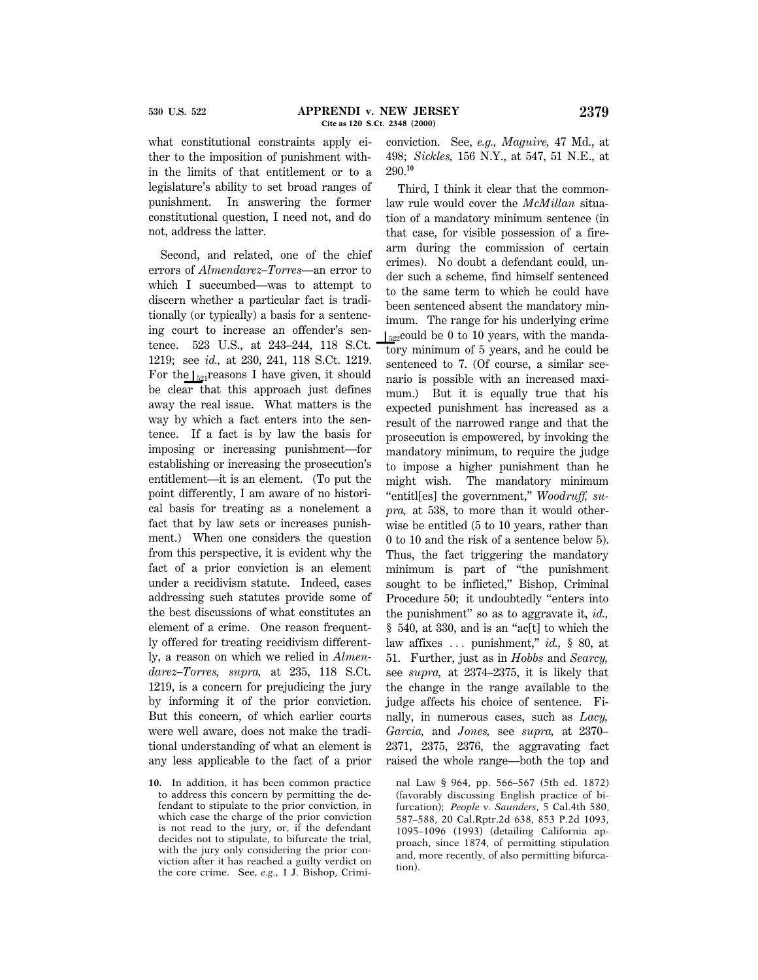what constitutional constraints apply either to the imposition of punishment within the limits of that entitlement or to a legislature's ability to set broad ranges of punishment. In answering the former constitutional question, I need not, and do not, address the latter.

Second, and related, one of the chief errors of *Almendarez–Torres*—an error to which I succumbed—was to attempt to discern whether a particular fact is traditionally (or typically) a basis for a sentencing court to increase an offender's sentence. 523 U.S., at 243–244, 118 S.Ct. 1219; see *id.,* at 230, 241, 118 S.Ct. 1219. For the  $\int_{521}$ reasons I have given, it should be clear that this approach just defines away the real issue. What matters is the way by which a fact enters into the sentence. If a fact is by law the basis for imposing or increasing punishment—for establishing or increasing the prosecution's entitlement—it is an element. (To put the point differently, I am aware of no historical basis for treating as a nonelement a fact that by law sets or increases punishment.) When one considers the question from this perspective, it is evident why the fact of a prior conviction is an element under a recidivism statute. Indeed, cases addressing such statutes provide some of the best discussions of what constitutes an element of a crime. One reason frequently offered for treating recidivism differently, a reason on which we relied in *Almendarez–Torres, supra,* at 235, 118 S.Ct. 1219, is a concern for prejudicing the jury by informing it of the prior conviction. But this concern, of which earlier courts were well aware, does not make the traditional understanding of what an element is any less applicable to the fact of a prior

**10.** In addition, it has been common practice to address this concern by permitting the defendant to stipulate to the prior conviction, in which case the charge of the prior conviction is not read to the jury, or, if the defendant decides not to stipulate, to bifurcate the trial, with the jury only considering the prior conviction after it has reached a guilty verdict on the core crime. See, *e.g.,* 1 J. Bishop, Crimi-

conviction. See, *e.g., Maguire,* 47 Md., at 498; *Sickles,* 156 N.Y., at 547, 51 N.E., at 290.**<sup>10</sup>**

Third, I think it clear that the commonlaw rule would cover the *McMillan* situation of a mandatory minimum sentence (in that case, for visible possession of a firearm during the commission of certain crimes). No doubt a defendant could, under such a scheme, find himself sentenced to the same term to which he could have been sentenced absent the mandatory minimum. The range for his underlying crime  $\frac{1}{2}$ s<sub>22</sub>could be 0 to 10 years, with the mandatory minimum of 5 years, and he could be sentenced to 7. (Of course, a similar scenario is possible with an increased maximum.) But it is equally true that his expected punishment has increased as a result of the narrowed range and that the prosecution is empowered, by invoking the mandatory minimum, to require the judge to impose a higher punishment than he might wish. The mandatory minimum "entitl[es] the government," *Woodruff, supra,* at 538, to more than it would otherwise be entitled (5 to 10 years, rather than 0 to 10 and the risk of a sentence below 5). Thus, the fact triggering the mandatory minimum is part of ''the punishment sought to be inflicted,'' Bishop, Criminal Procedure 50; it undoubtedly "enters into the punishment'' so as to aggravate it, *id.,* § 540, at 330, and is an "ac[t] to which the law affixes  $\ldots$  punishment," *id.*, § 80, at 51. Further, just as in *Hobbs* and *Searcy,* see *supra,* at 2374–2375, it is likely that the change in the range available to the judge affects his choice of sentence. Finally, in numerous cases, such as *Lacy, Garcia,* and *Jones,* see *supra,* at 2370– 2371, 2375, 2376, the aggravating fact raised the whole range—both the top and

nal Law § 964, pp. 566–567 (5th ed. 1872) (favorably discussing English practice of bifurcation); *People v. Saunders,* 5 Cal.4th 580, 587–588, 20 Cal.Rptr.2d 638, 853 P.2d 1093, 1095–1096 (1993) (detailing California approach, since 1874, of permitting stipulation and, more recently, of also permitting bifurcation).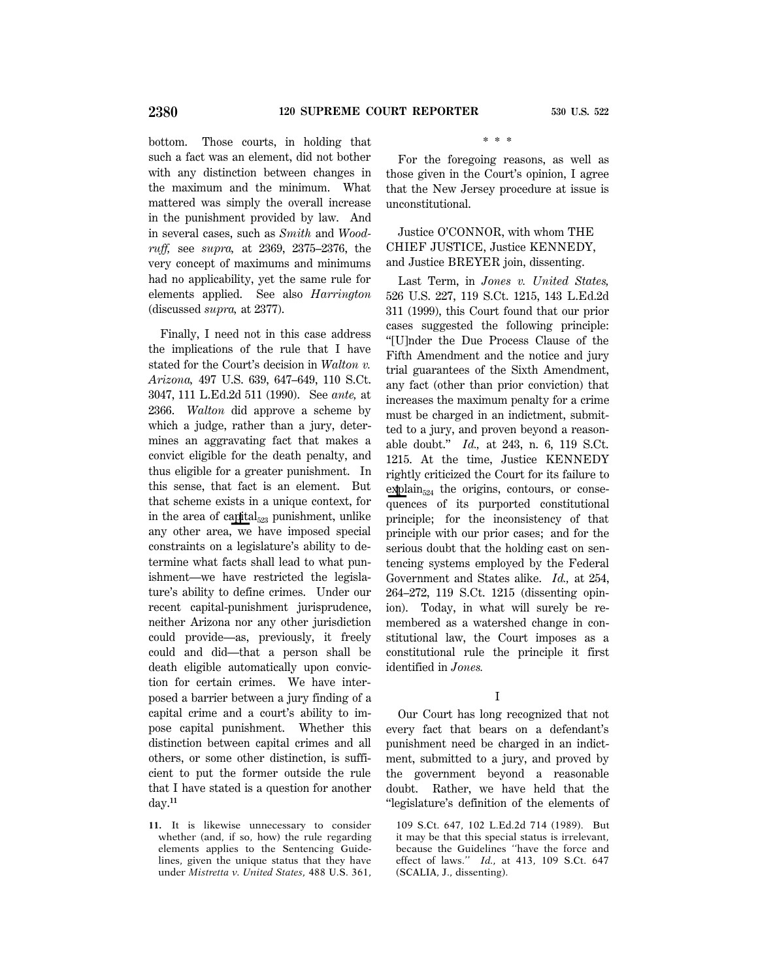bottom. Those courts, in holding that such a fact was an element, did not bother with any distinction between changes in the maximum and the minimum. What mattered was simply the overall increase in the punishment provided by law. And in several cases, such as *Smith* and *Woodruff,* see *supra,* at 2369, 2375–2376, the very concept of maximums and minimums had no applicability, yet the same rule for elements applied. See also *Harrington* (discussed *supra,* at 2377).

Finally, I need not in this case address the implications of the rule that I have stated for the Court's decision in *Walton v. Arizona,* 497 U.S. 639, 647–649, 110 S.Ct. 3047, 111 L.Ed.2d 511 (1990). See *ante,* at 2366. *Walton* did approve a scheme by which a judge, rather than a jury, determines an aggravating fact that makes a convict eligible for the death penalty, and thus eligible for a greater punishment. In this sense, that fact is an element. But that scheme exists in a unique context, for in the area of capital $_{523}$  punishment, unlike any other area, we have imposed special constraints on a legislature's ability to determine what facts shall lead to what punishment—we have restricted the legislature's ability to define crimes. Under our recent capital-punishment jurisprudence, neither Arizona nor any other jurisdiction could provide—as, previously, it freely could and did—that a person shall be death eligible automatically upon conviction for certain crimes. We have interposed a barrier between a jury finding of a capital crime and a court's ability to impose capital punishment. Whether this distinction between capital crimes and all others, or some other distinction, is sufficient to put the former outside the rule that I have stated is a question for another day.**<sup>11</sup>**

**11.** It is likewise unnecessary to consider whether (and, if so, how) the rule regarding elements applies to the Sentencing Guidelines, given the unique status that they have under *Mistretta v. United States,* 488 U.S. 361,

#### \* \* \*

For the foregoing reasons, as well as those given in the Court's opinion, I agree that the New Jersey procedure at issue is unconstitutional.

# Justice O'CONNOR, with whom THE CHIEF JUSTICE, Justice KENNEDY, and Justice BREYER join, dissenting.

Last Term, in *Jones v. United States,* 526 U.S. 227, 119 S.Ct. 1215, 143 L.Ed.2d 311 (1999), this Court found that our prior cases suggested the following principle: ''[U]nder the Due Process Clause of the Fifth Amendment and the notice and jury trial guarantees of the Sixth Amendment, any fact (other than prior conviction) that increases the maximum penalty for a crime must be charged in an indictment, submitted to a jury, and proven beyond a reasonable doubt.'' *Id.,* at 243, n. 6, 119 S.Ct. 1215. At the time, Justice KENNEDY rightly criticized the Court for its failure to  $explain_{524}$  the origins, contours, or consequences of its purported constitutional principle; for the inconsistency of that principle with our prior cases; and for the serious doubt that the holding cast on sentencing systems employed by the Federal Government and States alike. *Id.,* at 254, 264–272, 119 S.Ct. 1215 (dissenting opinion). Today, in what will surely be remembered as a watershed change in constitutional law, the Court imposes as a constitutional rule the principle it first identified in *Jones.*

## I

Our Court has long recognized that not every fact that bears on a defendant's punishment need be charged in an indictment, submitted to a jury, and proved by the government beyond a reasonable doubt. Rather, we have held that the ''legislature's definition of the elements of

<sup>109</sup> S.Ct. 647, 102 L.Ed.2d 714 (1989). But it may be that this special status is irrelevant, because the Guidelines ''have the force and effect of laws.'' *Id.,* at 413, 109 S.Ct. 647 (SCALIA, J., dissenting).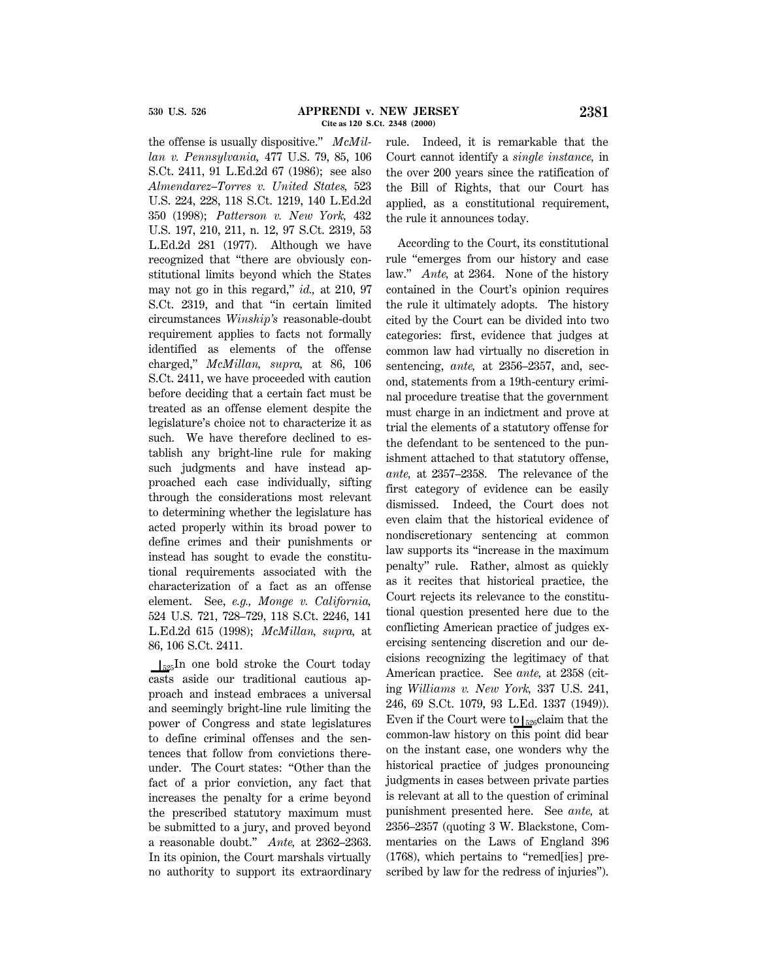the offense is usually dispositive.'' *McMillan v. Pennsylvania,* 477 U.S. 79, 85, 106 S.Ct. 2411, 91 L.Ed.2d 67 (1986); see also *Almendarez–Torres v. United States,* 523 U.S. 224, 228, 118 S.Ct. 1219, 140 L.Ed.2d 350 (1998); *Patterson v. New York,* 432 U.S. 197, 210, 211, n. 12, 97 S.Ct. 2319, 53 L.Ed.2d 281 (1977). Although we have recognized that ''there are obviously constitutional limits beyond which the States may not go in this regard,'' *id.,* at 210, 97 S.Ct. 2319, and that ''in certain limited circumstances *Winship's* reasonable-doubt requirement applies to facts not formally identified as elements of the offense charged,'' *McMillan, supra,* at 86, 106 S.Ct. 2411, we have proceeded with caution before deciding that a certain fact must be treated as an offense element despite the legislature's choice not to characterize it as such. We have therefore declined to establish any bright-line rule for making such judgments and have instead approached each case individually, sifting through the considerations most relevant to determining whether the legislature has acted properly within its broad power to define crimes and their punishments or instead has sought to evade the constitutional requirements associated with the characterization of a fact as an offense element. See, *e.g., Monge v. California,* 524 U.S. 721, 728–729, 118 S.Ct. 2246, 141 L.Ed.2d 615 (1998); *McMillan, supra,* at 86, 106 S.Ct. 2411.

 $\log_{525}$ In one bold stroke the Court today casts aside our traditional cautious approach and instead embraces a universal and seemingly bright-line rule limiting the power of Congress and state legislatures to define criminal offenses and the sentences that follow from convictions thereunder. The Court states: ''Other than the fact of a prior conviction, any fact that increases the penalty for a crime beyond the prescribed statutory maximum must be submitted to a jury, and proved beyond a reasonable doubt.'' *Ante,* at 2362–2363. In its opinion, the Court marshals virtually no authority to support its extraordinary rule. Indeed, it is remarkable that the Court cannot identify a *single instance,* in the over 200 years since the ratification of the Bill of Rights, that our Court has applied, as a constitutional requirement, the rule it announces today.

According to the Court, its constitutional rule ''emerges from our history and case law.'' *Ante,* at 2364. None of the history contained in the Court's opinion requires the rule it ultimately adopts. The history cited by the Court can be divided into two categories: first, evidence that judges at common law had virtually no discretion in sentencing, *ante,* at 2356–2357, and, second, statements from a 19th-century criminal procedure treatise that the government must charge in an indictment and prove at trial the elements of a statutory offense for the defendant to be sentenced to the punishment attached to that statutory offense, *ante,* at 2357–2358. The relevance of the first category of evidence can be easily dismissed. Indeed, the Court does not even claim that the historical evidence of nondiscretionary sentencing at common law supports its ''increase in the maximum penalty'' rule. Rather, almost as quickly as it recites that historical practice, the Court rejects its relevance to the constitutional question presented here due to the conflicting American practice of judges exercising sentencing discretion and our decisions recognizing the legitimacy of that American practice. See *ante,* at 2358 (citing *Williams v. New York,* 337 U.S. 241, 246, 69 S.Ct. 1079, 93 L.Ed. 1337 (1949)). Even if the Court were to  $\frac{1}{526}$ claim that the common-law history on this point did bear on the instant case, one wonders why the historical practice of judges pronouncing judgments in cases between private parties is relevant at all to the question of criminal punishment presented here. See *ante,* at 2356–2357 (quoting 3 W. Blackstone, Commentaries on the Laws of England 396 (1768), which pertains to ''remed[ies] prescribed by law for the redress of injuries'').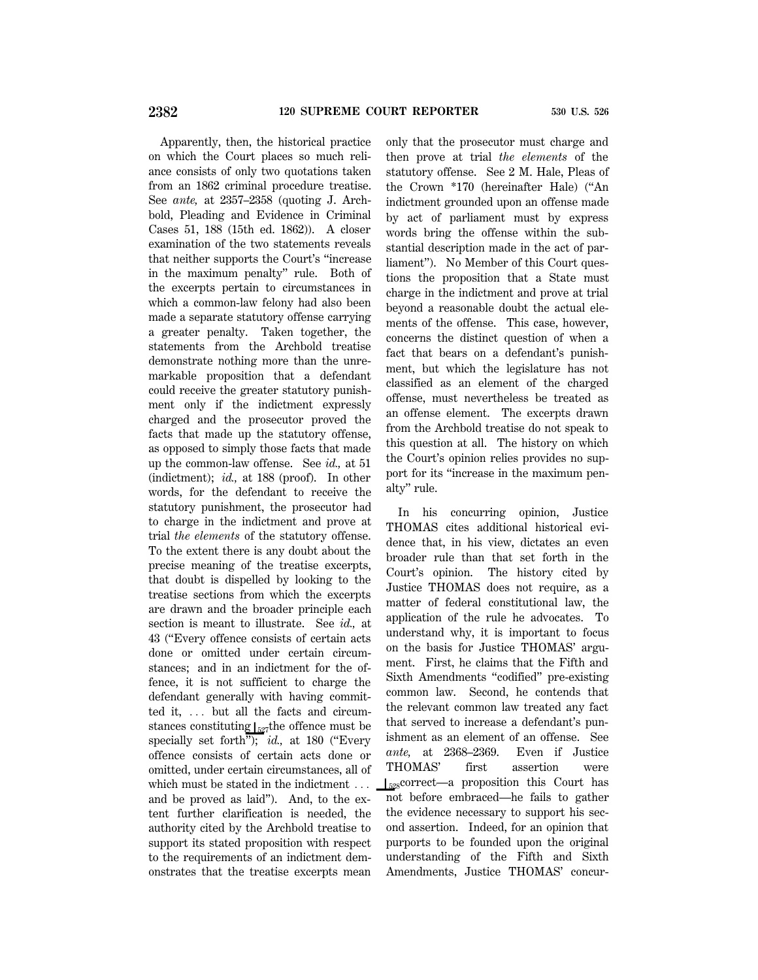Apparently, then, the historical practice on which the Court places so much reliance consists of only two quotations taken from an 1862 criminal procedure treatise. See *ante,* at 2357–2358 (quoting J. Archbold, Pleading and Evidence in Criminal Cases 51, 188 (15th ed. 1862)). A closer examination of the two statements reveals that neither supports the Court's ''increase in the maximum penalty'' rule. Both of the excerpts pertain to circumstances in which a common-law felony had also been made a separate statutory offense carrying a greater penalty. Taken together, the statements from the Archbold treatise demonstrate nothing more than the unremarkable proposition that a defendant could receive the greater statutory punishment only if the indictment expressly charged and the prosecutor proved the facts that made up the statutory offense, as opposed to simply those facts that made up the common-law offense. See *id.,* at 51 (indictment); *id.,* at 188 (proof). In other words, for the defendant to receive the statutory punishment, the prosecutor had to charge in the indictment and prove at trial *the elements* of the statutory offense. To the extent there is any doubt about the precise meaning of the treatise excerpts, that doubt is dispelled by looking to the treatise sections from which the excerpts are drawn and the broader principle each section is meant to illustrate. See *id.,* at 43 (''Every offence consists of certain acts done or omitted under certain circumstances; and in an indictment for the offence, it is not sufficient to charge the defendant generally with having committed it,  $\ldots$  but all the facts and circumstances constituting  $\frac{1}{527}$ the offence must be specially set forth $\overline{r}$ ; *id.*, at 180 ("Every") offence consists of certain acts done or omitted, under certain circumstances, all of which must be stated in the indictment  $\ldots$ and be proved as laid''). And, to the extent further clarification is needed, the authority cited by the Archbold treatise to support its stated proposition with respect to the requirements of an indictment demonstrates that the treatise excerpts mean

only that the prosecutor must charge and then prove at trial *the elements* of the statutory offense. See 2 M. Hale, Pleas of the Crown \*170 (hereinafter Hale) (''An indictment grounded upon an offense made by act of parliament must by express words bring the offense within the substantial description made in the act of parliament''). No Member of this Court questions the proposition that a State must charge in the indictment and prove at trial beyond a reasonable doubt the actual elements of the offense. This case, however, concerns the distinct question of when a fact that bears on a defendant's punishment, but which the legislature has not classified as an element of the charged offense, must nevertheless be treated as an offense element. The excerpts drawn from the Archbold treatise do not speak to this question at all. The history on which the Court's opinion relies provides no support for its ''increase in the maximum penalty'' rule.

In his concurring opinion, Justice THOMAS cites additional historical evidence that, in his view, dictates an even broader rule than that set forth in the Court's opinion. The history cited by Justice THOMAS does not require, as a matter of federal constitutional law, the application of the rule he advocates. To understand why, it is important to focus on the basis for Justice THOMAS' argument. First, he claims that the Fifth and Sixth Amendments ''codified'' pre-existing common law. Second, he contends that the relevant common law treated any fact that served to increase a defendant's punishment as an element of an offense. See *ante,* at 2368–2369. Even if Justice THOMAS' first assertion were  $\frac{1}{528}$ correct—a proposition this Court has not before embraced—he fails to gather the evidence necessary to support his second assertion. Indeed, for an opinion that purports to be founded upon the original understanding of the Fifth and Sixth Amendments, Justice THOMAS' concur-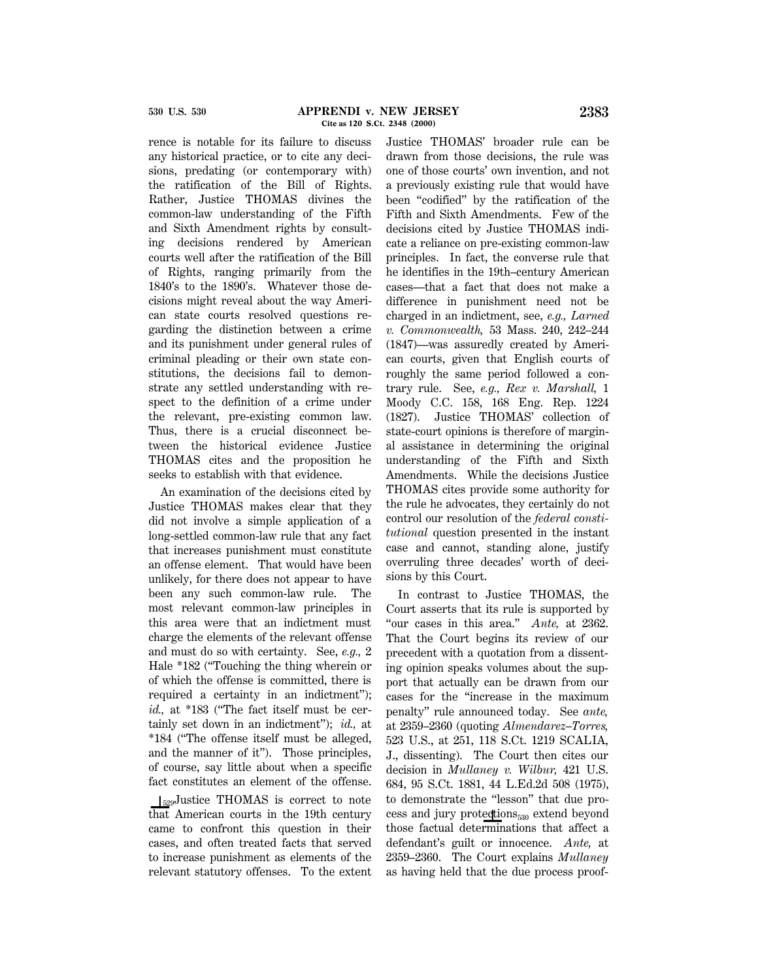rence is notable for its failure to discuss any historical practice, or to cite any decisions, predating (or contemporary with) the ratification of the Bill of Rights. Rather, Justice THOMAS divines the common-law understanding of the Fifth and Sixth Amendment rights by consulting decisions rendered by American courts well after the ratification of the Bill of Rights, ranging primarily from the 1840's to the 1890's. Whatever those decisions might reveal about the way American state courts resolved questions regarding the distinction between a crime and its punishment under general rules of criminal pleading or their own state constitutions, the decisions fail to demonstrate any settled understanding with respect to the definition of a crime under the relevant, pre-existing common law. Thus, there is a crucial disconnect between the historical evidence Justice THOMAS cites and the proposition he seeks to establish with that evidence.

An examination of the decisions cited by Justice THOMAS makes clear that they did not involve a simple application of a long-settled common-law rule that any fact that increases punishment must constitute an offense element. That would have been unlikely, for there does not appear to have been any such common-law rule. The most relevant common-law principles in this area were that an indictment must charge the elements of the relevant offense and must do so with certainty. See, *e.g.,* 2 Hale \*182 (''Touching the thing wherein or of which the offense is committed, there is required a certainty in an indictment''); *id.,* at \*183 (''The fact itself must be certainly set down in an indictment''); *id.,* at \*184 (''The offense itself must be alleged, and the manner of it''). Those principles, of course, say little about when a specific fact constitutes an element of the offense.

 $\sim$  I<sub>529</sub>Justice THOMAS is correct to note that American courts in the 19th century came to confront this question in their cases, and often treated facts that served to increase punishment as elements of the relevant statutory offenses. To the extent Justice THOMAS' broader rule can be drawn from those decisions, the rule was one of those courts' own invention, and not a previously existing rule that would have been ''codified'' by the ratification of the Fifth and Sixth Amendments. Few of the decisions cited by Justice THOMAS indicate a reliance on pre-existing common-law principles. In fact, the converse rule that he identifies in the 19th–century American cases—that a fact that does not make a difference in punishment need not be charged in an indictment, see, *e.g., Larned v. Commonwealth,* 53 Mass. 240, 242–244 (1847)—was assuredly created by American courts, given that English courts of roughly the same period followed a contrary rule. See, *e.g., Rex v. Marshall,* 1 Moody C.C. 158, 168 Eng. Rep. 1224 (1827). Justice THOMAS' collection of state-court opinions is therefore of marginal assistance in determining the original understanding of the Fifth and Sixth Amendments. While the decisions Justice THOMAS cites provide some authority for the rule he advocates, they certainly do not control our resolution of the *federal constitutional* question presented in the instant case and cannot, standing alone, justify overruling three decades' worth of decisions by this Court.

In contrast to Justice THOMAS, the Court asserts that its rule is supported by ''our cases in this area.'' *Ante,* at 2362. That the Court begins its review of our precedent with a quotation from a dissenting opinion speaks volumes about the support that actually can be drawn from our cases for the ''increase in the maximum penalty'' rule announced today. See *ante,* at 2359–2360 (quoting *Almendarez–Torres,* 523 U.S., at 251, 118 S.Ct. 1219 SCALIA, J., dissenting). The Court then cites our decision in *Mullaney v. Wilbur,* 421 U.S. 684, 95 S.Ct. 1881, 44 L.Ed.2d 508 (1975), to demonstrate the ''lesson'' that due process and jury protections<sub>530</sub> extend beyond those factual determinations that affect a defendant's guilt or innocence. *Ante,* at 2359–2360. The Court explains *Mullaney* as having held that the due process proof-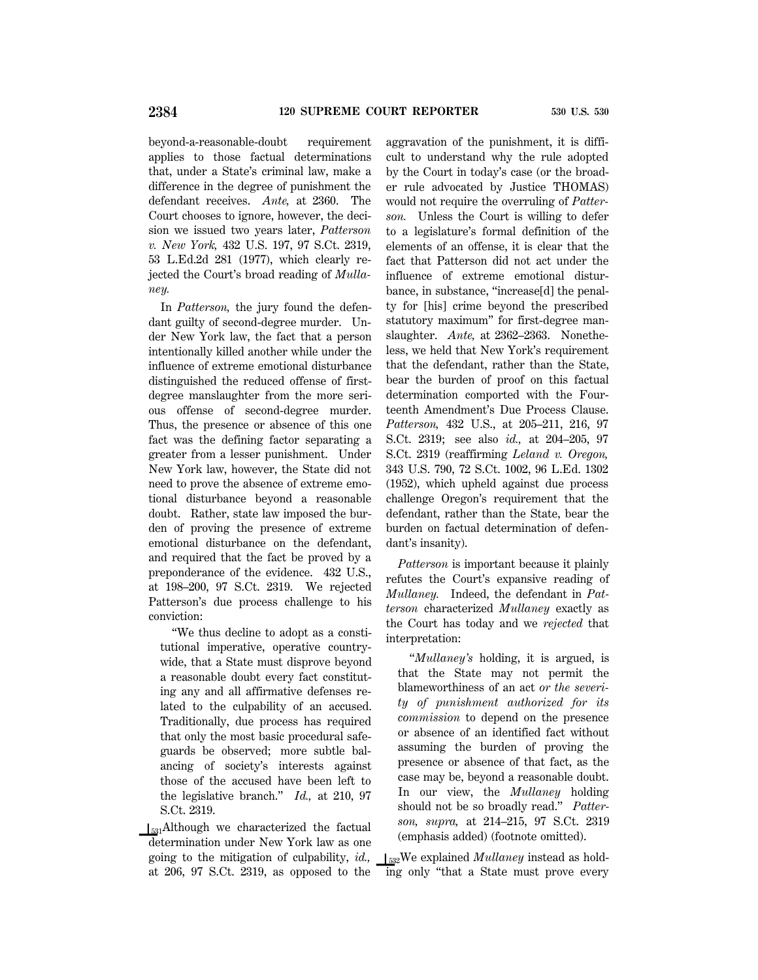beyond-a-reasonable-doubt requirement applies to those factual determinations that, under a State's criminal law, make a difference in the degree of punishment the defendant receives. *Ante,* at 2360. The Court chooses to ignore, however, the decision we issued two years later, *Patterson v. New York,* 432 U.S. 197, 97 S.Ct. 2319, 53 L.Ed.2d 281 (1977), which clearly rejected the Court's broad reading of *Mullaney.*

In *Patterson,* the jury found the defendant guilty of second-degree murder. Under New York law, the fact that a person intentionally killed another while under the influence of extreme emotional disturbance distinguished the reduced offense of firstdegree manslaughter from the more serious offense of second-degree murder. Thus, the presence or absence of this one fact was the defining factor separating a greater from a lesser punishment. Under New York law, however, the State did not need to prove the absence of extreme emotional disturbance beyond a reasonable doubt. Rather, state law imposed the burden of proving the presence of extreme emotional disturbance on the defendant, and required that the fact be proved by a preponderance of the evidence. 432 U.S., at 198–200, 97 S.Ct. 2319. We rejected Patterson's due process challenge to his conviction:

''We thus decline to adopt as a constitutional imperative, operative countrywide, that a State must disprove beyond a reasonable doubt every fact constituting any and all affirmative defenses related to the culpability of an accused. Traditionally, due process has required that only the most basic procedural safeguards be observed; more subtle balancing of society's interests against those of the accused have been left to the legislative branch.'' *Id.,* at 210, 97 S.Ct. 2319.

 $\frac{1}{531}$ Although we characterized the factual determination under New York law as one going to the mitigation of culpability, *id.,* at 206, 97 S.Ct. 2319, as opposed to the aggravation of the punishment, it is difficult to understand why the rule adopted by the Court in today's case (or the broader rule advocated by Justice THOMAS) would not require the overruling of *Patterson.* Unless the Court is willing to defer to a legislature's formal definition of the elements of an offense, it is clear that the fact that Patterson did not act under the influence of extreme emotional disturbance, in substance, ''increase[d] the penalty for [his] crime beyond the prescribed statutory maximum'' for first-degree manslaughter. *Ante,* at 2362–2363. Nonetheless, we held that New York's requirement that the defendant, rather than the State, bear the burden of proof on this factual determination comported with the Fourteenth Amendment's Due Process Clause. *Patterson,* 432 U.S., at 205–211, 216, 97 S.Ct. 2319; see also *id.,* at 204–205, 97 S.Ct. 2319 (reaffirming *Leland v. Oregon,* 343 U.S. 790, 72 S.Ct. 1002, 96 L.Ed. 1302 (1952), which upheld against due process challenge Oregon's requirement that the defendant, rather than the State, bear the burden on factual determination of defendant's insanity).

*Patterson* is important because it plainly refutes the Court's expansive reading of *Mullaney.* Indeed, the defendant in *Patterson* characterized *Mullaney* exactly as the Court has today and we *rejected* that interpretation:

''*Mullaney's* holding, it is argued, is that the State may not permit the blameworthiness of an act *or the severity of punishment authorized for its commission* to depend on the presence or absence of an identified fact without assuming the burden of proving the presence or absence of that fact, as the case may be, beyond a reasonable doubt. In our view, the *Mullaney* holding should not be so broadly read.'' *Patterson, supra,* at 214–215, 97 S.Ct. 2319 (emphasis added) (footnote omitted).

S532We explained *Mullaney* instead as holding only ''that a State must prove every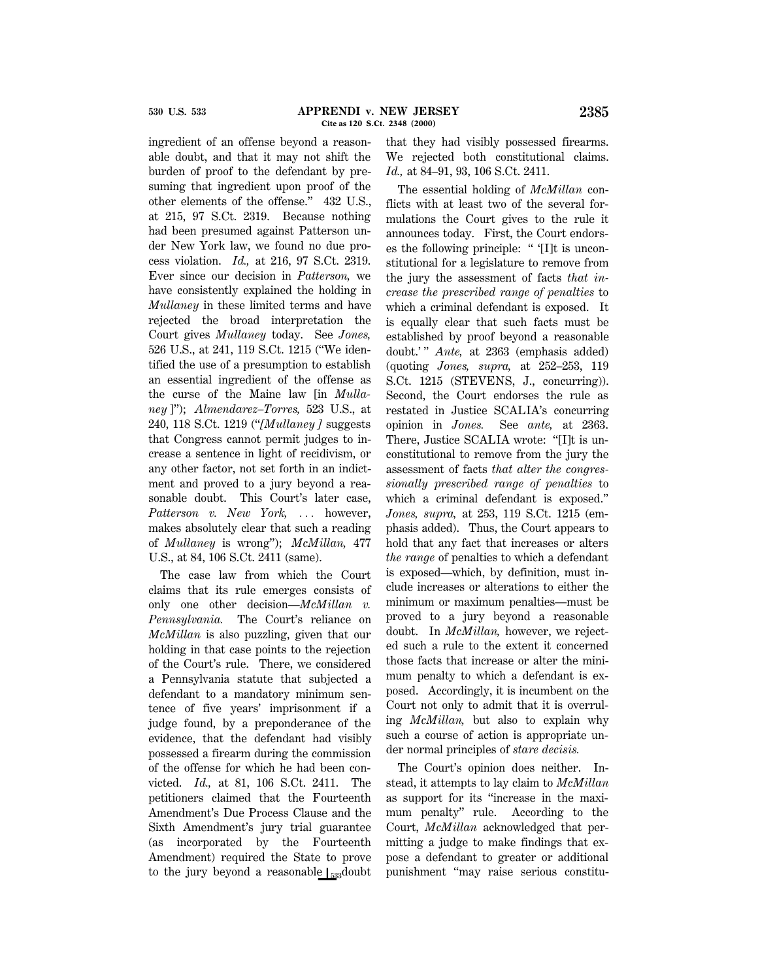ingredient of an offense beyond a reasonable doubt, and that it may not shift the burden of proof to the defendant by presuming that ingredient upon proof of the other elements of the offense.'' 432 U.S., at 215, 97 S.Ct. 2319. Because nothing had been presumed against Patterson under New York law, we found no due process violation. *Id.,* at 216, 97 S.Ct. 2319. Ever since our decision in *Patterson,* we have consistently explained the holding in *Mullaney* in these limited terms and have rejected the broad interpretation the Court gives *Mullaney* today. See *Jones,* 526 U.S., at 241, 119 S.Ct. 1215 (''We identified the use of a presumption to establish an essential ingredient of the offense as the curse of the Maine law [in *Mullaney* ]''); *Almendarez–Torres,* 523 U.S., at 240, 118 S.Ct. 1219 (''*[Mullaney ]* suggests that Congress cannot permit judges to increase a sentence in light of recidivism, or any other factor, not set forth in an indictment and proved to a jury beyond a reasonable doubt. This Court's later case, *Patterson v. New York, ...* however, makes absolutely clear that such a reading of *Mullaney* is wrong''); *McMillan,* 477 U.S., at 84, 106 S.Ct. 2411 (same).

The case law from which the Court claims that its rule emerges consists of only one other decision—*McMillan v. Pennsylvania.* The Court's reliance on *McMillan* is also puzzling, given that our holding in that case points to the rejection of the Court's rule. There, we considered a Pennsylvania statute that subjected a defendant to a mandatory minimum sentence of five years' imprisonment if a judge found, by a preponderance of the evidence, that the defendant had visibly possessed a firearm during the commission of the offense for which he had been convicted. *Id.,* at 81, 106 S.Ct. 2411. The petitioners claimed that the Fourteenth Amendment's Due Process Clause and the Sixth Amendment's jury trial guarantee (as incorporated by the Fourteenth Amendment) required the State to prove to the jury beyond a reasonable  $\frac{1}{533}$ doubt that they had visibly possessed firearms. We rejected both constitutional claims. *Id.,* at 84–91, 93, 106 S.Ct. 2411.

The essential holding of *McMillan* conflicts with at least two of the several formulations the Court gives to the rule it announces today. First, the Court endorses the following principle: '' '[I]t is unconstitutional for a legislature to remove from the jury the assessment of facts *that increase the prescribed range of penalties* to which a criminal defendant is exposed. It is equally clear that such facts must be established by proof beyond a reasonable doubt.'" Ante, at 2363 (emphasis added) (quoting *Jones, supra,* at 252–253, 119 S.Ct. 1215 (STEVENS, J., concurring)). Second, the Court endorses the rule as restated in Justice SCALIA's concurring opinion in *Jones.* See *ante,* at 2363. There, Justice SCALIA wrote: "[I]t is unconstitutional to remove from the jury the assessment of facts *that alter the congressionally prescribed range of penalties* to which a criminal defendant is exposed.'' *Jones, supra,* at 253, 119 S.Ct. 1215 (emphasis added). Thus, the Court appears to hold that any fact that increases or alters *the range* of penalties to which a defendant is exposed—which, by definition, must include increases or alterations to either the minimum or maximum penalties—must be proved to a jury beyond a reasonable doubt. In *McMillan,* however, we rejected such a rule to the extent it concerned those facts that increase or alter the minimum penalty to which a defendant is exposed. Accordingly, it is incumbent on the Court not only to admit that it is overruling *McMillan,* but also to explain why such a course of action is appropriate under normal principles of *stare decisis.*

The Court's opinion does neither. Instead, it attempts to lay claim to *McMillan* as support for its ''increase in the maximum penalty'' rule. According to the Court, *McMillan* acknowledged that permitting a judge to make findings that expose a defendant to greater or additional punishment ''may raise serious constitu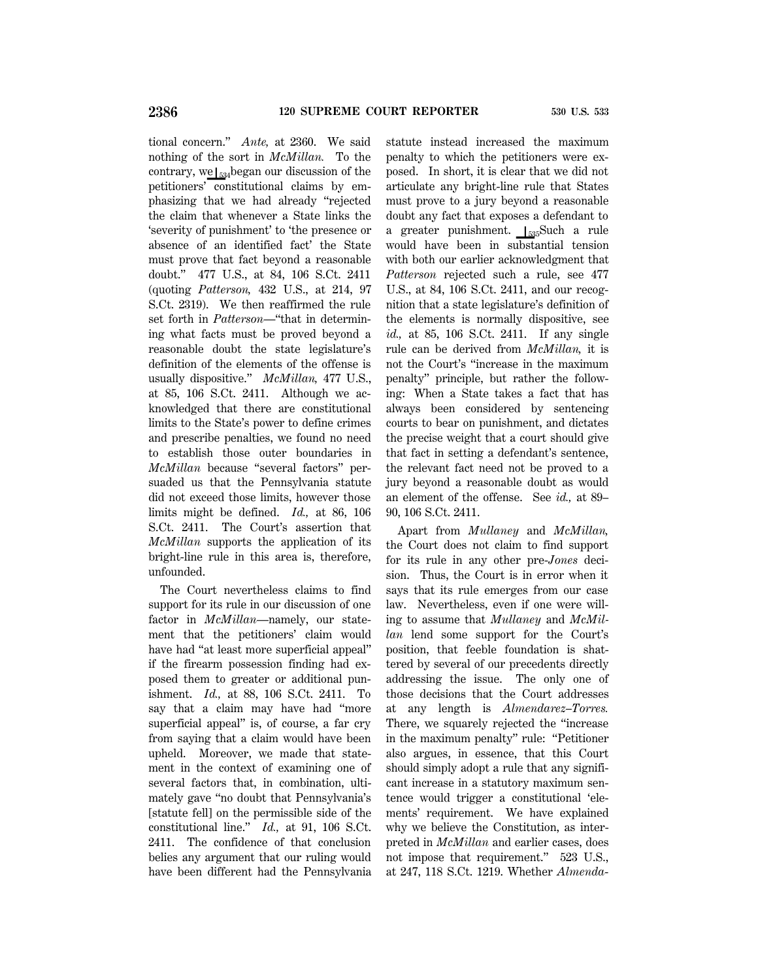tional concern.'' *Ante,* at 2360. We said nothing of the sort in *McMillan.* To the contrary, we  $\vert_{534}$ began our discussion of the petitioners' constitutional claims by emphasizing that we had already ''rejected the claim that whenever a State links the 'severity of punishment' to 'the presence or absence of an identified fact' the State must prove that fact beyond a reasonable doubt.'' 477 U.S., at 84, 106 S.Ct. 2411 (quoting *Patterson,* 432 U.S., at 214, 97 S.Ct. 2319). We then reaffirmed the rule set forth in *Patterson*—''that in determining what facts must be proved beyond a reasonable doubt the state legislature's definition of the elements of the offense is usually dispositive.'' *McMillan,* 477 U.S., at 85, 106 S.Ct. 2411. Although we acknowledged that there are constitutional limits to the State's power to define crimes and prescribe penalties, we found no need to establish those outer boundaries in *McMillan* because ''several factors'' persuaded us that the Pennsylvania statute did not exceed those limits, however those limits might be defined. *Id.,* at 86, 106 S.Ct. 2411. The Court's assertion that *McMillan* supports the application of its bright-line rule in this area is, therefore, unfounded.

The Court nevertheless claims to find support for its rule in our discussion of one factor in *McMillan*—namely, our statement that the petitioners' claim would have had ''at least more superficial appeal'' if the firearm possession finding had exposed them to greater or additional punishment. *Id.,* at 88, 106 S.Ct. 2411. To say that a claim may have had ''more superficial appeal'' is, of course, a far cry from saying that a claim would have been upheld. Moreover, we made that statement in the context of examining one of several factors that, in combination, ultimately gave ''no doubt that Pennsylvania's [statute fell] on the permissible side of the constitutional line.'' *Id.,* at 91, 106 S.Ct. 2411. The confidence of that conclusion belies any argument that our ruling would have been different had the Pennsylvania statute instead increased the maximum penalty to which the petitioners were exposed. In short, it is clear that we did not articulate any bright-line rule that States must prove to a jury beyond a reasonable doubt any fact that exposes a defendant to a greater punishment.  $\frac{1}{535}$ Such a rule would have been in substantial tension with both our earlier acknowledgment that *Patterson* rejected such a rule, see 477 U.S., at 84, 106 S.Ct. 2411, and our recognition that a state legislature's definition of the elements is normally dispositive, see *id.,* at 85, 106 S.Ct. 2411. If any single rule can be derived from *McMillan,* it is not the Court's ''increase in the maximum penalty'' principle, but rather the following: When a State takes a fact that has always been considered by sentencing courts to bear on punishment, and dictates the precise weight that a court should give that fact in setting a defendant's sentence, the relevant fact need not be proved to a jury beyond a reasonable doubt as would an element of the offense. See *id.,* at 89– 90, 106 S.Ct. 2411.

Apart from *Mullaney* and *McMillan,* the Court does not claim to find support for its rule in any other pre-*Jones* decision. Thus, the Court is in error when it says that its rule emerges from our case law. Nevertheless, even if one were willing to assume that *Mullaney* and *McMillan* lend some support for the Court's position, that feeble foundation is shattered by several of our precedents directly addressing the issue. The only one of those decisions that the Court addresses at any length is *Almendarez–Torres.* There, we squarely rejected the ''increase in the maximum penalty'' rule: ''Petitioner also argues, in essence, that this Court should simply adopt a rule that any significant increase in a statutory maximum sentence would trigger a constitutional 'elements' requirement. We have explained why we believe the Constitution, as interpreted in *McMillan* and earlier cases, does not impose that requirement.'' 523 U.S., at 247, 118 S.Ct. 1219. Whether *Almenda*-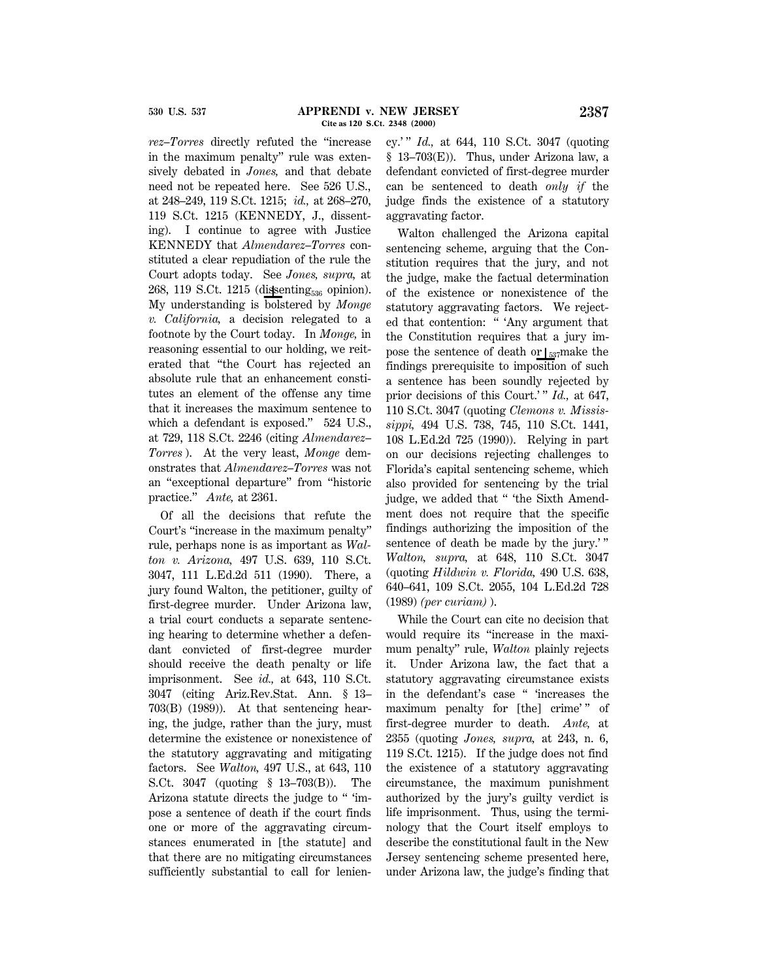*rez–Torres* directly refuted the ''increase in the maximum penalty'' rule was extensively debated in *Jones,* and that debate need not be repeated here. See 526 U.S., at 248–249, 119 S.Ct. 1215; *id.,* at 268–270, 119 S.Ct. 1215 (KENNEDY, J., dissenting). I continue to agree with Justice KENNEDY that *Almendarez–Torres* constituted a clear repudiation of the rule the Court adopts today. See *Jones, supra,* at 268, 119 S.Ct. 1215 (dissenting<sub>536</sub> opinion). My understanding is bolstered by *Monge v. California,* a decision relegated to a footnote by the Court today. In *Monge,* in reasoning essential to our holding, we reiterated that ''the Court has rejected an absolute rule that an enhancement constitutes an element of the offense any time that it increases the maximum sentence to which a defendant is exposed.'' 524 U.S., at 729, 118 S.Ct. 2246 (citing *Almendarez– Torres* ). At the very least, *Monge* demonstrates that *Almendarez–Torres* was not an ''exceptional departure'' from ''historic practice.'' *Ante,* at 2361.

Of all the decisions that refute the Court's ''increase in the maximum penalty'' rule, perhaps none is as important as *Walton v. Arizona,* 497 U.S. 639, 110 S.Ct. 3047, 111 L.Ed.2d 511 (1990). There, a jury found Walton, the petitioner, guilty of first-degree murder. Under Arizona law, a trial court conducts a separate sentencing hearing to determine whether a defendant convicted of first-degree murder should receive the death penalty or life imprisonment. See *id.,* at 643, 110 S.Ct. 3047 (citing Ariz.Rev.Stat. Ann. § 13– 703(B) (1989)). At that sentencing hearing, the judge, rather than the jury, must determine the existence or nonexistence of the statutory aggravating and mitigating factors. See *Walton,* 497 U.S., at 643, 110 S.Ct. 3047 (quoting § 13–703(B)). The Arizona statute directs the judge to '' 'impose a sentence of death if the court finds one or more of the aggravating circumstances enumerated in [the statute] and that there are no mitigating circumstances sufficiently substantial to call for lenien-

cy.' '' *Id.,* at 644, 110 S.Ct. 3047 (quoting  $§$  13–703(E)). Thus, under Arizona law, a defendant convicted of first-degree murder can be sentenced to death *only if* the judge finds the existence of a statutory aggravating factor.

Walton challenged the Arizona capital sentencing scheme, arguing that the Constitution requires that the jury, and not the judge, make the factual determination of the existence or nonexistence of the statutory aggravating factors. We rejected that contention: '' 'Any argument that the Constitution requires that a jury impose the sentence of death or  $\frac{1}{537}$ make the findings prerequisite to imposition of such a sentence has been soundly rejected by prior decisions of this Court.'" *Id.*, at 647, 110 S.Ct. 3047 (quoting *Clemons v. Mississippi,* 494 U.S. 738, 745, 110 S.Ct. 1441, 108 L.Ed.2d 725 (1990)). Relying in part on our decisions rejecting challenges to Florida's capital sentencing scheme, which also provided for sentencing by the trial judge, we added that '' 'the Sixth Amendment does not require that the specific findings authorizing the imposition of the sentence of death be made by the jury.'" *Walton, supra,* at 648, 110 S.Ct. 3047 (quoting *Hildwin v. Florida,* 490 U.S. 638, 640–641, 109 S.Ct. 2055, 104 L.Ed.2d 728 (1989) *(per curiam)* ).

While the Court can cite no decision that would require its ''increase in the maximum penalty'' rule, *Walton* plainly rejects it. Under Arizona law, the fact that a statutory aggravating circumstance exists in the defendant's case '' 'increases the maximum penalty for [the] crime'" of first-degree murder to death. *Ante,* at 2355 (quoting *Jones, supra,* at 243, n. 6, 119 S.Ct. 1215). If the judge does not find the existence of a statutory aggravating circumstance, the maximum punishment authorized by the jury's guilty verdict is life imprisonment. Thus, using the terminology that the Court itself employs to describe the constitutional fault in the New Jersey sentencing scheme presented here, under Arizona law, the judge's finding that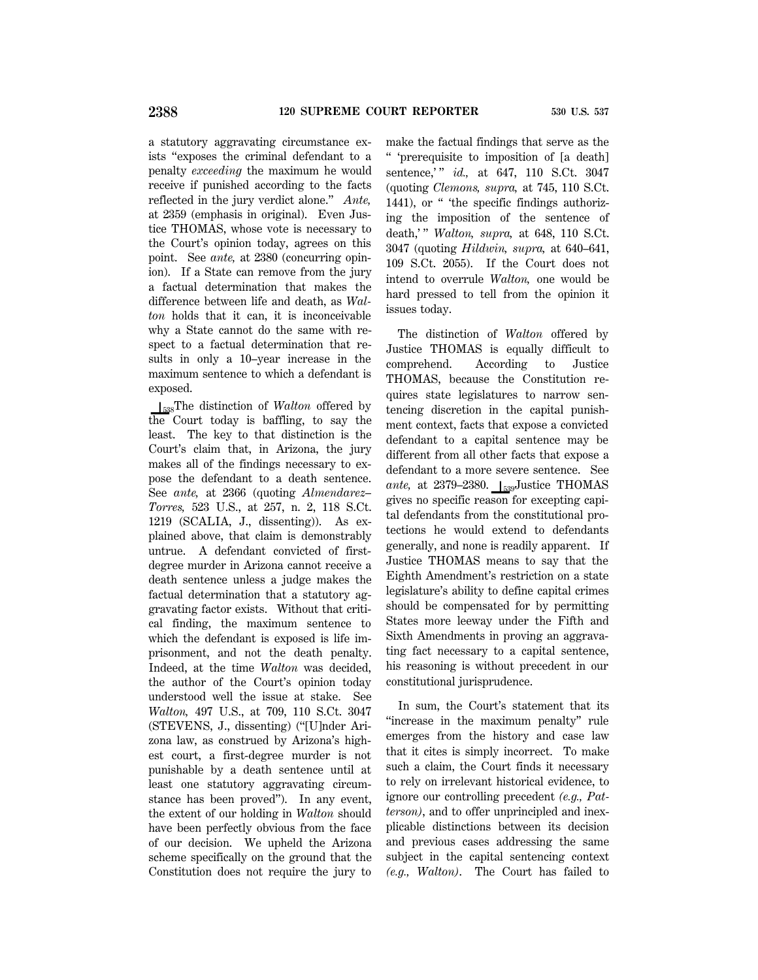a statutory aggravating circumstance exists ''exposes the criminal defendant to a penalty *exceeding* the maximum he would receive if punished according to the facts reflected in the jury verdict alone.'' *Ante,* at 2359 (emphasis in original). Even Justice THOMAS, whose vote is necessary to the Court's opinion today, agrees on this point. See *ante*, at 2380 (concurring opinion). If a State can remove from the jury a factual determination that makes the difference between life and death, as *Walton* holds that it can, it is inconceivable why a State cannot do the same with respect to a factual determination that results in only a 10–year increase in the maximum sentence to which a defendant is exposed.

S538The distinction of *Walton* offered by the Court today is baffling, to say the least. The key to that distinction is the Court's claim that, in Arizona, the jury makes all of the findings necessary to expose the defendant to a death sentence. See *ante,* at 2366 (quoting *Almendarez– Torres,* 523 U.S., at 257, n. 2, 118 S.Ct. 1219 (SCALIA, J., dissenting)). As explained above, that claim is demonstrably untrue. A defendant convicted of firstdegree murder in Arizona cannot receive a death sentence unless a judge makes the factual determination that a statutory aggravating factor exists. Without that critical finding, the maximum sentence to which the defendant is exposed is life imprisonment, and not the death penalty. Indeed, at the time *Walton* was decided, the author of the Court's opinion today understood well the issue at stake. See *Walton,* 497 U.S., at 709, 110 S.Ct. 3047 (STEVENS, J., dissenting) (''[U]nder Arizona law, as construed by Arizona's highest court, a first-degree murder is not punishable by a death sentence until at least one statutory aggravating circumstance has been proved''). In any event, the extent of our holding in *Walton* should have been perfectly obvious from the face of our decision. We upheld the Arizona scheme specifically on the ground that the Constitution does not require the jury to

make the factual findings that serve as the '' 'prerequisite to imposition of [a death] sentence,'" *id.*, at 647, 110 S.Ct. 3047 (quoting *Clemons, supra,* at 745, 110 S.Ct. 1441), or " 'the specific findings authorizing the imposition of the sentence of death,' '' *Walton, supra,* at 648, 110 S.Ct. 3047 (quoting *Hildwin, supra,* at 640–641, 109 S.Ct. 2055). If the Court does not intend to overrule *Walton,* one would be hard pressed to tell from the opinion it issues today.

The distinction of *Walton* offered by Justice THOMAS is equally difficult to comprehend. According to Justice THOMAS, because the Constitution requires state legislatures to narrow sentencing discretion in the capital punishment context, facts that expose a convicted defendant to a capital sentence may be different from all other facts that expose a defendant to a more severe sentence. See ante, at  $2379-2380$ .  $\frac{1}{539}$ Justice THOMAS gives no specific reason for excepting capital defendants from the constitutional protections he would extend to defendants generally, and none is readily apparent. If Justice THOMAS means to say that the Eighth Amendment's restriction on a state legislature's ability to define capital crimes should be compensated for by permitting States more leeway under the Fifth and Sixth Amendments in proving an aggravating fact necessary to a capital sentence, his reasoning is without precedent in our constitutional jurisprudence.

In sum, the Court's statement that its ''increase in the maximum penalty'' rule emerges from the history and case law that it cites is simply incorrect. To make such a claim, the Court finds it necessary to rely on irrelevant historical evidence, to ignore our controlling precedent *(e.g., Patterson)*, and to offer unprincipled and inexplicable distinctions between its decision and previous cases addressing the same subject in the capital sentencing context *(e.g., Walton)*. The Court has failed to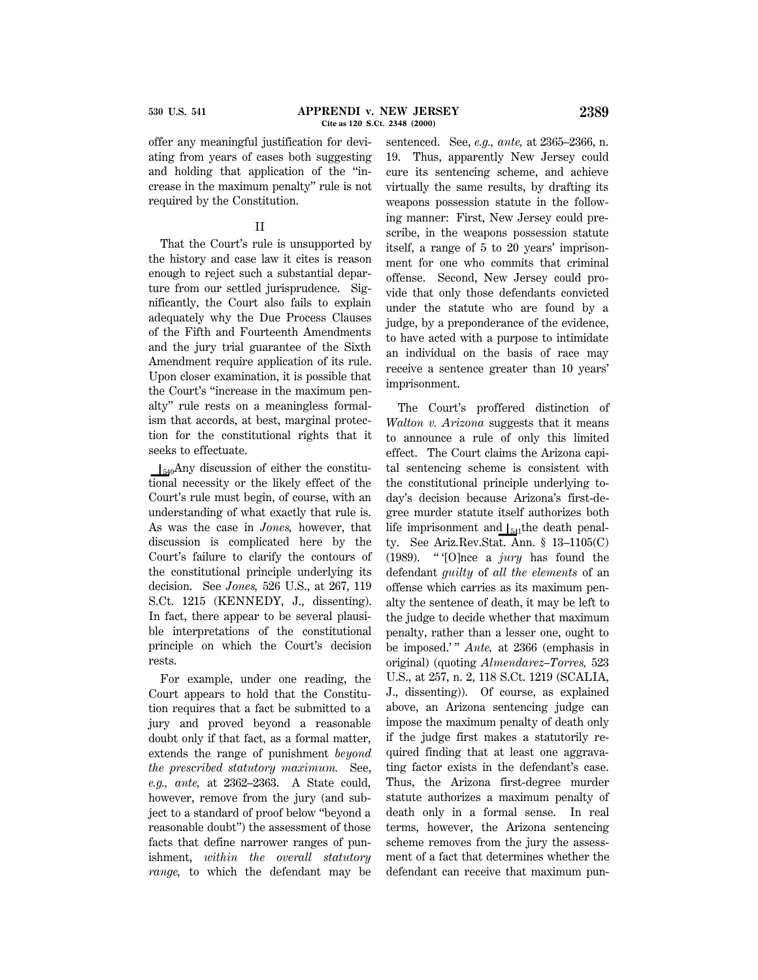offer any meaningful justification for deviating from years of cases both suggesting and holding that application of the ''increase in the maximum penalty'' rule is not required by the Constitution.

## II

That the Court's rule is unsupported by the history and case law it cites is reason enough to reject such a substantial departure from our settled jurisprudence. Significantly, the Court also fails to explain adequately why the Due Process Clauses of the Fifth and Fourteenth Amendments and the jury trial guarantee of the Sixth Amendment require application of its rule. Upon closer examination, it is possible that the Court's ''increase in the maximum penalty'' rule rests on a meaningless formalism that accords, at best, marginal protection for the constitutional rights that it seeks to effectuate.

 $\frac{1}{540}$ Any discussion of either the constitutional necessity or the likely effect of the Court's rule must begin, of course, with an understanding of what exactly that rule is. As was the case in *Jones,* however, that discussion is complicated here by the Court's failure to clarify the contours of the constitutional principle underlying its decision. See *Jones,* 526 U.S., at 267, 119 S.Ct. 1215 (KENNEDY, J., dissenting). In fact, there appear to be several plausible interpretations of the constitutional principle on which the Court's decision rests.

For example, under one reading, the Court appears to hold that the Constitution requires that a fact be submitted to a jury and proved beyond a reasonable doubt only if that fact, as a formal matter, extends the range of punishment *beyond the prescribed statutory maximum.* See, *e.g., ante,* at 2362–2363. A State could, however, remove from the jury (and subject to a standard of proof below ''beyond a reasonable doubt'') the assessment of those facts that define narrower ranges of punishment, *within the overall statutory range,* to which the defendant may be

sentenced. See, *e.g., ante,* at 2365–2366, n. 19. Thus, apparently New Jersey could cure its sentencing scheme, and achieve virtually the same results, by drafting its weapons possession statute in the following manner: First, New Jersey could prescribe, in the weapons possession statute itself, a range of 5 to 20 years' imprisonment for one who commits that criminal offense. Second, New Jersey could provide that only those defendants convicted under the statute who are found by a judge, by a preponderance of the evidence, to have acted with a purpose to intimidate an individual on the basis of race may receive a sentence greater than 10 years' imprisonment.

The Court's proffered distinction of *Walton v. Arizona* suggests that it means to announce a rule of only this limited effect. The Court claims the Arizona capital sentencing scheme is consistent with the constitutional principle underlying today's decision because Arizona's first-degree murder statute itself authorizes both life imprisonment and  $\mathcal{L}_{541}$ the death penalty. See Ariz.Rev.Stat. Ann. § 13–1105(C) (1989). '' '[O]nce a *jury* has found the defendant *guilty* of *all the elements* of an offense which carries as its maximum penalty the sentence of death, it may be left to the judge to decide whether that maximum penalty, rather than a lesser one, ought to be imposed.' '' *Ante,* at 2366 (emphasis in original) (quoting *Almendarez–Torres,* 523 U.S., at 257, n. 2, 118 S.Ct. 1219 (SCALIA, J., dissenting)). Of course, as explained above, an Arizona sentencing judge can impose the maximum penalty of death only if the judge first makes a statutorily required finding that at least one aggravating factor exists in the defendant's case. Thus, the Arizona first-degree murder statute authorizes a maximum penalty of death only in a formal sense. In real terms, however, the Arizona sentencing scheme removes from the jury the assessment of a fact that determines whether the defendant can receive that maximum pun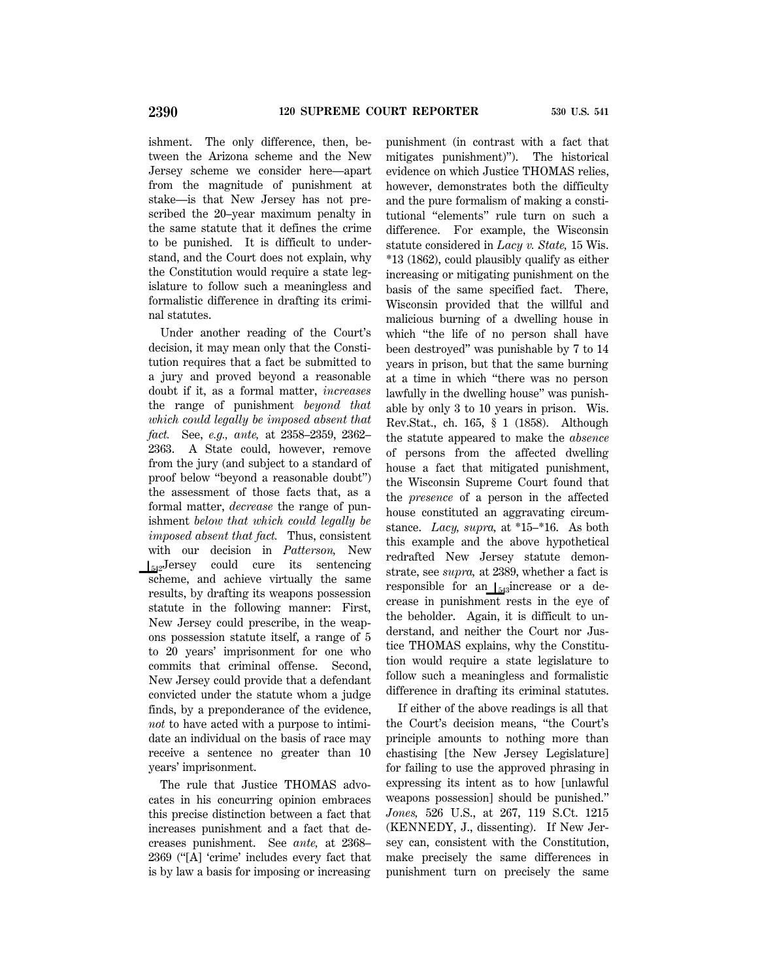ishment. The only difference, then, between the Arizona scheme and the New Jersey scheme we consider here—apart from the magnitude of punishment at stake—is that New Jersey has not prescribed the 20–year maximum penalty in the same statute that it defines the crime to be punished. It is difficult to understand, and the Court does not explain, why the Constitution would require a state legislature to follow such a meaningless and formalistic difference in drafting its criminal statutes.

Under another reading of the Court's decision, it may mean only that the Constitution requires that a fact be submitted to a jury and proved beyond a reasonable doubt if it, as a formal matter, *increases* the range of punishment *beyond that which could legally be imposed absent that fact.* See, *e.g., ante,* at 2358–2359, 2362– 2363. A State could, however, remove from the jury (and subject to a standard of proof below ''beyond a reasonable doubt'') the assessment of those facts that, as a formal matter, *decrease* the range of punishment *below that which could legally be imposed absent that fact.* Thus, consistent with our decision in *Patterson,* New  $\left| \right|$ <sub>542</sub>Jersey could cure its sentencing scheme, and achieve virtually the same results, by drafting its weapons possession statute in the following manner: First, New Jersey could prescribe, in the weapons possession statute itself, a range of 5 to 20 years' imprisonment for one who commits that criminal offense. Second, New Jersey could provide that a defendant convicted under the statute whom a judge finds, by a preponderance of the evidence, *not* to have acted with a purpose to intimidate an individual on the basis of race may receive a sentence no greater than 10 years' imprisonment.

The rule that Justice THOMAS advocates in his concurring opinion embraces this precise distinction between a fact that increases punishment and a fact that decreases punishment. See *ante,* at 2368– 2369 (''[A] 'crime' includes every fact that is by law a basis for imposing or increasing punishment (in contrast with a fact that mitigates punishment)''). The historical evidence on which Justice THOMAS relies, however, demonstrates both the difficulty and the pure formalism of making a constitutional ''elements'' rule turn on such a difference. For example, the Wisconsin statute considered in *Lacy v. State,* 15 Wis. \*13 (1862), could plausibly qualify as either increasing or mitigating punishment on the basis of the same specified fact. There, Wisconsin provided that the willful and malicious burning of a dwelling house in which ''the life of no person shall have been destroyed'' was punishable by 7 to 14 years in prison, but that the same burning at a time in which ''there was no person lawfully in the dwelling house'' was punishable by only 3 to 10 years in prison. Wis. Rev.Stat., ch. 165, § 1 (1858). Although the statute appeared to make the *absence* of persons from the affected dwelling house a fact that mitigated punishment, the Wisconsin Supreme Court found that the *presence* of a person in the affected house constituted an aggravating circumstance. *Lacy, supra,* at \*15–\*16. As both this example and the above hypothetical redrafted New Jersey statute demonstrate, see *supra,* at 2389, whether a fact is responsible for an  $\mathcal{L}_{\text{543}}$  increase or a decrease in punishment rests in the eye of the beholder. Again, it is difficult to understand, and neither the Court nor Justice THOMAS explains, why the Constitution would require a state legislature to follow such a meaningless and formalistic difference in drafting its criminal statutes.

If either of the above readings is all that the Court's decision means, ''the Court's principle amounts to nothing more than chastising [the New Jersey Legislature] for failing to use the approved phrasing in expressing its intent as to how [unlawful weapons possession] should be punished.'' *Jones,* 526 U.S., at 267, 119 S.Ct. 1215 (KENNEDY, J., dissenting). If New Jersey can, consistent with the Constitution, make precisely the same differences in punishment turn on precisely the same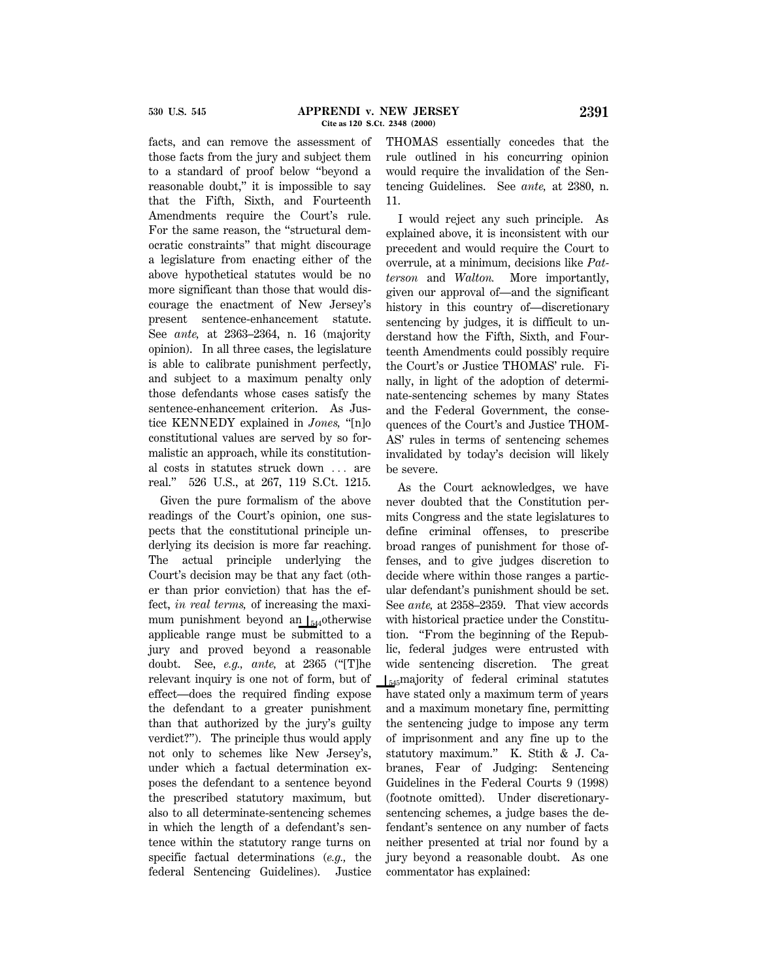facts, and can remove the assessment of those facts from the jury and subject them to a standard of proof below ''beyond a reasonable doubt,'' it is impossible to say that the Fifth, Sixth, and Fourteenth Amendments require the Court's rule. For the same reason, the ''structural democratic constraints'' that might discourage a legislature from enacting either of the above hypothetical statutes would be no more significant than those that would discourage the enactment of New Jersey's present sentence-enhancement statute. See *ante,* at 2363–2364, n. 16 (majority opinion). In all three cases, the legislature is able to calibrate punishment perfectly, and subject to a maximum penalty only those defendants whose cases satisfy the sentence-enhancement criterion. As Justice KENNEDY explained in *Jones,* ''[n]o constitutional values are served by so formalistic an approach, while its constitutional costs in statutes struck down ... are real.'' 526 U.S., at 267, 119 S.Ct. 1215.

Given the pure formalism of the above readings of the Court's opinion, one suspects that the constitutional principle underlying its decision is more far reaching. The actual principle underlying the Court's decision may be that any fact (other than prior conviction) that has the effect, *in real terms,* of increasing the maximum punishment beyond an  $I_{544}$ otherwise applicable range must be submitted to a jury and proved beyond a reasonable doubt. See, *e.g., ante,* at 2365 (''[T]he relevant inquiry is one not of form, but of effect—does the required finding expose the defendant to a greater punishment than that authorized by the jury's guilty verdict?''). The principle thus would apply not only to schemes like New Jersey's, under which a factual determination exposes the defendant to a sentence beyond the prescribed statutory maximum, but also to all determinate-sentencing schemes in which the length of a defendant's sentence within the statutory range turns on specific factual determinations (*e.g.,* the federal Sentencing Guidelines). Justice THOMAS essentially concedes that the rule outlined in his concurring opinion would require the invalidation of the Sentencing Guidelines. See *ante,* at 2380, n. 11.

I would reject any such principle. As explained above, it is inconsistent with our precedent and would require the Court to overrule, at a minimum, decisions like *Patterson* and *Walton.* More importantly, given our approval of—and the significant history in this country of—discretionary sentencing by judges, it is difficult to understand how the Fifth, Sixth, and Fourteenth Amendments could possibly require the Court's or Justice THOMAS' rule. Finally, in light of the adoption of determinate-sentencing schemes by many States and the Federal Government, the consequences of the Court's and Justice THOM-AS' rules in terms of sentencing schemes invalidated by today's decision will likely be severe.

As the Court acknowledges, we have never doubted that the Constitution permits Congress and the state legislatures to define criminal offenses, to prescribe broad ranges of punishment for those offenses, and to give judges discretion to decide where within those ranges a particular defendant's punishment should be set. See *ante,* at 2358–2359. That view accords with historical practice under the Constitution. ''From the beginning of the Republic, federal judges were entrusted with wide sentencing discretion. The great  $\left| \right|$ <sub>545</sub>majority of federal criminal statutes have stated only a maximum term of years and a maximum monetary fine, permitting the sentencing judge to impose any term of imprisonment and any fine up to the statutory maximum.'' K. Stith & J. Cabranes, Fear of Judging: Sentencing Guidelines in the Federal Courts 9 (1998) (footnote omitted). Under discretionarysentencing schemes, a judge bases the defendant's sentence on any number of facts neither presented at trial nor found by a jury beyond a reasonable doubt. As one commentator has explained: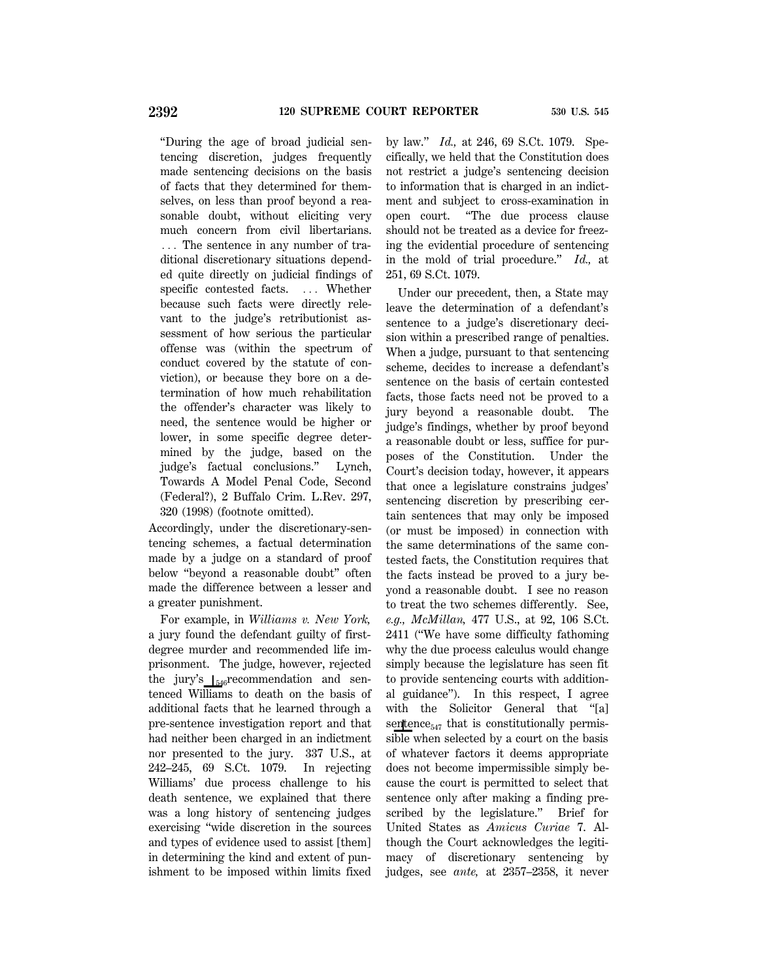''During the age of broad judicial sentencing discretion, judges frequently made sentencing decisions on the basis of facts that they determined for themselves, on less than proof beyond a reasonable doubt, without eliciting very much concern from civil libertarians. ... The sentence in any number of traditional discretionary situations depended quite directly on judicial findings of specific contested facts. ... Whether because such facts were directly relevant to the judge's retributionist assessment of how serious the particular offense was (within the spectrum of conduct covered by the statute of conviction), or because they bore on a determination of how much rehabilitation the offender's character was likely to need, the sentence would be higher or lower, in some specific degree determined by the judge, based on the judge's factual conclusions.'' Lynch, Towards A Model Penal Code, Second (Federal?), 2 Buffalo Crim. L.Rev. 297, 320 (1998) (footnote omitted).

Accordingly, under the discretionary-sentencing schemes, a factual determination made by a judge on a standard of proof below ''beyond a reasonable doubt'' often made the difference between a lesser and a greater punishment.

For example, in *Williams v. New York,* a jury found the defendant guilty of firstdegree murder and recommended life imprisonment. The judge, however, rejected the jury's  $\frac{1}{546}$ recommendation and sentenced Williams to death on the basis of additional facts that he learned through a pre-sentence investigation report and that had neither been charged in an indictment nor presented to the jury. 337 U.S., at 242–245, 69 S.Ct. 1079. In rejecting Williams' due process challenge to his death sentence, we explained that there was a long history of sentencing judges exercising ''wide discretion in the sources and types of evidence used to assist [them] in determining the kind and extent of punishment to be imposed within limits fixed by law.'' *Id.,* at 246, 69 S.Ct. 1079. Specifically, we held that the Constitution does not restrict a judge's sentencing decision to information that is charged in an indictment and subject to cross-examination in open court. ''The due process clause should not be treated as a device for freezing the evidential procedure of sentencing in the mold of trial procedure.'' *Id.,* at 251, 69 S.Ct. 1079.

Under our precedent, then, a State may leave the determination of a defendant's sentence to a judge's discretionary decision within a prescribed range of penalties. When a judge, pursuant to that sentencing scheme, decides to increase a defendant's sentence on the basis of certain contested facts, those facts need not be proved to a jury beyond a reasonable doubt. The judge's findings, whether by proof beyond a reasonable doubt or less, suffice for purposes of the Constitution. Under the Court's decision today, however, it appears that once a legislature constrains judges' sentencing discretion by prescribing certain sentences that may only be imposed (or must be imposed) in connection with the same determinations of the same contested facts, the Constitution requires that the facts instead be proved to a jury beyond a reasonable doubt. I see no reason to treat the two schemes differently. See, *e.g., McMillan,* 477 U.S., at 92, 106 S.Ct. 2411 (''We have some difficulty fathoming why the due process calculus would change simply because the legislature has seen fit to provide sentencing courts with additional guidance''). In this respect, I agree with the Solicitor General that "[a] sentence $_{547}$  that is constitutionally permissible when selected by a court on the basis of whatever factors it deems appropriate does not become impermissible simply because the court is permitted to select that sentence only after making a finding prescribed by the legislature.'' Brief for United States as *Amicus Curiae* 7. Although the Court acknowledges the legitimacy of discretionary sentencing by judges, see *ante,* at 2357–2358, it never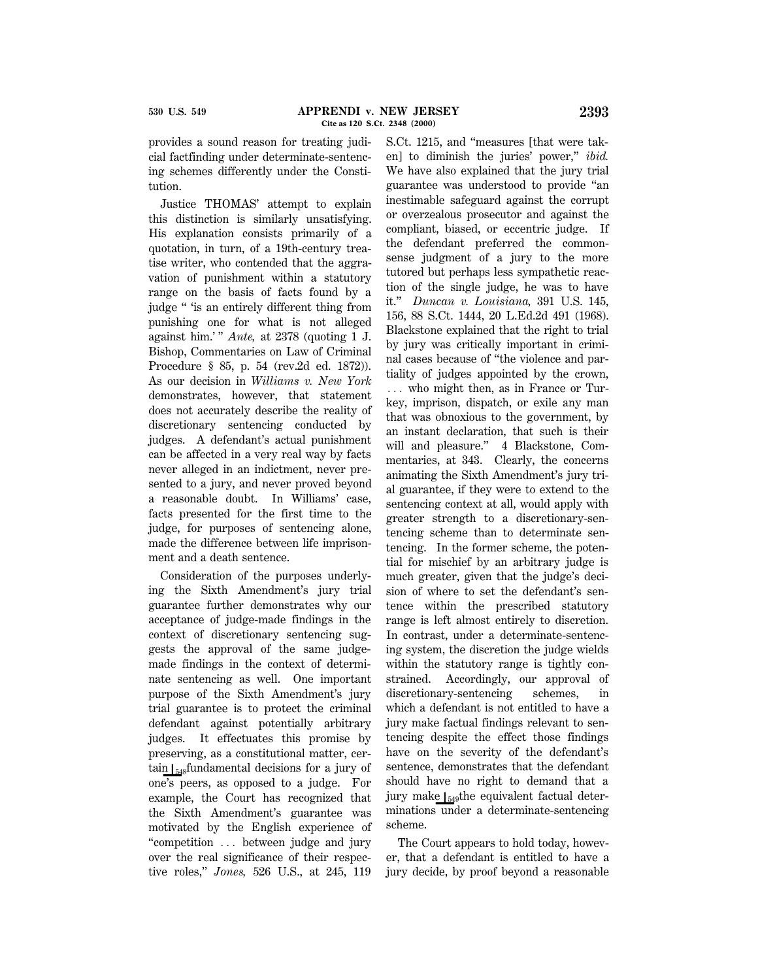provides a sound reason for treating judicial factfinding under determinate-sentencing schemes differently under the Constitution.

Justice THOMAS' attempt to explain this distinction is similarly unsatisfying. His explanation consists primarily of a quotation, in turn, of a 19th-century treatise writer, who contended that the aggravation of punishment within a statutory range on the basis of facts found by a judge '' 'is an entirely different thing from punishing one for what is not alleged against him.'" *Ante*, at 2378 (quoting 1 J. Bishop, Commentaries on Law of Criminal Procedure § 85, p. 54 (rev.2d ed. 1872)). As our decision in *Williams v. New York* demonstrates, however, that statement does not accurately describe the reality of discretionary sentencing conducted by judges. A defendant's actual punishment can be affected in a very real way by facts never alleged in an indictment, never presented to a jury, and never proved beyond a reasonable doubt. In Williams' case, facts presented for the first time to the judge, for purposes of sentencing alone, made the difference between life imprisonment and a death sentence.

Consideration of the purposes underlying the Sixth Amendment's jury trial guarantee further demonstrates why our acceptance of judge-made findings in the context of discretionary sentencing suggests the approval of the same judgemade findings in the context of determinate sentencing as well. One important purpose of the Sixth Amendment's jury trial guarantee is to protect the criminal defendant against potentially arbitrary judges. It effectuates this promise by preserving, as a constitutional matter, certain  $\int_{548}$ fundamental decisions for a jury of one's peers, as opposed to a judge. For example, the Court has recognized that the Sixth Amendment's guarantee was motivated by the English experience of "competition ... between judge and jury over the real significance of their respective roles,'' *Jones,* 526 U.S., at 245, 119 S.Ct. 1215, and ''measures [that were taken] to diminish the juries' power," *ibid.* We have also explained that the jury trial guarantee was understood to provide ''an inestimable safeguard against the corrupt or overzealous prosecutor and against the compliant, biased, or eccentric judge. If the defendant preferred the commonsense judgment of a jury to the more tutored but perhaps less sympathetic reaction of the single judge, he was to have it.'' *Duncan v. Louisiana,* 391 U.S. 145, 156, 88 S.Ct. 1444, 20 L.Ed.2d 491 (1968). Blackstone explained that the right to trial by jury was critically important in criminal cases because of ''the violence and partiality of judges appointed by the crown,  $\ldots$  who might then, as in France or Turkey, imprison, dispatch, or exile any man that was obnoxious to the government, by an instant declaration, that such is their will and pleasure." 4 Blackstone, Commentaries, at 343. Clearly, the concerns animating the Sixth Amendment's jury trial guarantee, if they were to extend to the sentencing context at all, would apply with greater strength to a discretionary-sentencing scheme than to determinate sentencing. In the former scheme, the potential for mischief by an arbitrary judge is much greater, given that the judge's decision of where to set the defendant's sentence within the prescribed statutory range is left almost entirely to discretion. In contrast, under a determinate-sentencing system, the discretion the judge wields within the statutory range is tightly constrained. Accordingly, our approval of discretionary-sentencing schemes, in which a defendant is not entitled to have a jury make factual findings relevant to sentencing despite the effect those findings have on the severity of the defendant's sentence, demonstrates that the defendant should have no right to demand that a jury make  $\mathcal{L}_{549}$ the equivalent factual determinations under a determinate-sentencing scheme.

The Court appears to hold today, however, that a defendant is entitled to have a jury decide, by proof beyond a reasonable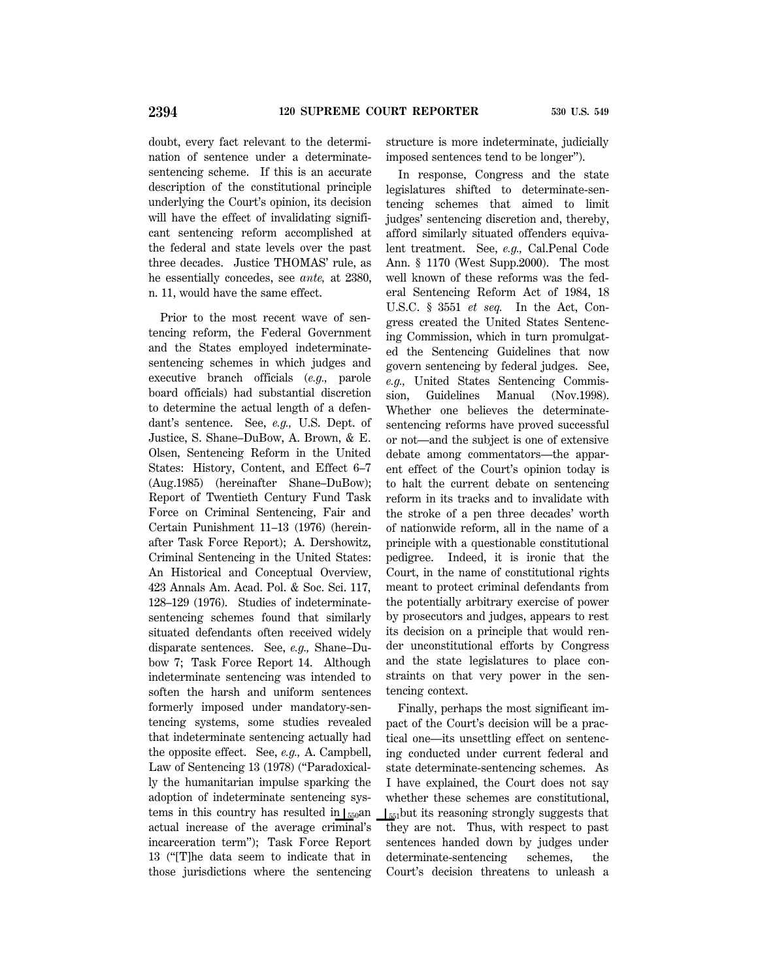doubt, every fact relevant to the determination of sentence under a determinatesentencing scheme. If this is an accurate description of the constitutional principle underlying the Court's opinion, its decision will have the effect of invalidating significant sentencing reform accomplished at the federal and state levels over the past three decades. Justice THOMAS' rule, as he essentially concedes, see *ante,* at 2380, n. 11, would have the same effect.

Prior to the most recent wave of sentencing reform, the Federal Government and the States employed indeterminatesentencing schemes in which judges and executive branch officials (*e.g.,* parole board officials) had substantial discretion to determine the actual length of a defendant's sentence. See, *e.g.,* U.S. Dept. of Justice, S. Shane–DuBow, A. Brown, & E. Olsen, Sentencing Reform in the United States: History, Content, and Effect 6–7 (Aug.1985) (hereinafter Shane–DuBow); Report of Twentieth Century Fund Task Force on Criminal Sentencing, Fair and Certain Punishment 11–13 (1976) (hereinafter Task Force Report); A. Dershowitz, Criminal Sentencing in the United States: An Historical and Conceptual Overview, 423 Annals Am. Acad. Pol. & Soc. Sci. 117, 128–129 (1976). Studies of indeterminatesentencing schemes found that similarly situated defendants often received widely disparate sentences. See, *e.g.,* Shane–Dubow 7; Task Force Report 14. Although indeterminate sentencing was intended to soften the harsh and uniform sentences formerly imposed under mandatory-sentencing systems, some studies revealed that indeterminate sentencing actually had the opposite effect. See, *e.g.,* A. Campbell, Law of Sentencing 13 (1978) (''Paradoxically the humanitarian impulse sparking the adoption of indeterminate sentencing systems in this country has resulted in  $L_{550}$ an actual increase of the average criminal's incarceration term''); Task Force Report 13 (''[T]he data seem to indicate that in those jurisdictions where the sentencing structure is more indeterminate, judicially imposed sentences tend to be longer'').

In response, Congress and the state legislatures shifted to determinate-sentencing schemes that aimed to limit judges' sentencing discretion and, thereby, afford similarly situated offenders equivalent treatment. See, *e.g.,* Cal.Penal Code Ann. § 1170 (West Supp.2000). The most well known of these reforms was the federal Sentencing Reform Act of 1984, 18 U.S.C. § 3551 *et seq.* In the Act, Congress created the United States Sentencing Commission, which in turn promulgated the Sentencing Guidelines that now govern sentencing by federal judges. See, *e.g.,* United States Sentencing Commission, Guidelines Manual (Nov.1998). Whether one believes the determinatesentencing reforms have proved successful or not—and the subject is one of extensive debate among commentators—the apparent effect of the Court's opinion today is to halt the current debate on sentencing reform in its tracks and to invalidate with the stroke of a pen three decades' worth of nationwide reform, all in the name of a principle with a questionable constitutional pedigree. Indeed, it is ironic that the Court, in the name of constitutional rights meant to protect criminal defendants from the potentially arbitrary exercise of power by prosecutors and judges, appears to rest its decision on a principle that would render unconstitutional efforts by Congress and the state legislatures to place constraints on that very power in the sentencing context.

Finally, perhaps the most significant impact of the Court's decision will be a practical one—its unsettling effect on sentencing conducted under current federal and state determinate-sentencing schemes. As I have explained, the Court does not say whether these schemes are constitutional,  $\mathcal{L}_{551}$ but its reasoning strongly suggests that they are not. Thus, with respect to past sentences handed down by judges under determinate-sentencing schemes, the Court's decision threatens to unleash a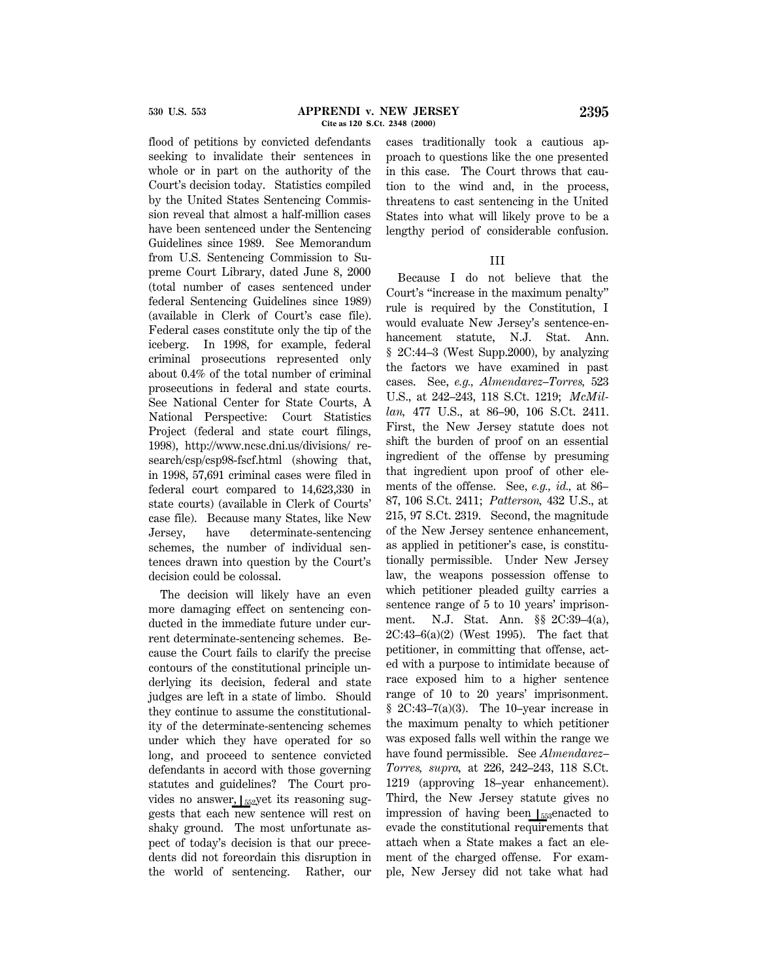flood of petitions by convicted defendants seeking to invalidate their sentences in whole or in part on the authority of the Court's decision today. Statistics compiled by the United States Sentencing Commission reveal that almost a half-million cases have been sentenced under the Sentencing Guidelines since 1989. See Memorandum from U.S. Sentencing Commission to Supreme Court Library, dated June 8, 2000 (total number of cases sentenced under federal Sentencing Guidelines since 1989) (available in Clerk of Court's case file). Federal cases constitute only the tip of the iceberg. In 1998, for example, federal criminal prosecutions represented only about 0.4% of the total number of criminal prosecutions in federal and state courts. See National Center for State Courts, A National Perspective: Court Statistics Project (federal and state court filings, 1998), http://www.ncsc.dni.us/divisions/ research/csp/csp98-fscf.html (showing that, in 1998, 57,691 criminal cases were filed in federal court compared to 14,623,330 in state courts) (available in Clerk of Courts' case file). Because many States, like New Jersey, have determinate-sentencing schemes, the number of individual sentences drawn into question by the Court's decision could be colossal.

The decision will likely have an even more damaging effect on sentencing conducted in the immediate future under current determinate-sentencing schemes. Because the Court fails to clarify the precise contours of the constitutional principle underlying its decision, federal and state judges are left in a state of limbo. Should they continue to assume the constitutionality of the determinate-sentencing schemes under which they have operated for so long, and proceed to sentence convicted defendants in accord with those governing statutes and guidelines? The Court provides no answer,  $\frac{1}{552}$  vet its reasoning suggests that each new sentence will rest on shaky ground. The most unfortunate aspect of today's decision is that our precedents did not foreordain this disruption in the world of sentencing. Rather, our cases traditionally took a cautious approach to questions like the one presented in this case. The Court throws that caution to the wind and, in the process, threatens to cast sentencing in the United States into what will likely prove to be a lengthy period of considerable confusion.

## III

Because I do not believe that the Court's ''increase in the maximum penalty'' rule is required by the Constitution, I would evaluate New Jersey's sentence-enhancement statute, N.J. Stat. Ann. § 2C:44–3 (West Supp.2000), by analyzing the factors we have examined in past cases. See, *e.g., Almendarez–Torres,* 523 U.S., at 242–243, 118 S.Ct. 1219; *McMillan,* 477 U.S., at 86–90, 106 S.Ct. 2411. First, the New Jersey statute does not shift the burden of proof on an essential ingredient of the offense by presuming that ingredient upon proof of other elements of the offense. See, *e.g., id.,* at 86– 87, 106 S.Ct. 2411; *Patterson,* 432 U.S., at 215, 97 S.Ct. 2319. Second, the magnitude of the New Jersey sentence enhancement, as applied in petitioner's case, is constitutionally permissible. Under New Jersey law, the weapons possession offense to which petitioner pleaded guilty carries a sentence range of 5 to 10 years' imprisonment. N.J. Stat. Ann. §§ 2C:39–4(a), 2C:43–6(a)(2) (West 1995). The fact that petitioner, in committing that offense, acted with a purpose to intimidate because of race exposed him to a higher sentence range of 10 to 20 years' imprisonment.  $§ 2C:43-7(a)(3)$ . The 10-year increase in the maximum penalty to which petitioner was exposed falls well within the range we have found permissible. See *Almendarez– Torres, supra,* at 226, 242–243, 118 S.Ct. 1219 (approving 18–year enhancement). Third, the New Jersey statute gives no impression of having been  $\frac{1}{553}$ enacted to evade the constitutional requirements that attach when a State makes a fact an element of the charged offense. For example, New Jersey did not take what had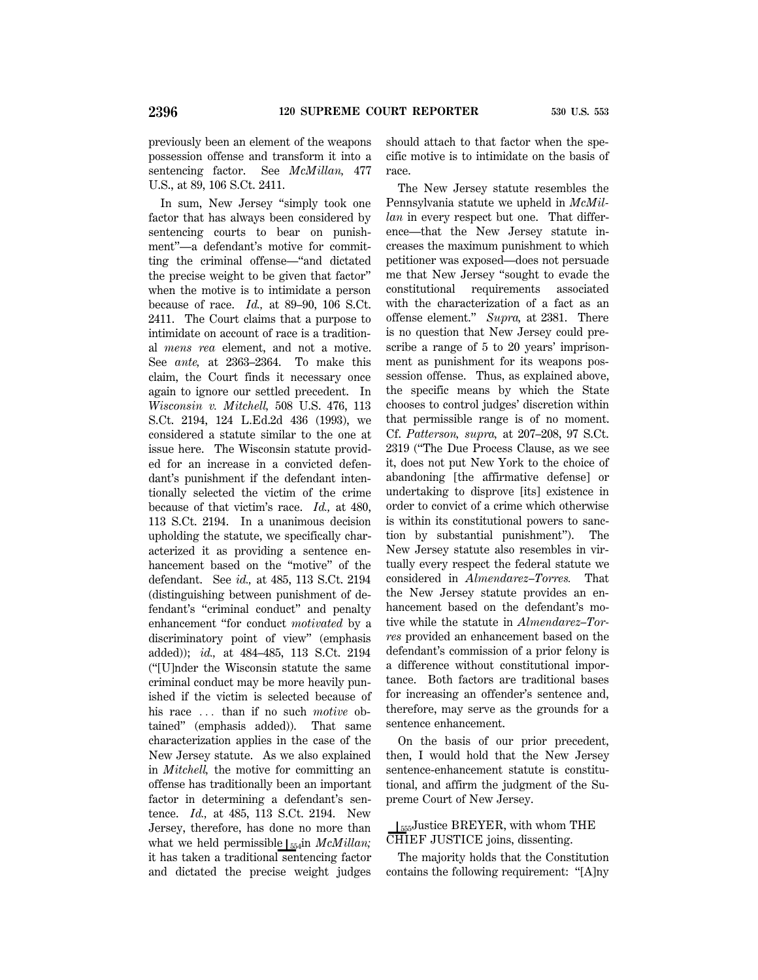previously been an element of the weapons possession offense and transform it into a sentencing factor. See *McMillan,* 477 U.S., at 89, 106 S.Ct. 2411.

In sum, New Jersey ''simply took one factor that has always been considered by sentencing courts to bear on punishment''—a defendant's motive for committing the criminal offense—''and dictated the precise weight to be given that factor'' when the motive is to intimidate a person because of race. *Id.,* at 89–90, 106 S.Ct. 2411. The Court claims that a purpose to intimidate on account of race is a traditional *mens rea* element, and not a motive. See *ante,* at 2363–2364. To make this claim, the Court finds it necessary once again to ignore our settled precedent. In *Wisconsin v. Mitchell,* 508 U.S. 476, 113 S.Ct. 2194, 124 L.Ed.2d 436 (1993), we considered a statute similar to the one at issue here. The Wisconsin statute provided for an increase in a convicted defendant's punishment if the defendant intentionally selected the victim of the crime because of that victim's race. *Id.,* at 480, 113 S.Ct. 2194. In a unanimous decision upholding the statute, we specifically characterized it as providing a sentence enhancement based on the ''motive'' of the defendant. See *id.,* at 485, 113 S.Ct. 2194 (distinguishing between punishment of defendant's "criminal conduct" and penalty enhancement ''for conduct *motivated* by a discriminatory point of view'' (emphasis added)); *id.,* at 484–485, 113 S.Ct. 2194 (''[U]nder the Wisconsin statute the same criminal conduct may be more heavily punished if the victim is selected because of his race ... than if no such *motive* obtained'' (emphasis added)). That same characterization applies in the case of the New Jersey statute. As we also explained in *Mitchell,* the motive for committing an offense has traditionally been an important factor in determining a defendant's sentence. *Id.,* at 485, 113 S.Ct. 2194. New Jersey, therefore, has done no more than what we held permissible  $\frac{1}{554}$ in *McMillan*; it has taken a traditional sentencing factor and dictated the precise weight judges should attach to that factor when the specific motive is to intimidate on the basis of race.

The New Jersey statute resembles the Pennsylvania statute we upheld in *McMillan* in every respect but one. That difference—that the New Jersey statute increases the maximum punishment to which petitioner was exposed—does not persuade me that New Jersey ''sought to evade the constitutional requirements associated with the characterization of a fact as an offense element.'' *Supra,* at 2381. There is no question that New Jersey could prescribe a range of 5 to 20 years' imprisonment as punishment for its weapons possession offense. Thus, as explained above, the specific means by which the State chooses to control judges' discretion within that permissible range is of no moment. Cf. *Patterson, supra,* at 207–208, 97 S.Ct. 2319 (''The Due Process Clause, as we see it, does not put New York to the choice of abandoning [the affirmative defense] or undertaking to disprove [its] existence in order to convict of a crime which otherwise is within its constitutional powers to sanction by substantial punishment''). The New Jersey statute also resembles in virtually every respect the federal statute we considered in *Almendarez–Torres.* That the New Jersey statute provides an enhancement based on the defendant's motive while the statute in *Almendarez–Torres* provided an enhancement based on the defendant's commission of a prior felony is a difference without constitutional importance. Both factors are traditional bases for increasing an offender's sentence and, therefore, may serve as the grounds for a sentence enhancement.

On the basis of our prior precedent, then, I would hold that the New Jersey sentence-enhancement statute is constitutional, and affirm the judgment of the Supreme Court of New Jersey.

## $\mathcal{L}_{\text{555}}$ Justice BREYER, with whom THE CHIEF JUSTICE joins, dissenting.

The majority holds that the Constitution contains the following requirement: ''[A]ny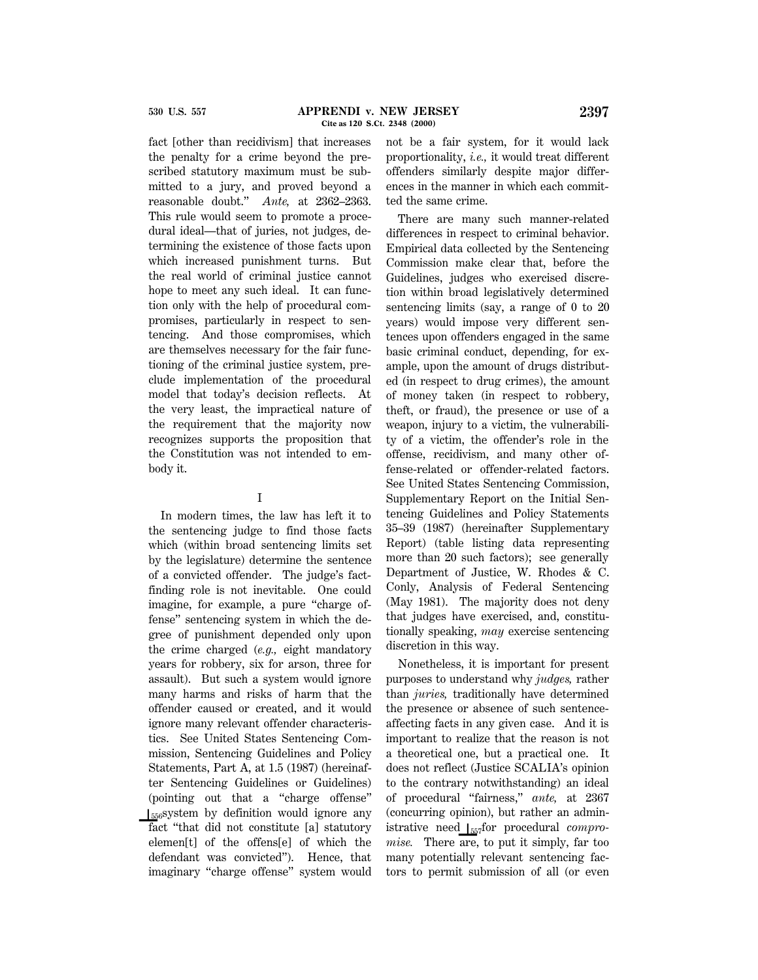fact [other than recidivism] that increases the penalty for a crime beyond the prescribed statutory maximum must be submitted to a jury, and proved beyond a reasonable doubt.'' *Ante,* at 2362–2363. This rule would seem to promote a procedural ideal—that of juries, not judges, determining the existence of those facts upon which increased punishment turns. But the real world of criminal justice cannot hope to meet any such ideal. It can function only with the help of procedural compromises, particularly in respect to sentencing. And those compromises, which are themselves necessary for the fair functioning of the criminal justice system, preclude implementation of the procedural model that today's decision reflects. At the very least, the impractical nature of the requirement that the majority now recognizes supports the proposition that the Constitution was not intended to embody it.

I

In modern times, the law has left it to the sentencing judge to find those facts which (within broad sentencing limits set by the legislature) determine the sentence of a convicted offender. The judge's factfinding role is not inevitable. One could imagine, for example, a pure ''charge offense'' sentencing system in which the degree of punishment depended only upon the crime charged (*e.g.,* eight mandatory years for robbery, six for arson, three for assault). But such a system would ignore many harms and risks of harm that the offender caused or created, and it would ignore many relevant offender characteristics. See United States Sentencing Commission, Sentencing Guidelines and Policy Statements, Part A, at 1.5 (1987) (hereinafter Sentencing Guidelines or Guidelines) (pointing out that a ''charge offense''  $\mathcal{L}_{556}$  system by definition would ignore any fact ''that did not constitute [a] statutory elemen[t] of the offens[e] of which the defendant was convicted''). Hence, that imaginary ''charge offense'' system would not be a fair system, for it would lack proportionality, *i.e.,* it would treat different offenders similarly despite major differences in the manner in which each committed the same crime.

There are many such manner-related differences in respect to criminal behavior. Empirical data collected by the Sentencing Commission make clear that, before the Guidelines, judges who exercised discretion within broad legislatively determined sentencing limits (say, a range of 0 to 20 years) would impose very different sentences upon offenders engaged in the same basic criminal conduct, depending, for example, upon the amount of drugs distributed (in respect to drug crimes), the amount of money taken (in respect to robbery, theft, or fraud), the presence or use of a weapon, injury to a victim, the vulnerability of a victim, the offender's role in the offense, recidivism, and many other offense-related or offender-related factors. See United States Sentencing Commission, Supplementary Report on the Initial Sentencing Guidelines and Policy Statements 35–39 (1987) (hereinafter Supplementary Report) (table listing data representing more than 20 such factors); see generally Department of Justice, W. Rhodes & C. Conly, Analysis of Federal Sentencing (May 1981). The majority does not deny that judges have exercised, and, constitutionally speaking, *may* exercise sentencing discretion in this way.

Nonetheless, it is important for present purposes to understand why *judges,* rather than *juries,* traditionally have determined the presence or absence of such sentenceaffecting facts in any given case. And it is important to realize that the reason is not a theoretical one, but a practical one. It does not reflect (Justice SCALIA's opinion to the contrary notwithstanding) an ideal of procedural ''fairness,'' *ante,* at 2367 (concurring opinion), but rather an administrative need  $\int_{.557}$ for procedural *compromise.* There are, to put it simply, far too many potentially relevant sentencing factors to permit submission of all (or even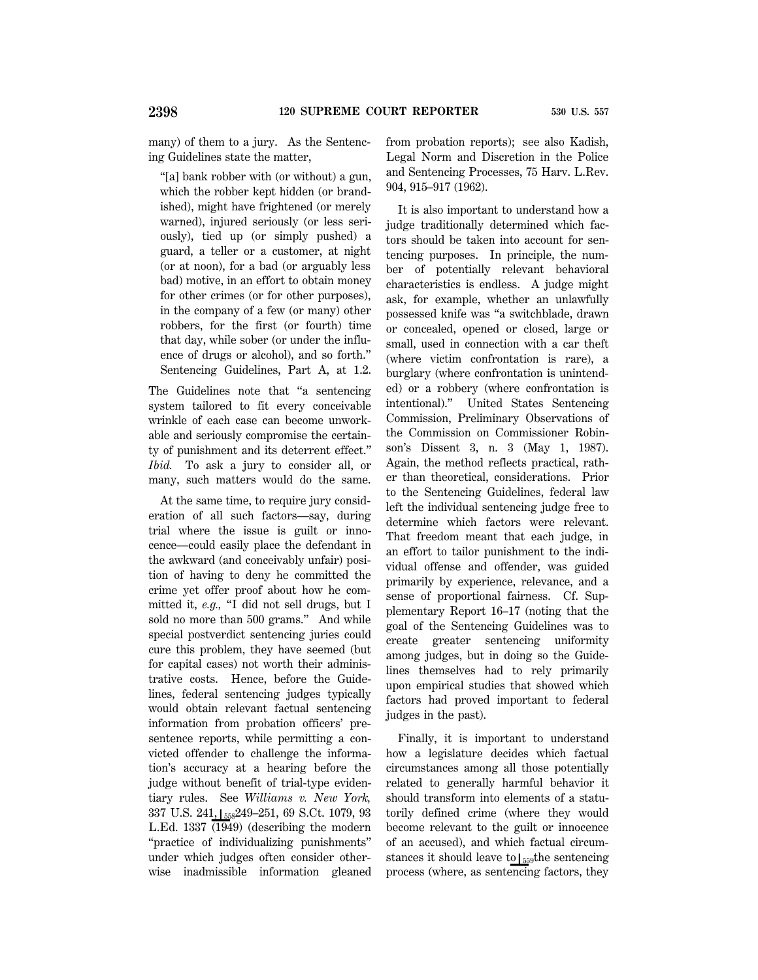many) of them to a jury. As the Sentencing Guidelines state the matter,

''[a] bank robber with (or without) a gun, which the robber kept hidden (or brandished), might have frightened (or merely warned), injured seriously (or less seriously), tied up (or simply pushed) a guard, a teller or a customer, at night (or at noon), for a bad (or arguably less bad) motive, in an effort to obtain money for other crimes (or for other purposes), in the company of a few (or many) other robbers, for the first (or fourth) time that day, while sober (or under the influence of drugs or alcohol), and so forth.'' Sentencing Guidelines, Part A, at 1.2.

The Guidelines note that ''a sentencing system tailored to fit every conceivable wrinkle of each case can become unworkable and seriously compromise the certainty of punishment and its deterrent effect.'' *Ibid.* To ask a jury to consider all, or many, such matters would do the same.

At the same time, to require jury consideration of all such factors—say, during trial where the issue is guilt or innocence—could easily place the defendant in the awkward (and conceivably unfair) position of having to deny he committed the crime yet offer proof about how he committed it, *e.g.*, "I did not sell drugs, but I sold no more than 500 grams." And while special postverdict sentencing juries could cure this problem, they have seemed (but for capital cases) not worth their administrative costs. Hence, before the Guidelines, federal sentencing judges typically would obtain relevant factual sentencing information from probation officers' presentence reports, while permitting a convicted offender to challenge the information's accuracy at a hearing before the judge without benefit of trial-type evidentiary rules. See *Williams v. New York,* 337 U.S. 241,  $\frac{558}{249}$ -251, 69 S.Ct. 1079, 93 L.Ed. 1337 (1949) (describing the modern ''practice of individualizing punishments'' under which judges often consider otherwise inadmissible information gleaned from probation reports); see also Kadish, Legal Norm and Discretion in the Police and Sentencing Processes, 75 Harv. L.Rev. 904, 915–917 (1962).

It is also important to understand how a judge traditionally determined which factors should be taken into account for sentencing purposes. In principle, the number of potentially relevant behavioral characteristics is endless. A judge might ask, for example, whether an unlawfully possessed knife was ''a switchblade, drawn or concealed, opened or closed, large or small, used in connection with a car theft (where victim confrontation is rare), a burglary (where confrontation is unintended) or a robbery (where confrontation is intentional).'' United States Sentencing Commission, Preliminary Observations of the Commission on Commissioner Robinson's Dissent 3, n. 3 (May 1, 1987). Again, the method reflects practical, rather than theoretical, considerations. Prior to the Sentencing Guidelines, federal law left the individual sentencing judge free to determine which factors were relevant. That freedom meant that each judge, in an effort to tailor punishment to the individual offense and offender, was guided primarily by experience, relevance, and a sense of proportional fairness. Cf. Supplementary Report 16–17 (noting that the goal of the Sentencing Guidelines was to create greater sentencing uniformity among judges, but in doing so the Guidelines themselves had to rely primarily upon empirical studies that showed which factors had proved important to federal judges in the past).

Finally, it is important to understand how a legislature decides which factual circumstances among all those potentially related to generally harmful behavior it should transform into elements of a statutorily defined crime (where they would become relevant to the guilt or innocence of an accused), and which factual circumstances it should leave to  $\frac{1}{559}$ the sentencing process (where, as sentencing factors, they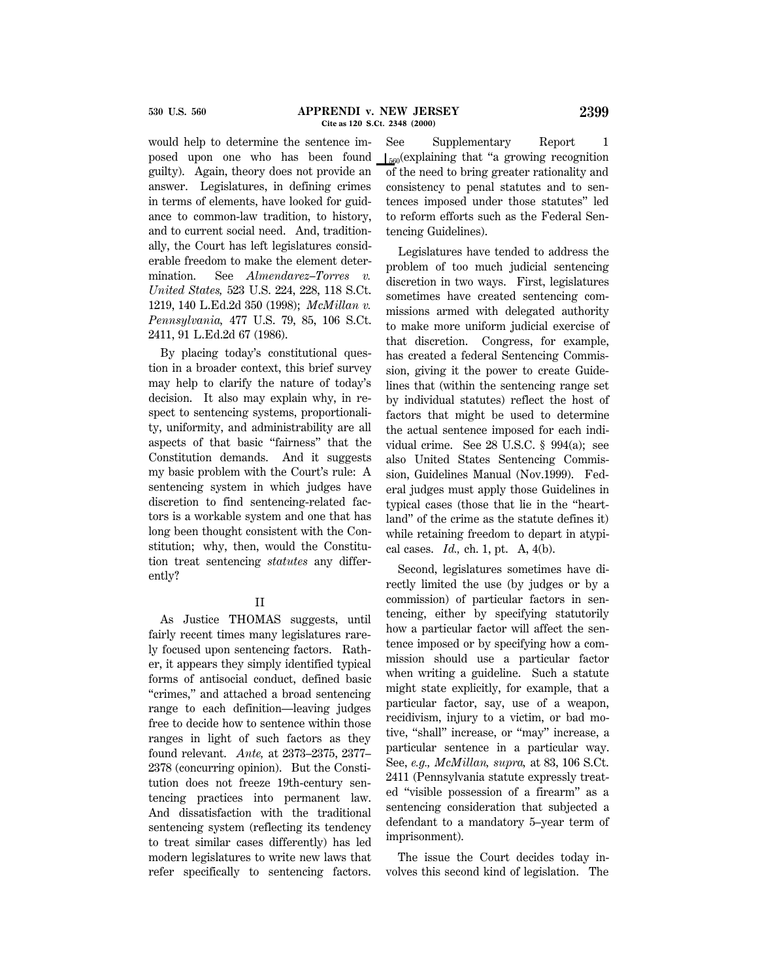would help to determine the sentence imposed upon one who has been found guilty). Again, theory does not provide an answer. Legislatures, in defining crimes in terms of elements, have looked for guidance to common-law tradition, to history, and to current social need. And, traditionally, the Court has left legislatures considerable freedom to make the element determination. See *Almendarez–Torres v. United States,* 523 U.S. 224, 228, 118 S.Ct. 1219, 140 L.Ed.2d 350 (1998); *McMillan v. Pennsylvania,* 477 U.S. 79, 85, 106 S.Ct. 2411, 91 L.Ed.2d 67 (1986).

By placing today's constitutional question in a broader context, this brief survey may help to clarify the nature of today's decision. It also may explain why, in respect to sentencing systems, proportionality, uniformity, and administrability are all aspects of that basic ''fairness'' that the Constitution demands. And it suggests my basic problem with the Court's rule: A sentencing system in which judges have discretion to find sentencing-related factors is a workable system and one that has long been thought consistent with the Constitution; why, then, would the Constitution treat sentencing *statutes* any differently?

## II

As Justice THOMAS suggests, until fairly recent times many legislatures rarely focused upon sentencing factors. Rather, it appears they simply identified typical forms of antisocial conduct, defined basic "crimes," and attached a broad sentencing range to each definition—leaving judges free to decide how to sentence within those ranges in light of such factors as they found relevant. *Ante,* at 2373–2375, 2377– 2378 (concurring opinion). But the Constitution does not freeze 19th-century sentencing practices into permanent law. And dissatisfaction with the traditional sentencing system (reflecting its tendency to treat similar cases differently) has led modern legislatures to write new laws that refer specifically to sentencing factors.

See Supplementary Report 1  $\left| \right|_{560}$ (explaining that "a growing recognition of the need to bring greater rationality and consistency to penal statutes and to sentences imposed under those statutes'' led to reform efforts such as the Federal Sentencing Guidelines).

Legislatures have tended to address the problem of too much judicial sentencing discretion in two ways. First, legislatures sometimes have created sentencing commissions armed with delegated authority to make more uniform judicial exercise of that discretion. Congress, for example, has created a federal Sentencing Commission, giving it the power to create Guidelines that (within the sentencing range set by individual statutes) reflect the host of factors that might be used to determine the actual sentence imposed for each individual crime. See 28 U.S.C. § 994(a); see also United States Sentencing Commission, Guidelines Manual (Nov.1999). Federal judges must apply those Guidelines in typical cases (those that lie in the ''heartland'' of the crime as the statute defines it) while retaining freedom to depart in atypical cases. *Id.,* ch. 1, pt. A, 4(b).

Second, legislatures sometimes have directly limited the use (by judges or by a commission) of particular factors in sentencing, either by specifying statutorily how a particular factor will affect the sentence imposed or by specifying how a commission should use a particular factor when writing a guideline. Such a statute might state explicitly, for example, that a particular factor, say, use of a weapon, recidivism, injury to a victim, or bad motive, "shall" increase, or "may" increase, a particular sentence in a particular way. See, *e.g., McMillan, supra,* at 83, 106 S.Ct. 2411 (Pennsylvania statute expressly treated ''visible possession of a firearm'' as a sentencing consideration that subjected a defendant to a mandatory 5–year term of imprisonment).

The issue the Court decides today involves this second kind of legislation. The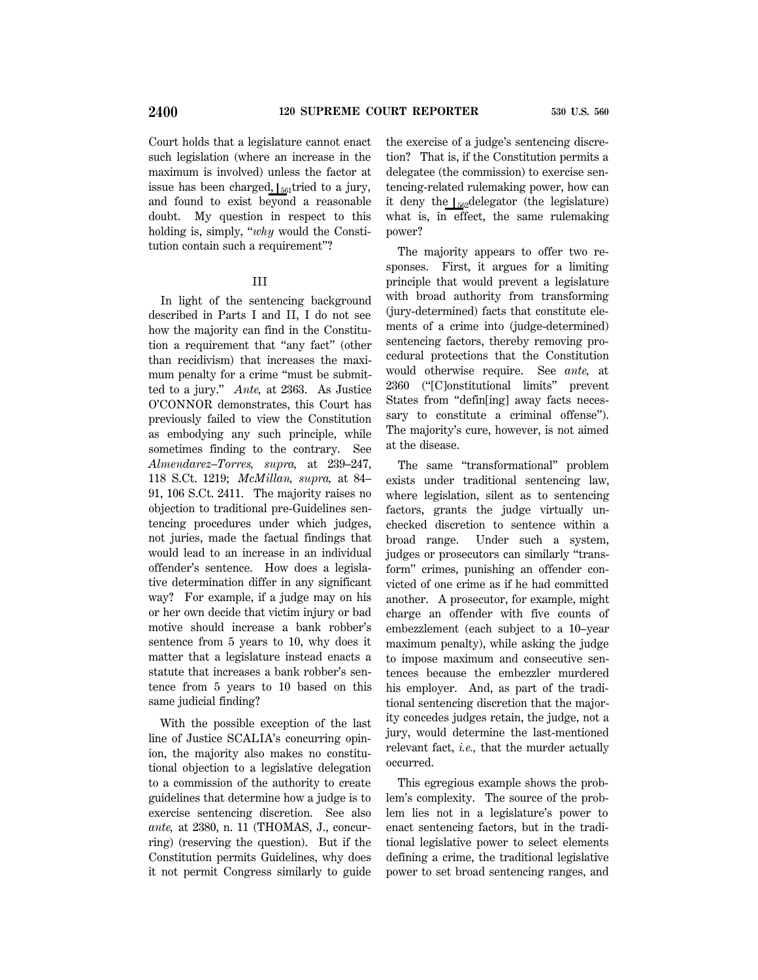Court holds that a legislature cannot enact such legislation (where an increase in the maximum is involved) unless the factor at issue has been charged,  $\int_{561}$ tried to a jury, and found to exist beyond a reasonable doubt. My question in respect to this holding is, simply, ''*why* would the Constitution contain such a requirement''?

#### III

In light of the sentencing background described in Parts I and II, I do not see how the majority can find in the Constitution a requirement that ''any fact'' (other than recidivism) that increases the maximum penalty for a crime "must be submitted to a jury.'' *Ante,* at 2363. As Justice O'CONNOR demonstrates, this Court has previously failed to view the Constitution as embodying any such principle, while sometimes finding to the contrary. See *Almendarez–Torres, supra,* at 239–247, 118 S.Ct. 1219; *McMillan, supra,* at 84– 91, 106 S.Ct. 2411. The majority raises no objection to traditional pre-Guidelines sentencing procedures under which judges, not juries, made the factual findings that would lead to an increase in an individual offender's sentence. How does a legislative determination differ in any significant way? For example, if a judge may on his or her own decide that victim injury or bad motive should increase a bank robber's sentence from 5 years to 10, why does it matter that a legislature instead enacts a statute that increases a bank robber's sentence from 5 years to 10 based on this same judicial finding?

With the possible exception of the last line of Justice SCALIA's concurring opinion, the majority also makes no constitutional objection to a legislative delegation to a commission of the authority to create guidelines that determine how a judge is to exercise sentencing discretion. See also *ante,* at 2380, n. 11 (THOMAS, J., concurring) (reserving the question). But if the Constitution permits Guidelines, why does it not permit Congress similarly to guide

the exercise of a judge's sentencing discretion? That is, if the Constitution permits a delegatee (the commission) to exercise sentencing-related rulemaking power, how can it deny the  $\mathcal{L}_{562}$ delegator (the legislature) what is, in effect, the same rulemaking power?

The majority appears to offer two responses. First, it argues for a limiting principle that would prevent a legislature with broad authority from transforming (jury-determined) facts that constitute elements of a crime into (judge-determined) sentencing factors, thereby removing procedural protections that the Constitution would otherwise require. See *ante,* at 2360 (''[C]onstitutional limits'' prevent States from ''defin[ing] away facts necessary to constitute a criminal offense"). The majority's cure, however, is not aimed at the disease.

The same "transformational" problem exists under traditional sentencing law, where legislation, silent as to sentencing factors, grants the judge virtually unchecked discretion to sentence within a broad range. Under such a system, judges or prosecutors can similarly ''transform'' crimes, punishing an offender convicted of one crime as if he had committed another. A prosecutor, for example, might charge an offender with five counts of embezzlement (each subject to a 10–year maximum penalty), while asking the judge to impose maximum and consecutive sentences because the embezzler murdered his employer. And, as part of the traditional sentencing discretion that the majority concedes judges retain, the judge, not a jury, would determine the last-mentioned relevant fact, *i.e.,* that the murder actually occurred.

This egregious example shows the problem's complexity. The source of the problem lies not in a legislature's power to enact sentencing factors, but in the traditional legislative power to select elements defining a crime, the traditional legislative power to set broad sentencing ranges, and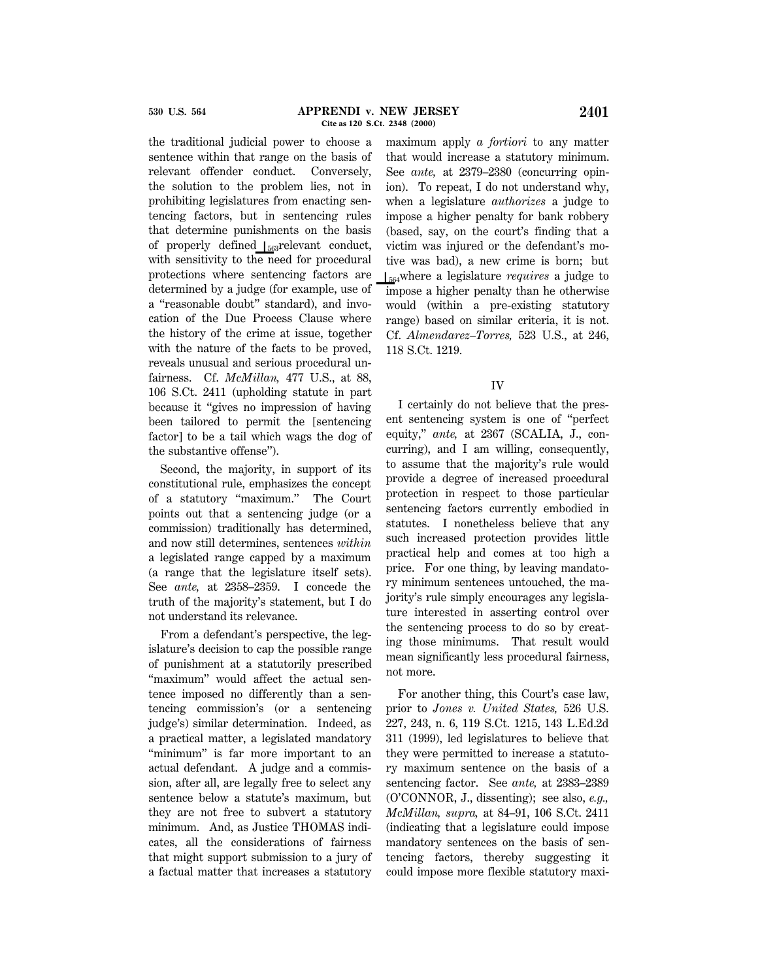the traditional judicial power to choose a sentence within that range on the basis of relevant offender conduct. Conversely, the solution to the problem lies, not in prohibiting legislatures from enacting sentencing factors, but in sentencing rules that determine punishments on the basis of properly defined  $\int_{563}$ relevant conduct, with sensitivity to the need for procedural protections where sentencing factors are determined by a judge (for example, use of a ''reasonable doubt'' standard), and invocation of the Due Process Clause where the history of the crime at issue, together with the nature of the facts to be proved, reveals unusual and serious procedural unfairness. Cf. *McMillan,* 477 U.S., at 88, 106 S.Ct. 2411 (upholding statute in part because it ''gives no impression of having been tailored to permit the [sentencing factor] to be a tail which wags the dog of the substantive offense'').

Second, the majority, in support of its constitutional rule, emphasizes the concept of a statutory ''maximum.'' The Court points out that a sentencing judge (or a commission) traditionally has determined, and now still determines, sentences *within* a legislated range capped by a maximum (a range that the legislature itself sets). See *ante,* at 2358–2359. I concede the truth of the majority's statement, but I do not understand its relevance.

From a defendant's perspective, the legislature's decision to cap the possible range of punishment at a statutorily prescribed "maximum" would affect the actual sentence imposed no differently than a sentencing commission's (or a sentencing judge's) similar determination. Indeed, as a practical matter, a legislated mandatory "minimum" is far more important to an actual defendant. A judge and a commission, after all, are legally free to select any sentence below a statute's maximum, but they are not free to subvert a statutory minimum. And, as Justice THOMAS indicates, all the considerations of fairness that might support submission to a jury of a factual matter that increases a statutory

maximum apply *a fortiori* to any matter that would increase a statutory minimum. See *ante*, at 2379–2380 (concurring opinion). To repeat, I do not understand why, when a legislature *authorizes* a judge to impose a higher penalty for bank robbery (based, say, on the court's finding that a victim was injured or the defendant's motive was bad), a new crime is born; but S564where a legislature *requires* a judge to impose a higher penalty than he otherwise would (within a pre-existing statutory range) based on similar criteria, it is not. Cf. *Almendarez–Torres,* 523 U.S., at 246, 118 S.Ct. 1219.

## IV

I certainly do not believe that the present sentencing system is one of ''perfect equity,'' *ante,* at 2367 (SCALIA, J., concurring), and I am willing, consequently, to assume that the majority's rule would provide a degree of increased procedural protection in respect to those particular sentencing factors currently embodied in statutes. I nonetheless believe that any such increased protection provides little practical help and comes at too high a price. For one thing, by leaving mandatory minimum sentences untouched, the majority's rule simply encourages any legislature interested in asserting control over the sentencing process to do so by creating those minimums. That result would mean significantly less procedural fairness, not more.

For another thing, this Court's case law, prior to *Jones v. United States,* 526 U.S. 227, 243, n. 6, 119 S.Ct. 1215, 143 L.Ed.2d 311 (1999), led legislatures to believe that they were permitted to increase a statutory maximum sentence on the basis of a sentencing factor. See *ante,* at 2383–2389 (O'CONNOR, J., dissenting); see also, *e.g., McMillan, supra,* at 84–91, 106 S.Ct. 2411 (indicating that a legislature could impose mandatory sentences on the basis of sentencing factors, thereby suggesting it could impose more flexible statutory maxi